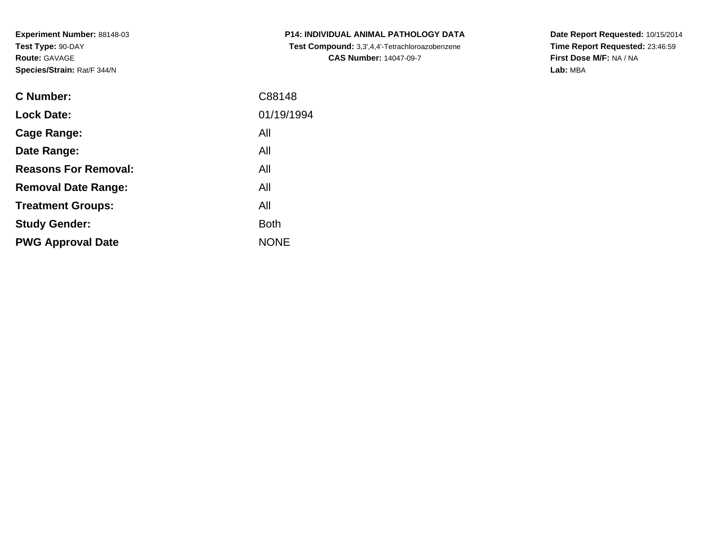**Experiment Number:** 88148-03**Test Type:** 90-DAY**Route:** GAVAGE**Species/Strain:** Rat/F 344/N

| <b>C Number:</b>            | C88148      |
|-----------------------------|-------------|
| <b>Lock Date:</b>           | 01/19/1994  |
| <b>Cage Range:</b>          | All         |
| Date Range:                 | All         |
| <b>Reasons For Removal:</b> | All         |
| <b>Removal Date Range:</b>  | All         |
| <b>Treatment Groups:</b>    | All         |
| <b>Study Gender:</b>        | <b>Both</b> |
| <b>PWG Approval Date</b>    | <b>NONE</b> |
|                             |             |

**P14: INDIVIDUAL ANIMAL PATHOLOGY DATA Test Compound:** 3,3',4,4'-Tetrachloroazobenzene**CAS Number:** 14047-09-7

**Date Report Requested:** 10/15/2014 **Time Report Requested:** 23:46:59**First Dose M/F:** NA / NA**Lab:** MBA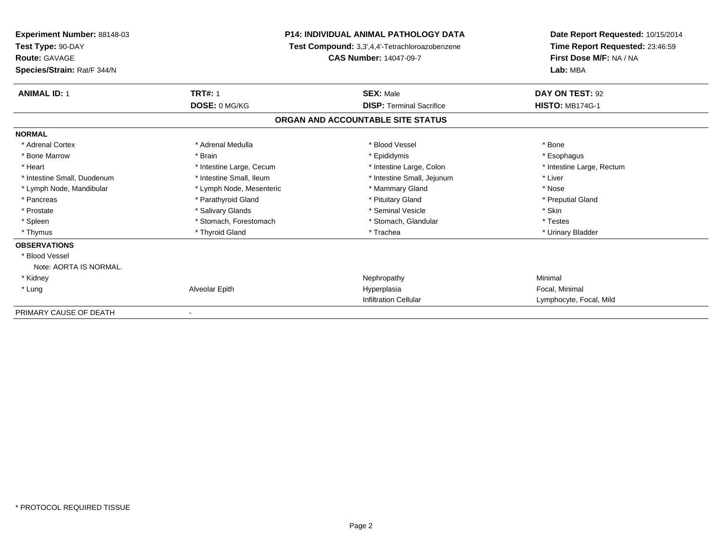| <b>Experiment Number: 88148-03</b> |                                                                                 | <b>P14: INDIVIDUAL ANIMAL PATHOLOGY DATA</b> | Date Report Requested: 10/15/2014<br>Time Report Requested: 23:46:59 |
|------------------------------------|---------------------------------------------------------------------------------|----------------------------------------------|----------------------------------------------------------------------|
| Test Type: 90-DAY                  | Test Compound: 3,3',4,4'-Tetrachloroazobenzene<br><b>CAS Number: 14047-09-7</b> |                                              |                                                                      |
| <b>Route: GAVAGE</b>               |                                                                                 |                                              | First Dose M/F: NA / NA                                              |
| Species/Strain: Rat/F 344/N        |                                                                                 |                                              | Lab: MBA                                                             |
| <b>ANIMAL ID: 1</b>                | <b>TRT#: 1</b>                                                                  | <b>SEX: Male</b>                             | DAY ON TEST: 92                                                      |
|                                    | DOSE: 0 MG/KG                                                                   | <b>DISP: Terminal Sacrifice</b>              | <b>HISTO: MB174G-1</b>                                               |
|                                    |                                                                                 | ORGAN AND ACCOUNTABLE SITE STATUS            |                                                                      |
| <b>NORMAL</b>                      |                                                                                 |                                              |                                                                      |
| * Adrenal Cortex                   | * Adrenal Medulla                                                               | * Blood Vessel                               | * Bone                                                               |
| * Bone Marrow                      | * Brain                                                                         | * Epididymis                                 | * Esophagus                                                          |
| * Heart                            | * Intestine Large, Cecum                                                        | * Intestine Large, Colon                     | * Intestine Large, Rectum                                            |
| * Intestine Small, Duodenum        | * Intestine Small, Ileum                                                        | * Intestine Small, Jejunum                   | * Liver                                                              |
| * Lymph Node, Mandibular           | * Lymph Node, Mesenteric                                                        | * Mammary Gland                              | * Nose                                                               |
| * Pancreas                         | * Parathyroid Gland                                                             | * Pituitary Gland                            | * Preputial Gland                                                    |
| * Prostate                         | * Salivary Glands                                                               | * Seminal Vesicle                            | * Skin                                                               |
| * Spleen                           | * Stomach, Forestomach                                                          | * Stomach, Glandular                         | * Testes                                                             |
| * Thymus                           | * Thyroid Gland                                                                 | * Trachea                                    | * Urinary Bladder                                                    |
| <b>OBSERVATIONS</b>                |                                                                                 |                                              |                                                                      |
| * Blood Vessel                     |                                                                                 |                                              |                                                                      |
| Note: AORTA IS NORMAL.             |                                                                                 |                                              |                                                                      |
| * Kidney                           |                                                                                 | Nephropathy                                  | Minimal                                                              |
| * Lung                             | Alveolar Epith                                                                  | Hyperplasia                                  | Focal, Minimal                                                       |
|                                    |                                                                                 | <b>Infiltration Cellular</b>                 | Lymphocyte, Focal, Mild                                              |
| PRIMARY CAUSE OF DEATH             |                                                                                 |                                              |                                                                      |

-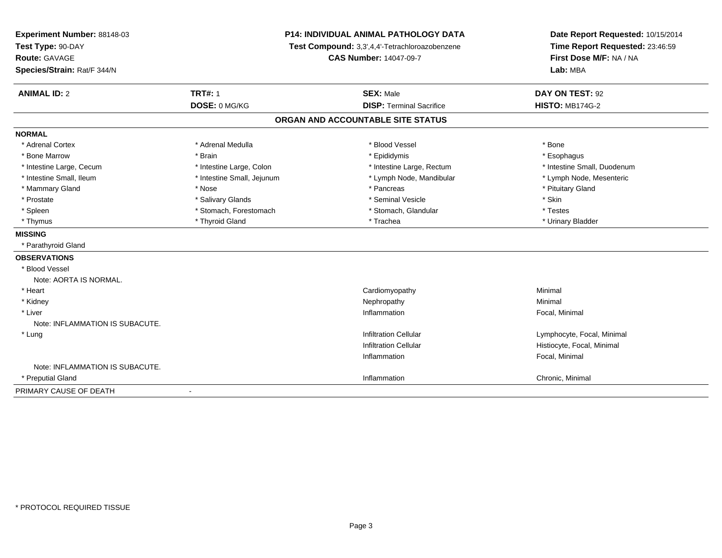| Experiment Number: 88148-03<br>Test Type: 90-DAY<br>Route: GAVAGE<br>Species/Strain: Rat/F 344/N |                            | <b>P14: INDIVIDUAL ANIMAL PATHOLOGY DATA</b><br>Test Compound: 3,3',4,4'-Tetrachloroazobenzene<br><b>CAS Number: 14047-09-7</b> | Date Report Requested: 10/15/2014<br>Time Report Requested: 23:46:59<br>First Dose M/F: NA / NA<br>Lab: MBA |
|--------------------------------------------------------------------------------------------------|----------------------------|---------------------------------------------------------------------------------------------------------------------------------|-------------------------------------------------------------------------------------------------------------|
| <b>ANIMAL ID: 2</b>                                                                              | <b>TRT#: 1</b>             | <b>SEX: Male</b>                                                                                                                | DAY ON TEST: 92                                                                                             |
|                                                                                                  | DOSE: 0 MG/KG              | <b>DISP: Terminal Sacrifice</b>                                                                                                 | <b>HISTO: MB174G-2</b>                                                                                      |
|                                                                                                  |                            | ORGAN AND ACCOUNTABLE SITE STATUS                                                                                               |                                                                                                             |
| <b>NORMAL</b>                                                                                    |                            |                                                                                                                                 |                                                                                                             |
| * Adrenal Cortex                                                                                 | * Adrenal Medulla          | * Blood Vessel                                                                                                                  | * Bone                                                                                                      |
| * Bone Marrow                                                                                    | * Brain                    | * Epididymis                                                                                                                    | * Esophagus                                                                                                 |
| * Intestine Large, Cecum                                                                         | * Intestine Large, Colon   | * Intestine Large, Rectum                                                                                                       | * Intestine Small, Duodenum                                                                                 |
| * Intestine Small, Ileum                                                                         | * Intestine Small, Jejunum | * Lymph Node, Mandibular                                                                                                        | * Lymph Node, Mesenteric                                                                                    |
| * Mammary Gland                                                                                  | * Nose                     | * Pancreas                                                                                                                      | * Pituitary Gland                                                                                           |
| * Prostate                                                                                       | * Salivary Glands          | * Seminal Vesicle                                                                                                               | * Skin                                                                                                      |
| * Spleen                                                                                         | * Stomach, Forestomach     | * Stomach, Glandular                                                                                                            | * Testes                                                                                                    |
| * Thymus                                                                                         | * Thyroid Gland            | * Trachea                                                                                                                       | * Urinary Bladder                                                                                           |
| <b>MISSING</b>                                                                                   |                            |                                                                                                                                 |                                                                                                             |
| * Parathyroid Gland                                                                              |                            |                                                                                                                                 |                                                                                                             |
| <b>OBSERVATIONS</b>                                                                              |                            |                                                                                                                                 |                                                                                                             |
| * Blood Vessel<br>Note: AORTA IS NORMAL.                                                         |                            |                                                                                                                                 |                                                                                                             |
| * Heart                                                                                          |                            | Cardiomyopathy                                                                                                                  | Minimal                                                                                                     |
| * Kidney                                                                                         |                            | Nephropathy                                                                                                                     | Minimal                                                                                                     |
| * Liver<br>Note: INFLAMMATION IS SUBACUTE.                                                       |                            | Inflammation                                                                                                                    | Focal, Minimal                                                                                              |
| * Lung                                                                                           |                            | <b>Infiltration Cellular</b>                                                                                                    | Lymphocyte, Focal, Minimal                                                                                  |
|                                                                                                  |                            | <b>Infiltration Cellular</b>                                                                                                    | Histiocyte, Focal, Minimal                                                                                  |
|                                                                                                  |                            | Inflammation                                                                                                                    | Focal, Minimal                                                                                              |
| Note: INFLAMMATION IS SUBACUTE.                                                                  |                            |                                                                                                                                 |                                                                                                             |
| * Preputial Gland                                                                                |                            | Inflammation                                                                                                                    | Chronic, Minimal                                                                                            |
| PRIMARY CAUSE OF DEATH                                                                           |                            |                                                                                                                                 |                                                                                                             |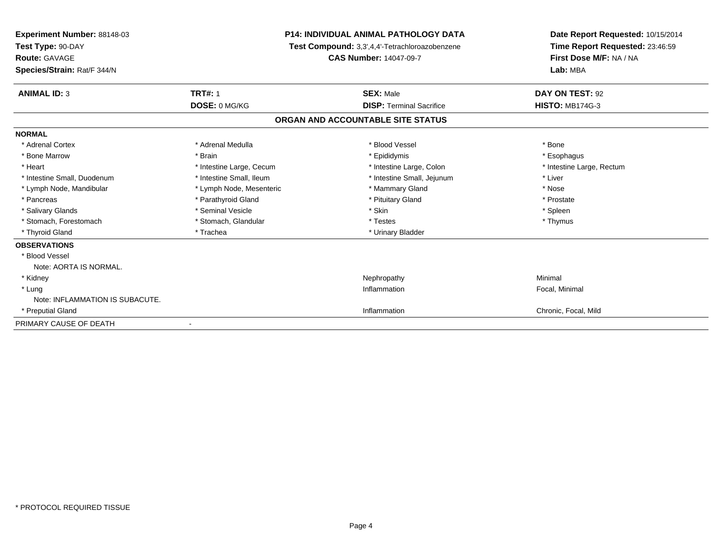| Experiment Number: 88148-03<br>Test Type: 90-DAY<br>Route: GAVAGE<br>Species/Strain: Rat/F 344/N |                          | <b>P14: INDIVIDUAL ANIMAL PATHOLOGY DATA</b><br>Test Compound: 3,3',4,4'-Tetrachloroazobenzene<br><b>CAS Number: 14047-09-7</b> | Date Report Requested: 10/15/2014<br>Time Report Requested: 23:46:59<br>First Dose M/F: NA / NA<br>Lab: MBA |
|--------------------------------------------------------------------------------------------------|--------------------------|---------------------------------------------------------------------------------------------------------------------------------|-------------------------------------------------------------------------------------------------------------|
| <b>ANIMAL ID: 3</b>                                                                              | <b>TRT#: 1</b>           | <b>SEX: Male</b>                                                                                                                | DAY ON TEST: 92                                                                                             |
|                                                                                                  | DOSE: 0 MG/KG            | <b>DISP: Terminal Sacrifice</b>                                                                                                 | <b>HISTO: MB174G-3</b>                                                                                      |
|                                                                                                  |                          | ORGAN AND ACCOUNTABLE SITE STATUS                                                                                               |                                                                                                             |
| <b>NORMAL</b>                                                                                    |                          |                                                                                                                                 |                                                                                                             |
| * Adrenal Cortex                                                                                 | * Adrenal Medulla        | * Blood Vessel                                                                                                                  | * Bone                                                                                                      |
| * Bone Marrow                                                                                    | * Brain                  | * Epididymis                                                                                                                    | * Esophagus                                                                                                 |
| * Heart                                                                                          | * Intestine Large, Cecum | * Intestine Large, Colon                                                                                                        | * Intestine Large, Rectum                                                                                   |
| * Intestine Small, Duodenum                                                                      | * Intestine Small, Ileum | * Intestine Small, Jejunum                                                                                                      | * Liver                                                                                                     |
| * Lymph Node, Mandibular                                                                         | * Lymph Node, Mesenteric | * Mammary Gland                                                                                                                 | * Nose                                                                                                      |
| * Pancreas                                                                                       | * Parathyroid Gland      | * Pituitary Gland                                                                                                               | * Prostate                                                                                                  |
| * Salivary Glands                                                                                | * Seminal Vesicle        | * Skin                                                                                                                          | * Spleen                                                                                                    |
| * Stomach, Forestomach                                                                           | * Stomach, Glandular     | * Testes                                                                                                                        | * Thymus                                                                                                    |
| * Thyroid Gland                                                                                  | * Trachea                | * Urinary Bladder                                                                                                               |                                                                                                             |
| <b>OBSERVATIONS</b>                                                                              |                          |                                                                                                                                 |                                                                                                             |
| * Blood Vessel                                                                                   |                          |                                                                                                                                 |                                                                                                             |
| Note: AORTA IS NORMAL.                                                                           |                          |                                                                                                                                 |                                                                                                             |
| * Kidney                                                                                         |                          | Nephropathy                                                                                                                     | Minimal                                                                                                     |
| * Lung                                                                                           |                          | Inflammation                                                                                                                    | Focal, Minimal                                                                                              |
| Note: INFLAMMATION IS SUBACUTE.                                                                  |                          |                                                                                                                                 |                                                                                                             |
| * Preputial Gland                                                                                |                          | Inflammation                                                                                                                    | Chronic, Focal, Mild                                                                                        |
| PRIMARY CAUSE OF DEATH                                                                           |                          |                                                                                                                                 |                                                                                                             |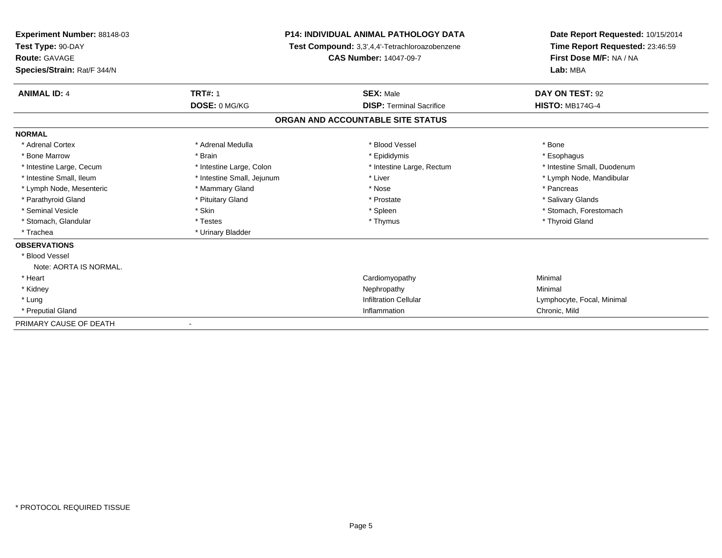| Experiment Number: 88148-03<br>Test Type: 90-DAY |                            | <b>P14: INDIVIDUAL ANIMAL PATHOLOGY DATA</b><br>Test Compound: 3,3',4,4'-Tetrachloroazobenzene | Date Report Requested: 10/15/2014<br>Time Report Requested: 23:46:59 |
|--------------------------------------------------|----------------------------|------------------------------------------------------------------------------------------------|----------------------------------------------------------------------|
| Route: GAVAGE<br>Species/Strain: Rat/F 344/N     |                            | <b>CAS Number: 14047-09-7</b>                                                                  | First Dose M/F: NA / NA<br>Lab: MBA                                  |
| <b>ANIMAL ID: 4</b>                              | <b>TRT#: 1</b>             | <b>SEX: Male</b>                                                                               | DAY ON TEST: 92                                                      |
|                                                  | DOSE: 0 MG/KG              | <b>DISP: Terminal Sacrifice</b>                                                                | <b>HISTO: MB174G-4</b>                                               |
|                                                  |                            | ORGAN AND ACCOUNTABLE SITE STATUS                                                              |                                                                      |
| <b>NORMAL</b>                                    |                            |                                                                                                |                                                                      |
| * Adrenal Cortex                                 | * Adrenal Medulla          | * Blood Vessel                                                                                 | * Bone                                                               |
| * Bone Marrow                                    | * Brain                    | * Epididymis                                                                                   | * Esophagus                                                          |
| * Intestine Large, Cecum                         | * Intestine Large, Colon   | * Intestine Large, Rectum                                                                      | * Intestine Small, Duodenum                                          |
| * Intestine Small, Ileum                         | * Intestine Small, Jejunum | * Liver                                                                                        | * Lymph Node, Mandibular                                             |
| * Lymph Node, Mesenteric                         | * Mammary Gland            | * Nose                                                                                         | * Pancreas                                                           |
| * Parathyroid Gland                              | * Pituitary Gland          | * Prostate                                                                                     | * Salivary Glands                                                    |
| * Seminal Vesicle                                | * Skin                     | * Spleen                                                                                       | * Stomach, Forestomach                                               |
| * Stomach, Glandular                             | * Testes                   | * Thymus                                                                                       | * Thyroid Gland                                                      |
| * Trachea                                        | * Urinary Bladder          |                                                                                                |                                                                      |
| <b>OBSERVATIONS</b>                              |                            |                                                                                                |                                                                      |
| * Blood Vessel                                   |                            |                                                                                                |                                                                      |
| Note: AORTA IS NORMAL.                           |                            |                                                                                                |                                                                      |
| * Heart                                          |                            | Cardiomyopathy                                                                                 | Minimal                                                              |
| * Kidney                                         |                            | Nephropathy                                                                                    | Minimal                                                              |
| * Lung                                           |                            | <b>Infiltration Cellular</b>                                                                   | Lymphocyte, Focal, Minimal                                           |
| * Preputial Gland                                |                            | Inflammation                                                                                   | Chronic, Mild                                                        |
| PRIMARY CAUSE OF DEATH                           |                            |                                                                                                |                                                                      |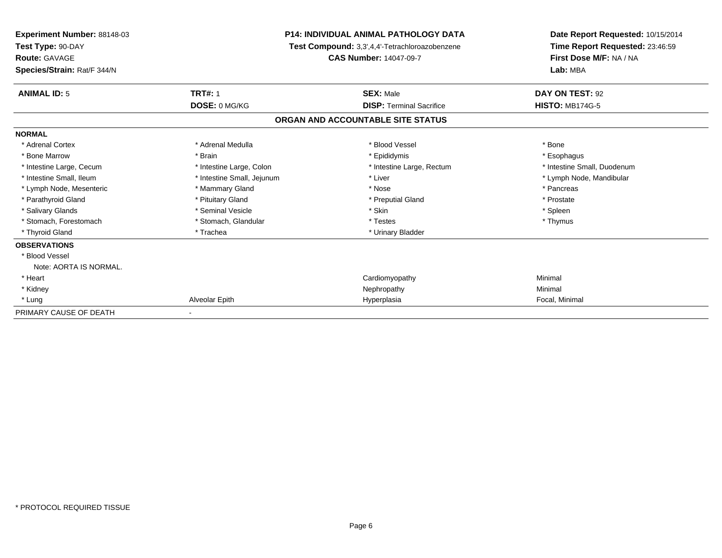| <b>Experiment Number: 88148-03</b><br>Test Type: 90-DAY<br><b>Route: GAVAGE</b> |                            | <b>P14: INDIVIDUAL ANIMAL PATHOLOGY DATA</b><br>Test Compound: 3,3',4,4'-Tetrachloroazobenzene<br><b>CAS Number: 14047-09-7</b> | Date Report Requested: 10/15/2014<br>Time Report Requested: 23:46:59<br>First Dose M/F: NA / NA |
|---------------------------------------------------------------------------------|----------------------------|---------------------------------------------------------------------------------------------------------------------------------|-------------------------------------------------------------------------------------------------|
| Species/Strain: Rat/F 344/N                                                     |                            |                                                                                                                                 | Lab: MBA                                                                                        |
| <b>ANIMAL ID: 5</b>                                                             | <b>TRT#: 1</b>             | <b>SEX: Male</b>                                                                                                                | DAY ON TEST: 92                                                                                 |
|                                                                                 | DOSE: 0 MG/KG              | <b>DISP: Terminal Sacrifice</b>                                                                                                 | <b>HISTO: MB174G-5</b>                                                                          |
|                                                                                 |                            | ORGAN AND ACCOUNTABLE SITE STATUS                                                                                               |                                                                                                 |
| <b>NORMAL</b>                                                                   |                            |                                                                                                                                 |                                                                                                 |
| * Adrenal Cortex                                                                | * Adrenal Medulla          | * Blood Vessel                                                                                                                  | * Bone                                                                                          |
| * Bone Marrow                                                                   | * Brain                    | * Epididymis                                                                                                                    | * Esophagus                                                                                     |
| * Intestine Large, Cecum                                                        | * Intestine Large, Colon   | * Intestine Large, Rectum                                                                                                       | * Intestine Small, Duodenum                                                                     |
| * Intestine Small, Ileum                                                        | * Intestine Small, Jejunum | * Liver                                                                                                                         | * Lymph Node, Mandibular                                                                        |
| * Lymph Node, Mesenteric                                                        | * Mammary Gland            | * Nose                                                                                                                          | * Pancreas                                                                                      |
| * Parathyroid Gland                                                             | * Pituitary Gland          | * Preputial Gland                                                                                                               | * Prostate                                                                                      |
| * Salivary Glands                                                               | * Seminal Vesicle          | * Skin                                                                                                                          | * Spleen                                                                                        |
| * Stomach, Forestomach                                                          | * Stomach, Glandular       | * Testes                                                                                                                        | * Thymus                                                                                        |
| * Thyroid Gland                                                                 | * Trachea                  | * Urinary Bladder                                                                                                               |                                                                                                 |
| <b>OBSERVATIONS</b>                                                             |                            |                                                                                                                                 |                                                                                                 |
| * Blood Vessel                                                                  |                            |                                                                                                                                 |                                                                                                 |
| Note: AORTA IS NORMAL.                                                          |                            |                                                                                                                                 |                                                                                                 |
| * Heart                                                                         |                            | Cardiomyopathy                                                                                                                  | Minimal                                                                                         |
| * Kidney                                                                        |                            | Nephropathy                                                                                                                     | Minimal                                                                                         |
| * Lung                                                                          | Alveolar Epith             | Hyperplasia                                                                                                                     | Focal, Minimal                                                                                  |
| PRIMARY CAUSE OF DEATH                                                          |                            |                                                                                                                                 |                                                                                                 |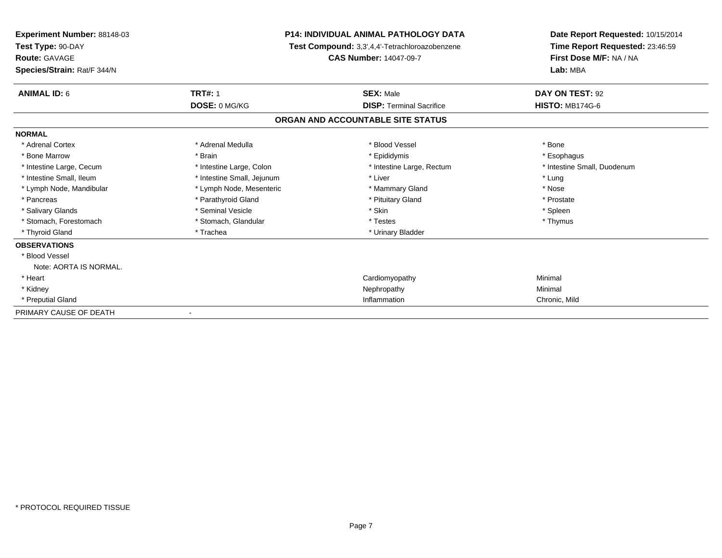| Experiment Number: 88148-03<br>Test Type: 90-DAY |                            | <b>P14: INDIVIDUAL ANIMAL PATHOLOGY DATA</b><br>Test Compound: 3,3',4,4'-Tetrachloroazobenzene | Date Report Requested: 10/15/2014<br>Time Report Requested: 23:46:59 |
|--------------------------------------------------|----------------------------|------------------------------------------------------------------------------------------------|----------------------------------------------------------------------|
| Route: GAVAGE                                    |                            | <b>CAS Number: 14047-09-7</b>                                                                  | First Dose M/F: NA / NA                                              |
| Species/Strain: Rat/F 344/N                      |                            |                                                                                                | Lab: MBA                                                             |
| <b>ANIMAL ID: 6</b>                              | <b>TRT#: 1</b>             | <b>SEX: Male</b>                                                                               | DAY ON TEST: 92                                                      |
|                                                  | DOSE: 0 MG/KG              | <b>DISP: Terminal Sacrifice</b>                                                                | <b>HISTO: MB174G-6</b>                                               |
|                                                  |                            | ORGAN AND ACCOUNTABLE SITE STATUS                                                              |                                                                      |
| <b>NORMAL</b>                                    |                            |                                                                                                |                                                                      |
| * Adrenal Cortex                                 | * Adrenal Medulla          | * Blood Vessel                                                                                 | * Bone                                                               |
| * Bone Marrow                                    | * Brain                    | * Epididymis                                                                                   | * Esophagus                                                          |
| * Intestine Large, Cecum                         | * Intestine Large, Colon   | * Intestine Large, Rectum                                                                      | * Intestine Small, Duodenum                                          |
| * Intestine Small, Ileum                         | * Intestine Small, Jejunum | * Liver                                                                                        | * Lung                                                               |
| * Lymph Node, Mandibular                         | * Lymph Node, Mesenteric   | * Mammary Gland                                                                                | * Nose                                                               |
| * Pancreas                                       | * Parathyroid Gland        | * Pituitary Gland                                                                              | * Prostate                                                           |
| * Salivary Glands                                | * Seminal Vesicle          | * Skin                                                                                         | * Spleen                                                             |
| * Stomach, Forestomach                           | * Stomach, Glandular       | * Testes                                                                                       | * Thymus                                                             |
| * Thyroid Gland                                  | * Trachea                  | * Urinary Bladder                                                                              |                                                                      |
| <b>OBSERVATIONS</b>                              |                            |                                                                                                |                                                                      |
| * Blood Vessel                                   |                            |                                                                                                |                                                                      |
| Note: AORTA IS NORMAL.                           |                            |                                                                                                |                                                                      |
| * Heart                                          |                            | Cardiomyopathy                                                                                 | Minimal                                                              |
| * Kidney                                         |                            | Nephropathy                                                                                    | Minimal                                                              |
| * Preputial Gland                                |                            | Inflammation                                                                                   | Chronic, Mild                                                        |
| PRIMARY CAUSE OF DEATH                           |                            |                                                                                                |                                                                      |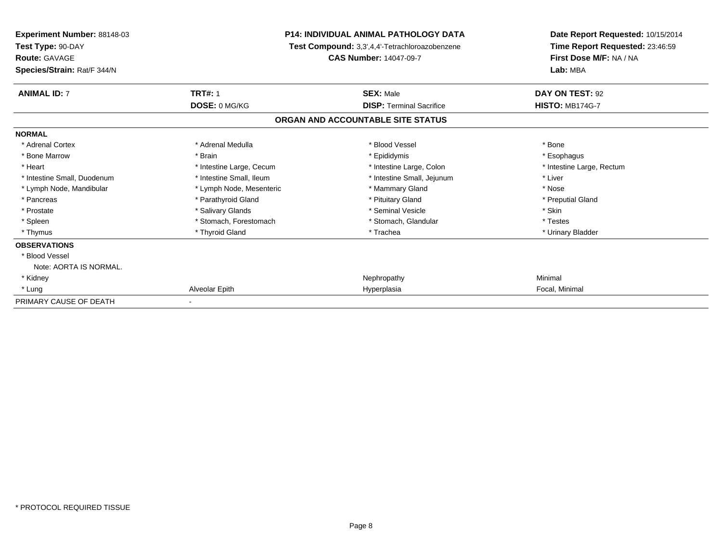| <b>Experiment Number: 88148-03</b><br>Test Type: 90-DAY<br><b>Route: GAVAGE</b> |                          | <b>P14: INDIVIDUAL ANIMAL PATHOLOGY DATA</b><br>Test Compound: 3,3',4,4'-Tetrachloroazobenzene<br><b>CAS Number: 14047-09-7</b> | Date Report Requested: 10/15/2014<br>Time Report Requested: 23:46:59<br>First Dose M/F: NA / NA |
|---------------------------------------------------------------------------------|--------------------------|---------------------------------------------------------------------------------------------------------------------------------|-------------------------------------------------------------------------------------------------|
| Species/Strain: Rat/F 344/N                                                     |                          |                                                                                                                                 | Lab: MBA                                                                                        |
| <b>ANIMAL ID: 7</b>                                                             | <b>TRT#: 1</b>           | <b>SEX: Male</b>                                                                                                                | DAY ON TEST: 92                                                                                 |
|                                                                                 | DOSE: 0 MG/KG            | <b>DISP: Terminal Sacrifice</b>                                                                                                 | <b>HISTO: MB174G-7</b>                                                                          |
|                                                                                 |                          | ORGAN AND ACCOUNTABLE SITE STATUS                                                                                               |                                                                                                 |
| <b>NORMAL</b>                                                                   |                          |                                                                                                                                 |                                                                                                 |
| * Adrenal Cortex                                                                | * Adrenal Medulla        | * Blood Vessel                                                                                                                  | * Bone                                                                                          |
| * Bone Marrow                                                                   | * Brain                  | * Epididymis                                                                                                                    | * Esophagus                                                                                     |
| * Heart                                                                         | * Intestine Large, Cecum | * Intestine Large, Colon                                                                                                        | * Intestine Large, Rectum                                                                       |
| * Intestine Small, Duodenum                                                     | * Intestine Small, Ileum | * Intestine Small, Jejunum                                                                                                      | * Liver                                                                                         |
| * Lymph Node, Mandibular                                                        | * Lymph Node, Mesenteric | * Mammary Gland                                                                                                                 | * Nose                                                                                          |
| * Pancreas                                                                      | * Parathyroid Gland      | * Pituitary Gland                                                                                                               | * Preputial Gland                                                                               |
| * Prostate                                                                      | * Salivary Glands        | * Seminal Vesicle                                                                                                               | * Skin                                                                                          |
| * Spleen                                                                        | * Stomach, Forestomach   | * Stomach, Glandular                                                                                                            | * Testes                                                                                        |
| * Thymus                                                                        | * Thyroid Gland          | * Trachea                                                                                                                       | * Urinary Bladder                                                                               |
| <b>OBSERVATIONS</b>                                                             |                          |                                                                                                                                 |                                                                                                 |
| * Blood Vessel                                                                  |                          |                                                                                                                                 |                                                                                                 |
| Note: AORTA IS NORMAL.                                                          |                          |                                                                                                                                 |                                                                                                 |
| * Kidney                                                                        |                          | Nephropathy                                                                                                                     | Minimal                                                                                         |
| * Lung                                                                          | Alveolar Epith           | Hyperplasia                                                                                                                     | Focal, Minimal                                                                                  |
| PRIMARY CAUSE OF DEATH                                                          |                          |                                                                                                                                 |                                                                                                 |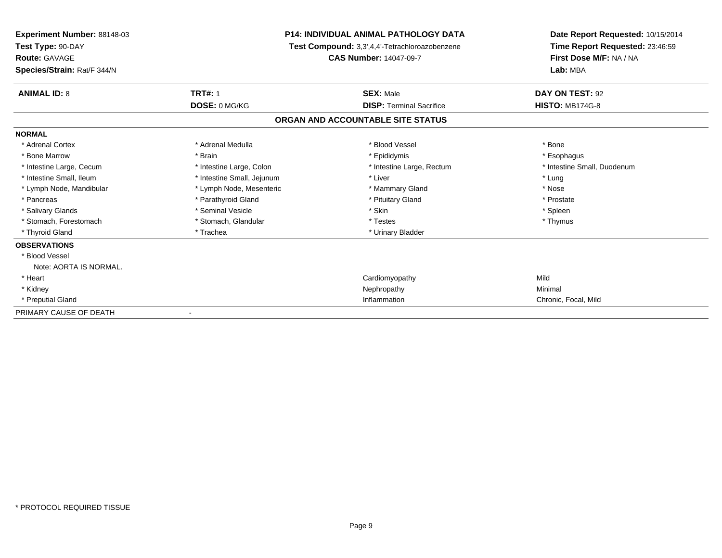| <b>Experiment Number: 88148-03</b><br>Test Type: 90-DAY<br><b>Route: GAVAGE</b><br>Species/Strain: Rat/F 344/N |                            | <b>P14: INDIVIDUAL ANIMAL PATHOLOGY DATA</b><br>Test Compound: 3,3',4,4'-Tetrachloroazobenzene<br><b>CAS Number: 14047-09-7</b> | Date Report Requested: 10/15/2014<br>Time Report Requested: 23:46:59<br>First Dose M/F: NA / NA<br>Lab: MBA |
|----------------------------------------------------------------------------------------------------------------|----------------------------|---------------------------------------------------------------------------------------------------------------------------------|-------------------------------------------------------------------------------------------------------------|
| <b>ANIMAL ID: 8</b>                                                                                            | <b>TRT#: 1</b>             | <b>SEX: Male</b>                                                                                                                | DAY ON TEST: 92                                                                                             |
|                                                                                                                | DOSE: 0 MG/KG              | <b>DISP: Terminal Sacrifice</b>                                                                                                 | <b>HISTO: MB174G-8</b>                                                                                      |
|                                                                                                                |                            | ORGAN AND ACCOUNTABLE SITE STATUS                                                                                               |                                                                                                             |
| <b>NORMAL</b>                                                                                                  |                            |                                                                                                                                 |                                                                                                             |
| * Adrenal Cortex                                                                                               | * Adrenal Medulla          | * Blood Vessel                                                                                                                  | * Bone                                                                                                      |
| * Bone Marrow                                                                                                  | * Brain                    | * Epididymis                                                                                                                    | * Esophagus                                                                                                 |
| * Intestine Large, Cecum                                                                                       | * Intestine Large, Colon   | * Intestine Large, Rectum                                                                                                       | * Intestine Small, Duodenum                                                                                 |
| * Intestine Small, Ileum                                                                                       | * Intestine Small, Jejunum | * Liver                                                                                                                         | * Lung                                                                                                      |
| * Lymph Node, Mandibular                                                                                       | * Lymph Node, Mesenteric   | * Mammary Gland                                                                                                                 | * Nose                                                                                                      |
| * Pancreas                                                                                                     | * Parathyroid Gland        | * Pituitary Gland                                                                                                               | * Prostate                                                                                                  |
| * Salivary Glands                                                                                              | * Seminal Vesicle          | * Skin                                                                                                                          | * Spleen                                                                                                    |
| * Stomach, Forestomach                                                                                         | * Stomach, Glandular       | * Testes                                                                                                                        | * Thymus                                                                                                    |
| * Thyroid Gland                                                                                                | * Trachea                  | * Urinary Bladder                                                                                                               |                                                                                                             |
| <b>OBSERVATIONS</b>                                                                                            |                            |                                                                                                                                 |                                                                                                             |
| * Blood Vessel                                                                                                 |                            |                                                                                                                                 |                                                                                                             |
| Note: AORTA IS NORMAL.                                                                                         |                            |                                                                                                                                 |                                                                                                             |
| * Heart                                                                                                        |                            | Cardiomyopathy                                                                                                                  | Mild                                                                                                        |
| * Kidney                                                                                                       |                            | Nephropathy                                                                                                                     | Minimal                                                                                                     |
| * Preputial Gland                                                                                              |                            | Inflammation                                                                                                                    | Chronic, Focal, Mild                                                                                        |
| PRIMARY CAUSE OF DEATH                                                                                         |                            |                                                                                                                                 |                                                                                                             |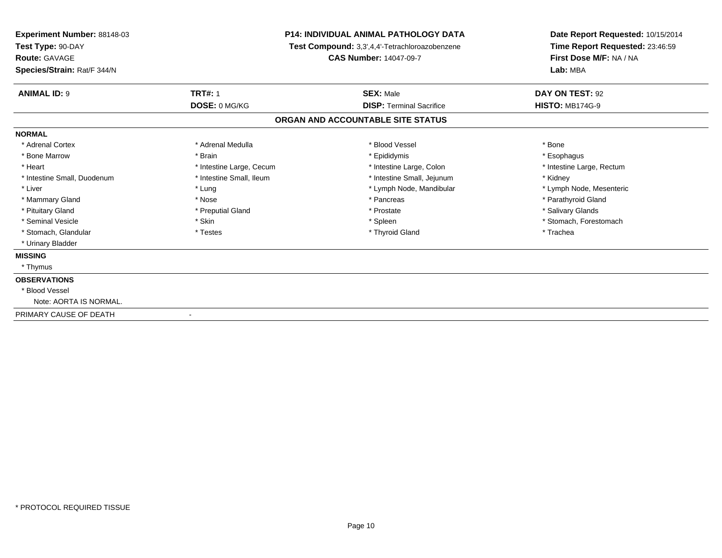| <b>Experiment Number: 88148-03</b><br>Test Type: 90-DAY<br>Route: GAVAGE |                          | <b>P14: INDIVIDUAL ANIMAL PATHOLOGY DATA</b><br>Test Compound: 3,3',4,4'-Tetrachloroazobenzene<br><b>CAS Number: 14047-09-7</b> | Date Report Requested: 10/15/2014<br>Time Report Requested: 23:46:59<br>First Dose M/F: NA / NA |
|--------------------------------------------------------------------------|--------------------------|---------------------------------------------------------------------------------------------------------------------------------|-------------------------------------------------------------------------------------------------|
| Species/Strain: Rat/F 344/N                                              |                          |                                                                                                                                 | Lab: MBA                                                                                        |
| <b>ANIMAL ID: 9</b>                                                      | <b>TRT#: 1</b>           | <b>SEX: Male</b>                                                                                                                | DAY ON TEST: 92                                                                                 |
|                                                                          | DOSE: 0 MG/KG            | <b>DISP: Terminal Sacrifice</b>                                                                                                 | <b>HISTO: MB174G-9</b>                                                                          |
|                                                                          |                          | ORGAN AND ACCOUNTABLE SITE STATUS                                                                                               |                                                                                                 |
| <b>NORMAL</b>                                                            |                          |                                                                                                                                 |                                                                                                 |
| * Adrenal Cortex                                                         | * Adrenal Medulla        | * Blood Vessel                                                                                                                  | * Bone                                                                                          |
| * Bone Marrow                                                            | * Brain                  | * Epididymis                                                                                                                    | * Esophagus                                                                                     |
| * Heart                                                                  | * Intestine Large, Cecum | * Intestine Large, Colon                                                                                                        | * Intestine Large, Rectum                                                                       |
| * Intestine Small, Duodenum                                              | * Intestine Small, Ileum | * Intestine Small, Jejunum                                                                                                      | * Kidney                                                                                        |
| * Liver                                                                  | * Lung                   | * Lymph Node, Mandibular                                                                                                        | * Lymph Node, Mesenteric                                                                        |
| * Mammary Gland                                                          | * Nose                   | * Pancreas                                                                                                                      | * Parathyroid Gland                                                                             |
| * Pituitary Gland                                                        | * Preputial Gland        | * Prostate                                                                                                                      | * Salivary Glands                                                                               |
| * Seminal Vesicle                                                        | * Skin                   | * Spleen                                                                                                                        | * Stomach, Forestomach                                                                          |
| * Stomach, Glandular                                                     | * Testes                 | * Thyroid Gland                                                                                                                 | * Trachea                                                                                       |
| * Urinary Bladder                                                        |                          |                                                                                                                                 |                                                                                                 |
| <b>MISSING</b>                                                           |                          |                                                                                                                                 |                                                                                                 |
| * Thymus                                                                 |                          |                                                                                                                                 |                                                                                                 |
| <b>OBSERVATIONS</b>                                                      |                          |                                                                                                                                 |                                                                                                 |
| * Blood Vessel                                                           |                          |                                                                                                                                 |                                                                                                 |
| Note: AORTA IS NORMAL.                                                   |                          |                                                                                                                                 |                                                                                                 |
| PRIMARY CAUSE OF DEATH                                                   |                          |                                                                                                                                 |                                                                                                 |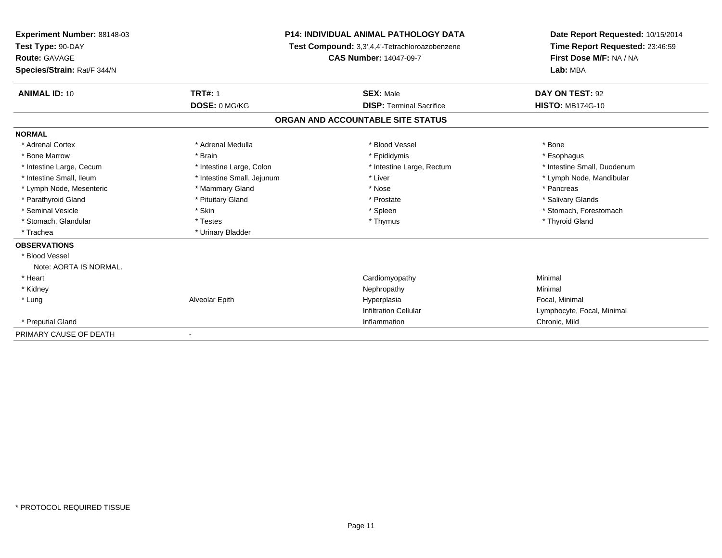| Experiment Number: 88148-03 | <b>P14: INDIVIDUAL ANIMAL PATHOLOGY DATA</b><br>Test Compound: 3,3',4,4'-Tetrachloroazobenzene |                                   | Date Report Requested: 10/15/2014 |  |
|-----------------------------|------------------------------------------------------------------------------------------------|-----------------------------------|-----------------------------------|--|
| Test Type: 90-DAY           |                                                                                                |                                   | Time Report Requested: 23:46:59   |  |
| Route: GAVAGE               |                                                                                                | <b>CAS Number: 14047-09-7</b>     | First Dose M/F: NA / NA           |  |
| Species/Strain: Rat/F 344/N |                                                                                                |                                   | Lab: MBA                          |  |
| <b>ANIMAL ID: 10</b>        | <b>TRT#: 1</b>                                                                                 | <b>SEX: Male</b>                  | DAY ON TEST: 92                   |  |
|                             | DOSE: 0 MG/KG                                                                                  | <b>DISP: Terminal Sacrifice</b>   | <b>HISTO: MB174G-10</b>           |  |
|                             |                                                                                                | ORGAN AND ACCOUNTABLE SITE STATUS |                                   |  |
| <b>NORMAL</b>               |                                                                                                |                                   |                                   |  |
| * Adrenal Cortex            | * Adrenal Medulla                                                                              | * Blood Vessel                    | * Bone                            |  |
| * Bone Marrow               | * Brain                                                                                        | * Epididymis                      | * Esophagus                       |  |
| * Intestine Large, Cecum    | * Intestine Large, Colon                                                                       | * Intestine Large, Rectum         | * Intestine Small, Duodenum       |  |
| * Intestine Small. Ileum    | * Intestine Small, Jejunum                                                                     | * Liver                           | * Lymph Node, Mandibular          |  |
| * Lymph Node, Mesenteric    | * Mammary Gland                                                                                | * Nose                            | * Pancreas                        |  |
| * Parathyroid Gland         | * Pituitary Gland                                                                              | * Prostate                        | * Salivary Glands                 |  |
| * Seminal Vesicle           | * Skin                                                                                         | * Spleen                          | * Stomach, Forestomach            |  |
| * Stomach, Glandular        | * Testes                                                                                       | * Thymus                          | * Thyroid Gland                   |  |
| * Trachea                   | * Urinary Bladder                                                                              |                                   |                                   |  |
| <b>OBSERVATIONS</b>         |                                                                                                |                                   |                                   |  |
| * Blood Vessel              |                                                                                                |                                   |                                   |  |
| Note: AORTA IS NORMAL.      |                                                                                                |                                   |                                   |  |
| * Heart                     |                                                                                                | Cardiomyopathy                    | Minimal                           |  |
| * Kidney                    |                                                                                                | Nephropathy                       | Minimal                           |  |
| * Lung                      | Alveolar Epith                                                                                 | Hyperplasia                       | Focal, Minimal                    |  |
|                             |                                                                                                | <b>Infiltration Cellular</b>      | Lymphocyte, Focal, Minimal        |  |
| * Preputial Gland           |                                                                                                | Inflammation                      | Chronic, Mild                     |  |
| PRIMARY CAUSE OF DEATH      |                                                                                                |                                   |                                   |  |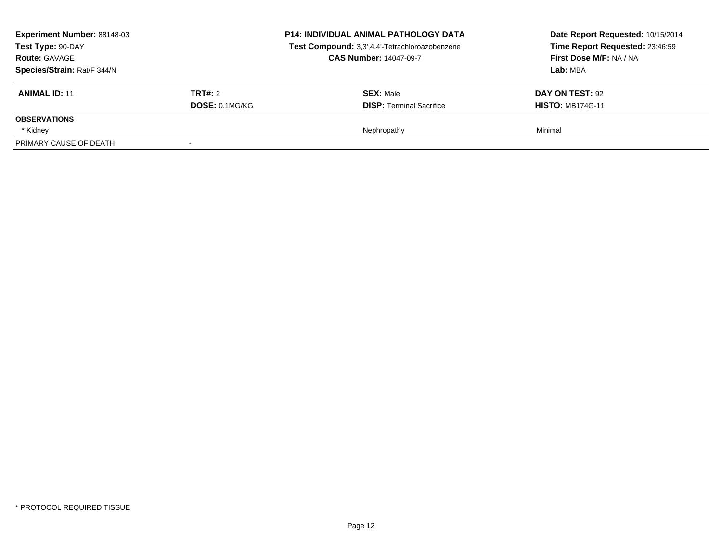| Experiment Number: 88148-03<br>Test Type: 90-DAY<br><b>Route: GAVAGE</b><br>Species/Strain: Rat/F 344/N |                | <b>P14: INDIVIDUAL ANIMAL PATHOLOGY DATA</b><br>Test Compound: 3,3',4,4'-Tetrachloroazobenzene<br><b>CAS Number: 14047-09-7</b> | Date Report Requested: 10/15/2014<br>Time Report Requested: 23:46:59<br>First Dose M/F: NA / NA<br>Lab: MBA |
|---------------------------------------------------------------------------------------------------------|----------------|---------------------------------------------------------------------------------------------------------------------------------|-------------------------------------------------------------------------------------------------------------|
| <b>ANIMAL ID: 11</b>                                                                                    | <b>TRT#: 2</b> | <b>SEX: Male</b>                                                                                                                | DAY ON TEST: 92                                                                                             |
|                                                                                                         | DOSE: 0.1MG/KG | <b>DISP: Terminal Sacrifice</b>                                                                                                 | <b>HISTO: MB174G-11</b>                                                                                     |
| <b>OBSERVATIONS</b>                                                                                     |                |                                                                                                                                 |                                                                                                             |
| * Kidney                                                                                                |                | Nephropathy                                                                                                                     | Minimal                                                                                                     |
| PRIMARY CAUSE OF DEATH                                                                                  |                |                                                                                                                                 |                                                                                                             |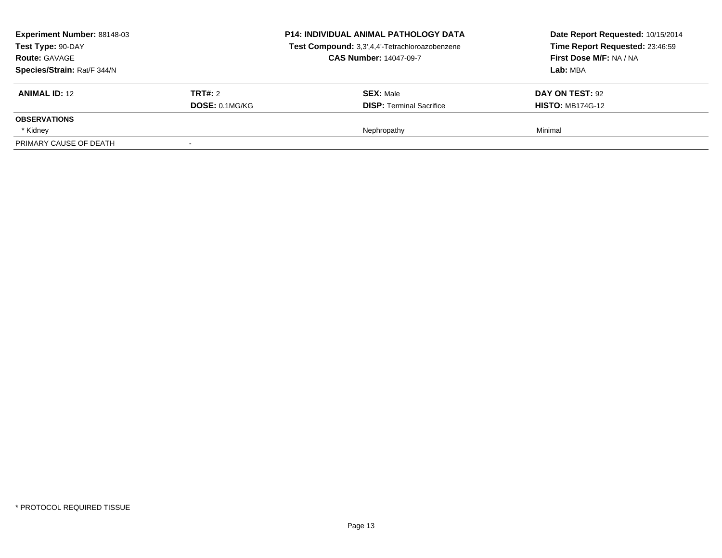| Experiment Number: 88148-03<br>Test Type: 90-DAY<br><b>Route: GAVAGE</b><br>Species/Strain: Rat/F 344/N |                | <b>P14: INDIVIDUAL ANIMAL PATHOLOGY DATA</b><br>Test Compound: 3,3',4,4'-Tetrachloroazobenzene<br><b>CAS Number: 14047-09-7</b> | Date Report Requested: 10/15/2014<br>Time Report Requested: 23:46:59<br>First Dose M/F: NA / NA<br>Lab: MBA |
|---------------------------------------------------------------------------------------------------------|----------------|---------------------------------------------------------------------------------------------------------------------------------|-------------------------------------------------------------------------------------------------------------|
| <b>ANIMAL ID: 12</b>                                                                                    | <b>TRT#: 2</b> | <b>SEX: Male</b>                                                                                                                | DAY ON TEST: 92                                                                                             |
|                                                                                                         | DOSE: 0.1MG/KG | <b>DISP: Terminal Sacrifice</b>                                                                                                 | <b>HISTO: MB174G-12</b>                                                                                     |
| <b>OBSERVATIONS</b>                                                                                     |                |                                                                                                                                 |                                                                                                             |
| * Kidney                                                                                                |                | Nephropathy                                                                                                                     | Minimal                                                                                                     |
| PRIMARY CAUSE OF DEATH                                                                                  |                |                                                                                                                                 |                                                                                                             |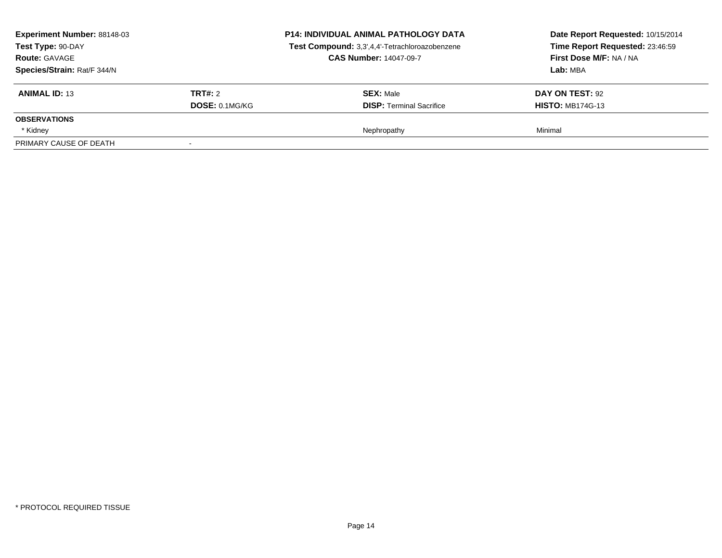| Experiment Number: 88148-03<br>Test Type: 90-DAY<br><b>Route: GAVAGE</b><br>Species/Strain: Rat/F 344/N |                | <b>P14: INDIVIDUAL ANIMAL PATHOLOGY DATA</b><br>Test Compound: 3,3',4,4'-Tetrachloroazobenzene<br><b>CAS Number: 14047-09-7</b> | Date Report Requested: 10/15/2014<br>Time Report Requested: 23:46:59<br>First Dose M/F: NA / NA<br>Lab: MBA |
|---------------------------------------------------------------------------------------------------------|----------------|---------------------------------------------------------------------------------------------------------------------------------|-------------------------------------------------------------------------------------------------------------|
| <b>ANIMAL ID: 13</b>                                                                                    | <b>TRT#: 2</b> | <b>SEX: Male</b>                                                                                                                | DAY ON TEST: 92                                                                                             |
|                                                                                                         | DOSE: 0.1MG/KG | <b>DISP: Terminal Sacrifice</b>                                                                                                 | <b>HISTO: MB174G-13</b>                                                                                     |
| <b>OBSERVATIONS</b>                                                                                     |                |                                                                                                                                 |                                                                                                             |
| * Kidney                                                                                                |                | Nephropathy                                                                                                                     | Minimal                                                                                                     |
| PRIMARY CAUSE OF DEATH                                                                                  |                |                                                                                                                                 |                                                                                                             |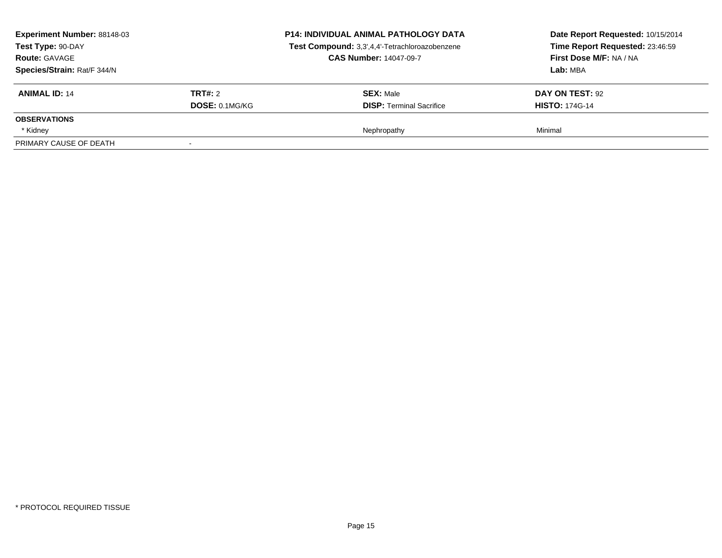| <b>Experiment Number: 88148-03</b><br>Test Type: 90-DAY<br><b>Route: GAVAGE</b><br>Species/Strain: Rat/F 344/N |                                         | <b>P14: INDIVIDUAL ANIMAL PATHOLOGY DATA</b><br>Test Compound: 3,3',4,4'-Tetrachloroazobenzene<br><b>CAS Number: 14047-09-7</b> | Date Report Requested: 10/15/2014<br>Time Report Requested: 23:46:59<br>First Dose M/F: NA / NA<br>Lab: MBA |
|----------------------------------------------------------------------------------------------------------------|-----------------------------------------|---------------------------------------------------------------------------------------------------------------------------------|-------------------------------------------------------------------------------------------------------------|
| <b>ANIMAL ID: 14</b>                                                                                           | <b>TRT#:</b> 2<br><b>DOSE: 0.1MG/KG</b> | <b>SEX: Male</b><br><b>DISP: Terminal Sacrifice</b>                                                                             | <b>DAY ON TEST: 92</b><br><b>HISTO: 174G-14</b>                                                             |
| <b>OBSERVATIONS</b>                                                                                            |                                         |                                                                                                                                 |                                                                                                             |
| * Kidney<br>PRIMARY CAUSE OF DEATH                                                                             |                                         | Nephropathy                                                                                                                     | Minimal                                                                                                     |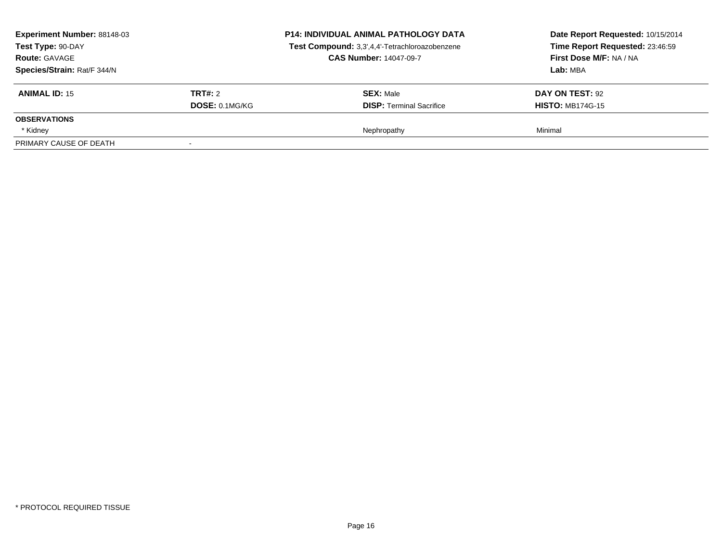| Experiment Number: 88148-03<br>Test Type: 90-DAY<br><b>Route: GAVAGE</b><br>Species/Strain: Rat/F 344/N |                | <b>P14: INDIVIDUAL ANIMAL PATHOLOGY DATA</b><br>Test Compound: 3,3',4,4'-Tetrachloroazobenzene<br><b>CAS Number: 14047-09-7</b> | Date Report Requested: 10/15/2014<br>Time Report Requested: 23:46:59<br>First Dose M/F: NA / NA<br>Lab: MBA |
|---------------------------------------------------------------------------------------------------------|----------------|---------------------------------------------------------------------------------------------------------------------------------|-------------------------------------------------------------------------------------------------------------|
| <b>ANIMAL ID: 15</b>                                                                                    | <b>TRT#: 2</b> | <b>SEX: Male</b>                                                                                                                | DAY ON TEST: 92                                                                                             |
| <b>OBSERVATIONS</b>                                                                                     | DOSE: 0.1MG/KG | <b>DISP: Terminal Sacrifice</b>                                                                                                 | <b>HISTO: MB174G-15</b>                                                                                     |
| * Kidney                                                                                                |                | Nephropathy                                                                                                                     | Minimal                                                                                                     |
| PRIMARY CAUSE OF DEATH                                                                                  |                |                                                                                                                                 |                                                                                                             |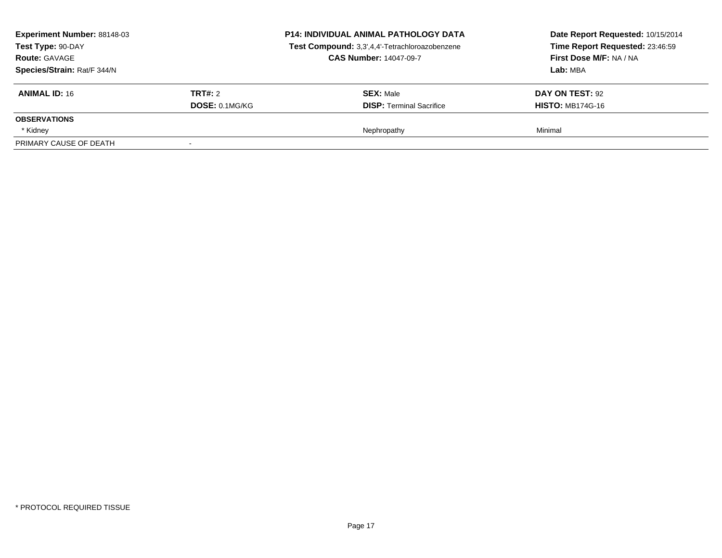| Experiment Number: 88148-03<br>Test Type: 90-DAY<br><b>Route: GAVAGE</b><br>Species/Strain: Rat/F 344/N |                       | <b>P14: INDIVIDUAL ANIMAL PATHOLOGY DATA</b><br>Test Compound: 3,3',4,4'-Tetrachloroazobenzene<br><b>CAS Number: 14047-09-7</b> | Date Report Requested: 10/15/2014<br>Time Report Requested: 23:46:59<br>First Dose M/F: NA / NA<br>Lab: MBA |
|---------------------------------------------------------------------------------------------------------|-----------------------|---------------------------------------------------------------------------------------------------------------------------------|-------------------------------------------------------------------------------------------------------------|
| <b>ANIMAL ID: 16</b>                                                                                    | <b>TRT#: 2</b>        | <b>SEX: Male</b>                                                                                                                | DAY ON TEST: 92                                                                                             |
| <b>OBSERVATIONS</b>                                                                                     | <b>DOSE: 0.1MG/KG</b> | <b>DISP: Terminal Sacrifice</b>                                                                                                 | <b>HISTO: MB174G-16</b>                                                                                     |
| * Kidney                                                                                                |                       | Nephropathy                                                                                                                     | Minimal                                                                                                     |
| PRIMARY CAUSE OF DEATH                                                                                  |                       |                                                                                                                                 |                                                                                                             |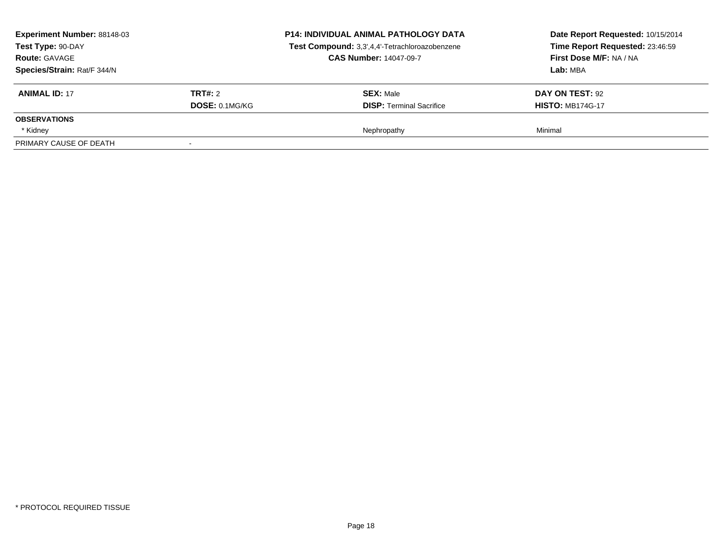| Experiment Number: 88148-03<br>Test Type: 90-DAY<br><b>Route: GAVAGE</b><br>Species/Strain: Rat/F 344/N |                | <b>P14: INDIVIDUAL ANIMAL PATHOLOGY DATA</b><br>Test Compound: 3,3',4,4'-Tetrachloroazobenzene<br><b>CAS Number: 14047-09-7</b> | Date Report Requested: 10/15/2014<br>Time Report Requested: 23:46:59<br>First Dose M/F: NA / NA<br>Lab: MBA |
|---------------------------------------------------------------------------------------------------------|----------------|---------------------------------------------------------------------------------------------------------------------------------|-------------------------------------------------------------------------------------------------------------|
| <b>ANIMAL ID: 17</b>                                                                                    | <b>TRT#: 2</b> | <b>SEX: Male</b>                                                                                                                | DAY ON TEST: 92                                                                                             |
|                                                                                                         | DOSE: 0.1MG/KG | <b>DISP: Terminal Sacrifice</b>                                                                                                 | <b>HISTO: MB174G-17</b>                                                                                     |
| <b>OBSERVATIONS</b>                                                                                     |                |                                                                                                                                 |                                                                                                             |
| * Kidney                                                                                                |                | Nephropathy                                                                                                                     | Minimal                                                                                                     |
| PRIMARY CAUSE OF DEATH                                                                                  |                |                                                                                                                                 |                                                                                                             |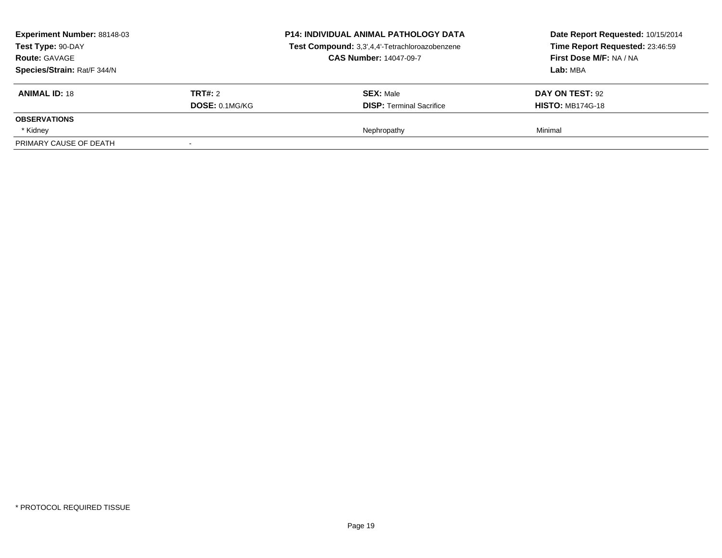| Experiment Number: 88148-03<br>Test Type: 90-DAY<br><b>Route: GAVAGE</b><br>Species/Strain: Rat/F 344/N |                       | <b>P14: INDIVIDUAL ANIMAL PATHOLOGY DATA</b><br>Test Compound: 3,3',4,4'-Tetrachloroazobenzene<br><b>CAS Number: 14047-09-7</b> | Date Report Requested: 10/15/2014<br>Time Report Requested: 23:46:59<br>First Dose M/F: NA / NA<br>Lab: MBA |
|---------------------------------------------------------------------------------------------------------|-----------------------|---------------------------------------------------------------------------------------------------------------------------------|-------------------------------------------------------------------------------------------------------------|
| <b>ANIMAL ID: 18</b>                                                                                    | <b>TRT#: 2</b>        | <b>SEX: Male</b>                                                                                                                | DAY ON TEST: 92                                                                                             |
| <b>OBSERVATIONS</b>                                                                                     | <b>DOSE: 0.1MG/KG</b> | <b>DISP: Terminal Sacrifice</b>                                                                                                 | <b>HISTO: MB174G-18</b>                                                                                     |
| * Kidney                                                                                                |                       | Nephropathy                                                                                                                     | Minimal                                                                                                     |
| PRIMARY CAUSE OF DEATH                                                                                  |                       |                                                                                                                                 |                                                                                                             |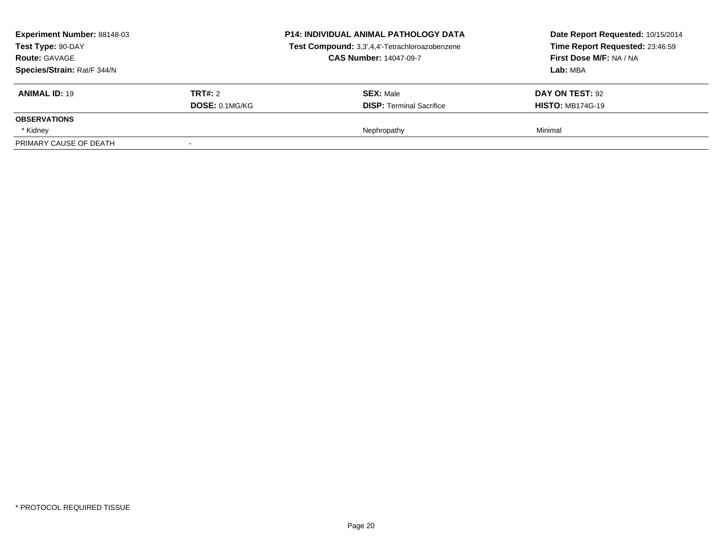| Experiment Number: 88148-03<br>Test Type: 90-DAY<br><b>Route: GAVAGE</b><br>Species/Strain: Rat/F 344/N |                       | <b>P14: INDIVIDUAL ANIMAL PATHOLOGY DATA</b><br>Test Compound: 3,3',4,4'-Tetrachloroazobenzene<br><b>CAS Number: 14047-09-7</b> | Date Report Requested: 10/15/2014<br>Time Report Requested: 23:46:59<br>First Dose M/F: NA / NA<br>Lab: MBA |
|---------------------------------------------------------------------------------------------------------|-----------------------|---------------------------------------------------------------------------------------------------------------------------------|-------------------------------------------------------------------------------------------------------------|
| <b>ANIMAL ID: 19</b>                                                                                    | <b>TRT#: 2</b>        | <b>SEX: Male</b>                                                                                                                | DAY ON TEST: 92                                                                                             |
|                                                                                                         | <b>DOSE: 0.1MG/KG</b> | <b>DISP: Terminal Sacrifice</b>                                                                                                 | <b>HISTO: MB174G-19</b>                                                                                     |
| <b>OBSERVATIONS</b>                                                                                     |                       |                                                                                                                                 |                                                                                                             |
| * Kidney                                                                                                |                       | Nephropathy                                                                                                                     | Minimal                                                                                                     |
| PRIMARY CAUSE OF DEATH                                                                                  |                       |                                                                                                                                 |                                                                                                             |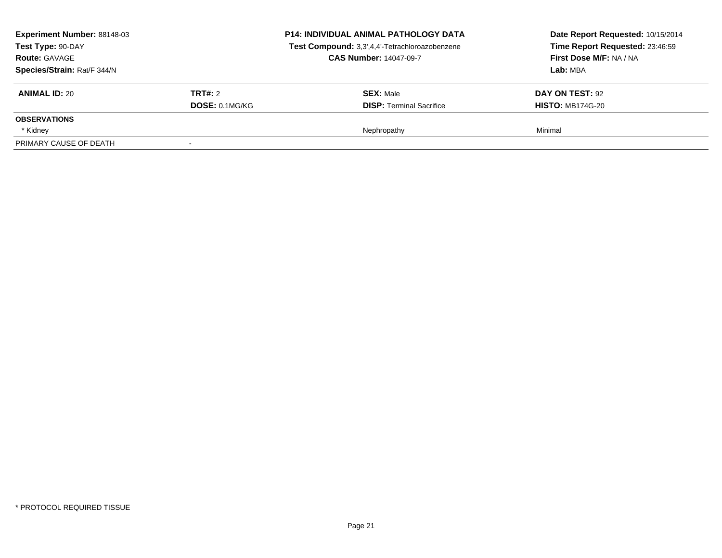| Experiment Number: 88148-03<br>Test Type: 90-DAY<br><b>Route: GAVAGE</b><br>Species/Strain: Rat/F 344/N |                       | <b>P14: INDIVIDUAL ANIMAL PATHOLOGY DATA</b><br>Test Compound: 3,3',4,4'-Tetrachloroazobenzene<br><b>CAS Number: 14047-09-7</b> | Date Report Requested: 10/15/2014<br>Time Report Requested: 23:46:59<br>First Dose M/F: NA / NA<br>Lab: MBA |
|---------------------------------------------------------------------------------------------------------|-----------------------|---------------------------------------------------------------------------------------------------------------------------------|-------------------------------------------------------------------------------------------------------------|
| <b>ANIMAL ID: 20</b>                                                                                    | TRT#: 2               | <b>SEX: Male</b>                                                                                                                | <b>DAY ON TEST: 92</b>                                                                                      |
| <b>OBSERVATIONS</b>                                                                                     | <b>DOSE: 0.1MG/KG</b> | <b>DISP:</b> Terminal Sacrifice                                                                                                 | <b>HISTO: MB174G-20</b>                                                                                     |
| * Kidney                                                                                                |                       | Nephropathy                                                                                                                     | Minimal                                                                                                     |
| PRIMARY CAUSE OF DEATH                                                                                  |                       |                                                                                                                                 |                                                                                                             |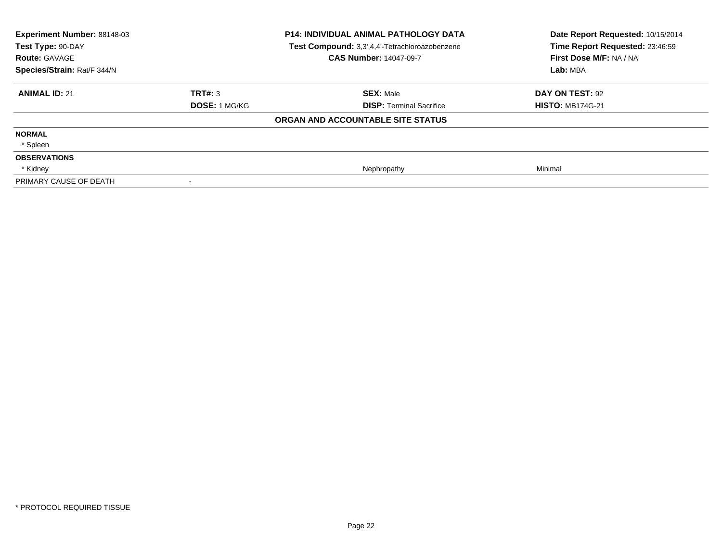| Experiment Number: 88148-03<br>Test Type: 90-DAY<br><b>Route: GAVAGE</b><br>Species/Strain: Rat/F 344/N |                      | P14: INDIVIDUAL ANIMAL PATHOLOGY DATA<br>Test Compound: 3,3',4,4'-Tetrachloroazobenzene<br><b>CAS Number: 14047-09-7</b> | Date Report Requested: 10/15/2014<br>Time Report Requested: 23:46:59<br>First Dose M/F: NA / NA<br>Lab: MBA |
|---------------------------------------------------------------------------------------------------------|----------------------|--------------------------------------------------------------------------------------------------------------------------|-------------------------------------------------------------------------------------------------------------|
| <b>ANIMAL ID: 21</b>                                                                                    | TRT#: 3              | <b>SEX: Male</b>                                                                                                         | DAY ON TEST: 92                                                                                             |
|                                                                                                         | <b>DOSE: 1 MG/KG</b> | <b>DISP: Terminal Sacrifice</b>                                                                                          | <b>HISTO: MB174G-21</b>                                                                                     |
|                                                                                                         |                      | ORGAN AND ACCOUNTABLE SITE STATUS                                                                                        |                                                                                                             |
| <b>NORMAL</b>                                                                                           |                      |                                                                                                                          |                                                                                                             |
| * Spleen                                                                                                |                      |                                                                                                                          |                                                                                                             |
| <b>OBSERVATIONS</b>                                                                                     |                      |                                                                                                                          |                                                                                                             |
| * Kidney                                                                                                |                      | Nephropathy                                                                                                              | Minimal                                                                                                     |
| PRIMARY CAUSE OF DEATH                                                                                  |                      |                                                                                                                          |                                                                                                             |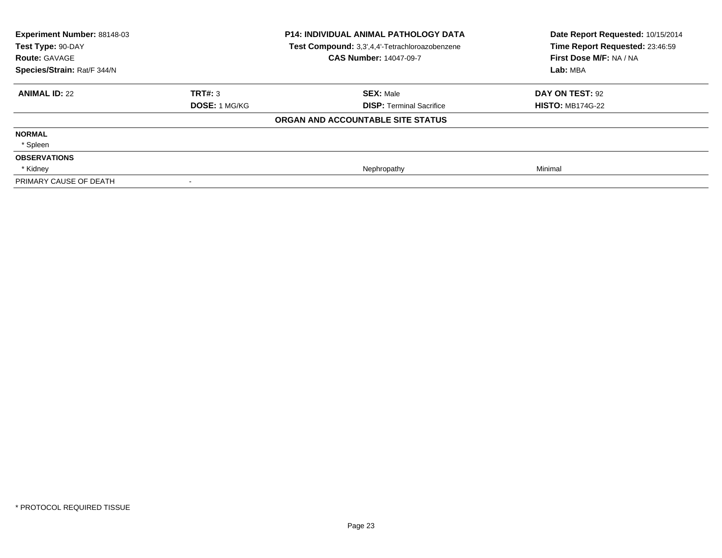| Experiment Number: 88148-03<br>Test Type: 90-DAY<br><b>Route: GAVAGE</b><br>Species/Strain: Rat/F 344/N |                      | P14: INDIVIDUAL ANIMAL PATHOLOGY DATA<br>Test Compound: 3,3',4,4'-Tetrachloroazobenzene<br><b>CAS Number: 14047-09-7</b> | Date Report Requested: 10/15/2014<br>Time Report Requested: 23:46:59<br>First Dose M/F: NA / NA<br>Lab: MBA |
|---------------------------------------------------------------------------------------------------------|----------------------|--------------------------------------------------------------------------------------------------------------------------|-------------------------------------------------------------------------------------------------------------|
| <b>ANIMAL ID: 22</b>                                                                                    | TRT#: 3              | <b>SEX: Male</b>                                                                                                         | DAY ON TEST: 92                                                                                             |
|                                                                                                         | <b>DOSE: 1 MG/KG</b> | <b>DISP: Terminal Sacrifice</b>                                                                                          | <b>HISTO: MB174G-22</b>                                                                                     |
|                                                                                                         |                      | ORGAN AND ACCOUNTABLE SITE STATUS                                                                                        |                                                                                                             |
| <b>NORMAL</b>                                                                                           |                      |                                                                                                                          |                                                                                                             |
| * Spleen                                                                                                |                      |                                                                                                                          |                                                                                                             |
| <b>OBSERVATIONS</b>                                                                                     |                      |                                                                                                                          |                                                                                                             |
| * Kidney                                                                                                |                      | Nephropathy                                                                                                              | Minimal                                                                                                     |
| PRIMARY CAUSE OF DEATH                                                                                  |                      |                                                                                                                          |                                                                                                             |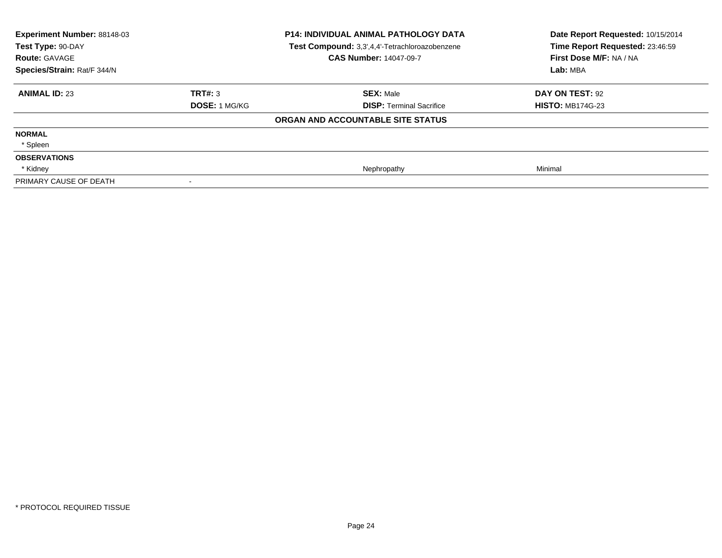| Experiment Number: 88148-03<br>Test Type: 90-DAY<br><b>Route: GAVAGE</b><br>Species/Strain: Rat/F 344/N |                      | P14: INDIVIDUAL ANIMAL PATHOLOGY DATA<br>Test Compound: 3,3',4,4'-Tetrachloroazobenzene<br><b>CAS Number: 14047-09-7</b> | Date Report Requested: 10/15/2014<br>Time Report Requested: 23:46:59<br>First Dose M/F: NA / NA<br>Lab: MBA |
|---------------------------------------------------------------------------------------------------------|----------------------|--------------------------------------------------------------------------------------------------------------------------|-------------------------------------------------------------------------------------------------------------|
| <b>ANIMAL ID: 23</b>                                                                                    | TRT#: 3              | <b>SEX: Male</b>                                                                                                         | DAY ON TEST: 92                                                                                             |
|                                                                                                         | <b>DOSE: 1 MG/KG</b> | <b>DISP: Terminal Sacrifice</b>                                                                                          | <b>HISTO: MB174G-23</b>                                                                                     |
|                                                                                                         |                      | ORGAN AND ACCOUNTABLE SITE STATUS                                                                                        |                                                                                                             |
| <b>NORMAL</b>                                                                                           |                      |                                                                                                                          |                                                                                                             |
| * Spleen                                                                                                |                      |                                                                                                                          |                                                                                                             |
| <b>OBSERVATIONS</b>                                                                                     |                      |                                                                                                                          |                                                                                                             |
| * Kidney                                                                                                |                      | Nephropathy                                                                                                              | Minimal                                                                                                     |
| PRIMARY CAUSE OF DEATH                                                                                  |                      |                                                                                                                          |                                                                                                             |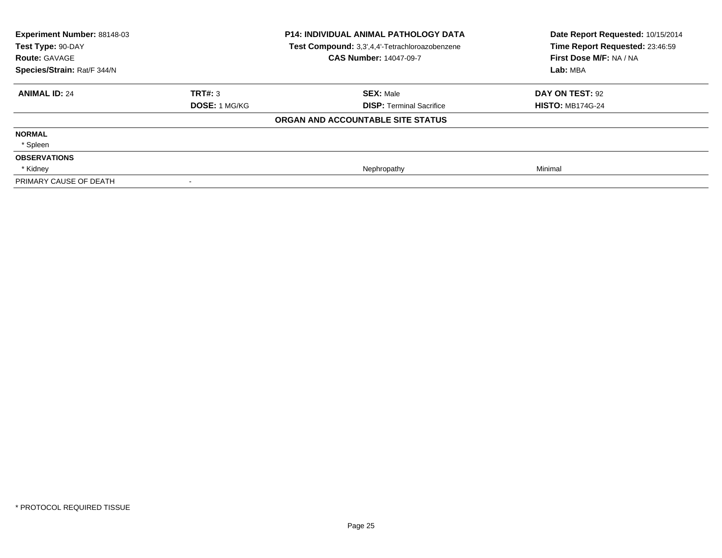| Experiment Number: 88148-03<br>Test Type: 90-DAY<br><b>Route: GAVAGE</b><br>Species/Strain: Rat/F 344/N |               | P14: INDIVIDUAL ANIMAL PATHOLOGY DATA<br>Test Compound: 3,3',4,4'-Tetrachloroazobenzene<br><b>CAS Number: 14047-09-7</b> | Date Report Requested: 10/15/2014<br>Time Report Requested: 23:46:59<br>First Dose M/F: NA / NA<br>Lab: MBA |
|---------------------------------------------------------------------------------------------------------|---------------|--------------------------------------------------------------------------------------------------------------------------|-------------------------------------------------------------------------------------------------------------|
| <b>ANIMAL ID: 24</b>                                                                                    | TRT#: 3       | <b>SEX: Male</b>                                                                                                         | DAY ON TEST: 92                                                                                             |
|                                                                                                         | DOSE: 1 MG/KG | <b>DISP: Terminal Sacrifice</b>                                                                                          | <b>HISTO: MB174G-24</b>                                                                                     |
|                                                                                                         |               | ORGAN AND ACCOUNTABLE SITE STATUS                                                                                        |                                                                                                             |
| <b>NORMAL</b>                                                                                           |               |                                                                                                                          |                                                                                                             |
| * Spleen                                                                                                |               |                                                                                                                          |                                                                                                             |
| <b>OBSERVATIONS</b>                                                                                     |               |                                                                                                                          |                                                                                                             |
| * Kidney                                                                                                |               | Nephropathy                                                                                                              | Minimal                                                                                                     |
| PRIMARY CAUSE OF DEATH                                                                                  |               |                                                                                                                          |                                                                                                             |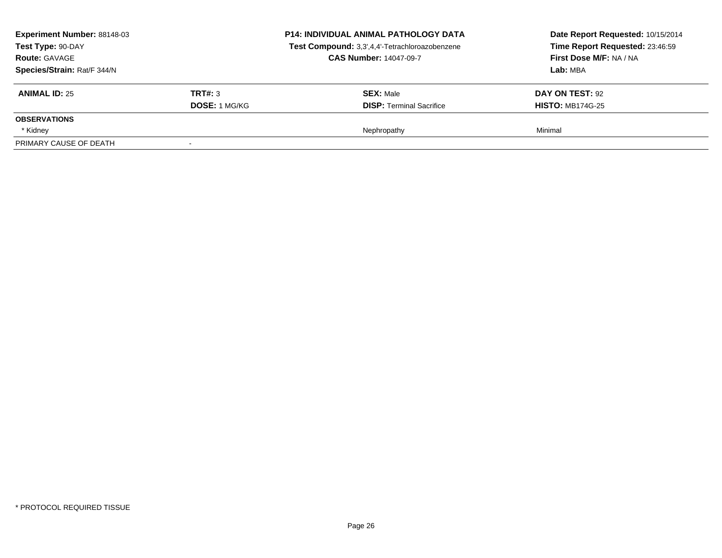|         | <b>P14: INDIVIDUAL ANIMAL PATHOLOGY DATA</b><br>Test Compound: 3,3',4,4'-Tetrachloroazobenzene<br><b>CAS Number: 14047-09-7</b> | Date Report Requested: 10/15/2014<br>Time Report Requested: 23:46:59<br>First Dose M/F: NA / NA<br>Lab: MBA |
|---------|---------------------------------------------------------------------------------------------------------------------------------|-------------------------------------------------------------------------------------------------------------|
| TRT#: 3 | <b>SEX: Male</b>                                                                                                                | DAY ON TEST: 92<br><b>HISTO: MB174G-25</b>                                                                  |
|         |                                                                                                                                 |                                                                                                             |
|         | Nephropathy                                                                                                                     | Minimal                                                                                                     |
|         | <b>DOSE: 1 MG/KG</b>                                                                                                            | <b>DISP: Terminal Sacrifice</b>                                                                             |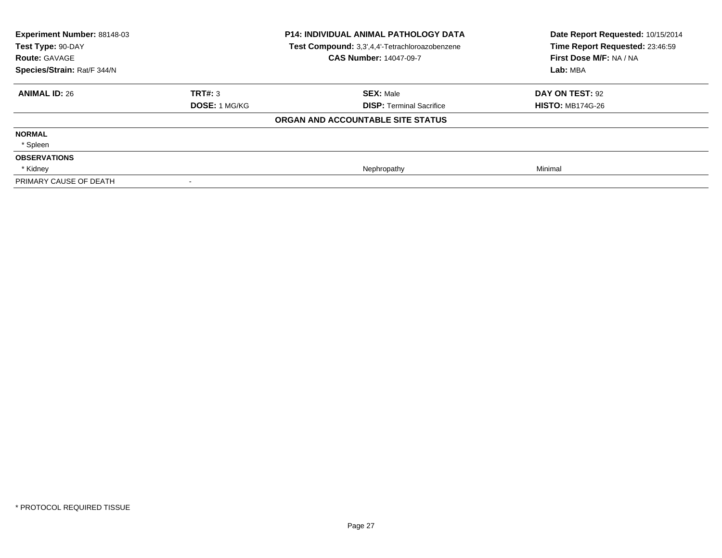| Experiment Number: 88148-03<br>Test Type: 90-DAY<br><b>Route: GAVAGE</b><br>Species/Strain: Rat/F 344/N |                      | P14: INDIVIDUAL ANIMAL PATHOLOGY DATA<br>Test Compound: 3,3',4,4'-Tetrachloroazobenzene<br><b>CAS Number: 14047-09-7</b> | Date Report Requested: 10/15/2014<br>Time Report Requested: 23:46:59<br>First Dose M/F: NA / NA<br>Lab: MBA |
|---------------------------------------------------------------------------------------------------------|----------------------|--------------------------------------------------------------------------------------------------------------------------|-------------------------------------------------------------------------------------------------------------|
| <b>ANIMAL ID: 26</b>                                                                                    | TRT#: 3              | <b>SEX: Male</b>                                                                                                         | DAY ON TEST: 92                                                                                             |
|                                                                                                         | <b>DOSE: 1 MG/KG</b> | <b>DISP: Terminal Sacrifice</b>                                                                                          | <b>HISTO: MB174G-26</b>                                                                                     |
|                                                                                                         |                      | ORGAN AND ACCOUNTABLE SITE STATUS                                                                                        |                                                                                                             |
| <b>NORMAL</b>                                                                                           |                      |                                                                                                                          |                                                                                                             |
| * Spleen                                                                                                |                      |                                                                                                                          |                                                                                                             |
| <b>OBSERVATIONS</b>                                                                                     |                      |                                                                                                                          |                                                                                                             |
| * Kidney                                                                                                |                      | Nephropathy                                                                                                              | Minimal                                                                                                     |
| PRIMARY CAUSE OF DEATH                                                                                  |                      |                                                                                                                          |                                                                                                             |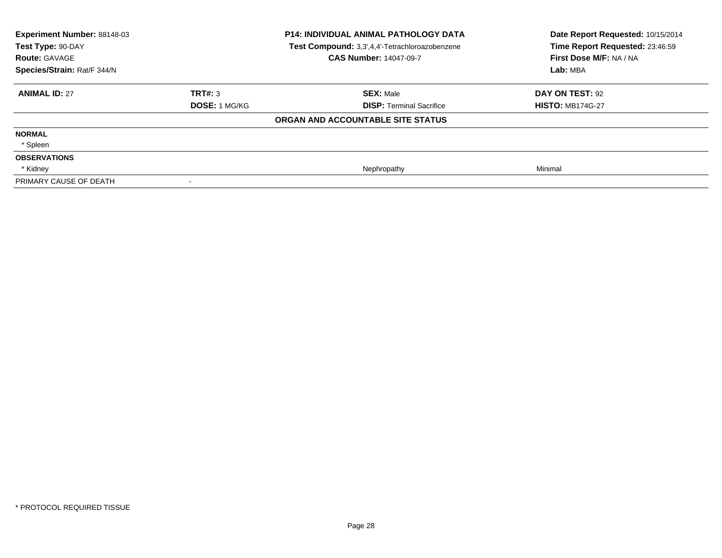| Experiment Number: 88148-03<br>Test Type: 90-DAY<br><b>Route: GAVAGE</b><br>Species/Strain: Rat/F 344/N |                      | P14: INDIVIDUAL ANIMAL PATHOLOGY DATA<br>Test Compound: 3,3',4,4'-Tetrachloroazobenzene<br><b>CAS Number: 14047-09-7</b> | Date Report Requested: 10/15/2014<br>Time Report Requested: 23:46:59<br>First Dose M/F: NA / NA<br>Lab: MBA |
|---------------------------------------------------------------------------------------------------------|----------------------|--------------------------------------------------------------------------------------------------------------------------|-------------------------------------------------------------------------------------------------------------|
| <b>ANIMAL ID: 27</b>                                                                                    | TRT#: 3              | <b>SEX: Male</b>                                                                                                         | DAY ON TEST: 92                                                                                             |
|                                                                                                         | <b>DOSE: 1 MG/KG</b> | <b>DISP: Terminal Sacrifice</b>                                                                                          | <b>HISTO: MB174G-27</b>                                                                                     |
|                                                                                                         |                      | ORGAN AND ACCOUNTABLE SITE STATUS                                                                                        |                                                                                                             |
| <b>NORMAL</b>                                                                                           |                      |                                                                                                                          |                                                                                                             |
| * Spleen                                                                                                |                      |                                                                                                                          |                                                                                                             |
| <b>OBSERVATIONS</b>                                                                                     |                      |                                                                                                                          |                                                                                                             |
| * Kidney                                                                                                |                      | Nephropathy                                                                                                              | Minimal                                                                                                     |
| PRIMARY CAUSE OF DEATH                                                                                  |                      |                                                                                                                          |                                                                                                             |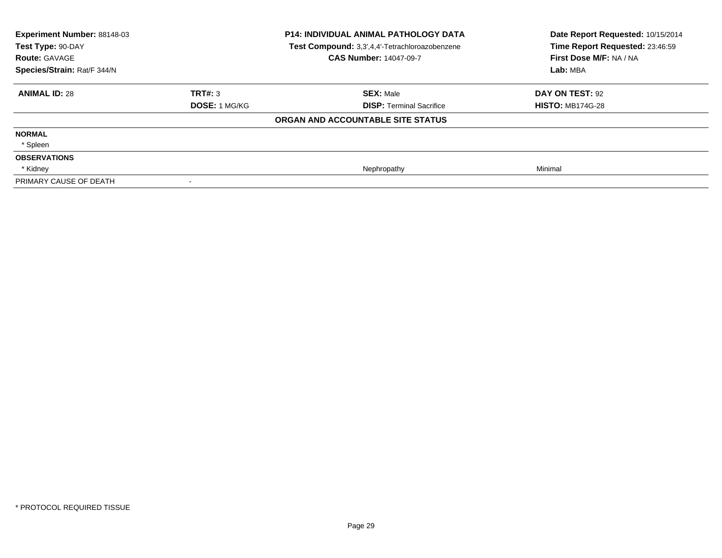| Experiment Number: 88148-03<br>Test Type: 90-DAY<br><b>Route: GAVAGE</b><br>Species/Strain: Rat/F 344/N |                      | P14: INDIVIDUAL ANIMAL PATHOLOGY DATA<br>Test Compound: 3,3',4,4'-Tetrachloroazobenzene<br><b>CAS Number: 14047-09-7</b> | Date Report Requested: 10/15/2014<br>Time Report Requested: 23:46:59<br>First Dose M/F: NA / NA<br>Lab: MBA |
|---------------------------------------------------------------------------------------------------------|----------------------|--------------------------------------------------------------------------------------------------------------------------|-------------------------------------------------------------------------------------------------------------|
| <b>ANIMAL ID: 28</b>                                                                                    | TRT#: 3              | <b>SEX: Male</b>                                                                                                         | DAY ON TEST: 92                                                                                             |
|                                                                                                         | <b>DOSE: 1 MG/KG</b> | <b>DISP: Terminal Sacrifice</b>                                                                                          | <b>HISTO: MB174G-28</b>                                                                                     |
|                                                                                                         |                      | ORGAN AND ACCOUNTABLE SITE STATUS                                                                                        |                                                                                                             |
| <b>NORMAL</b>                                                                                           |                      |                                                                                                                          |                                                                                                             |
| * Spleen                                                                                                |                      |                                                                                                                          |                                                                                                             |
| <b>OBSERVATIONS</b>                                                                                     |                      |                                                                                                                          |                                                                                                             |
| * Kidney                                                                                                |                      | Nephropathy                                                                                                              | Minimal                                                                                                     |
| PRIMARY CAUSE OF DEATH                                                                                  |                      |                                                                                                                          |                                                                                                             |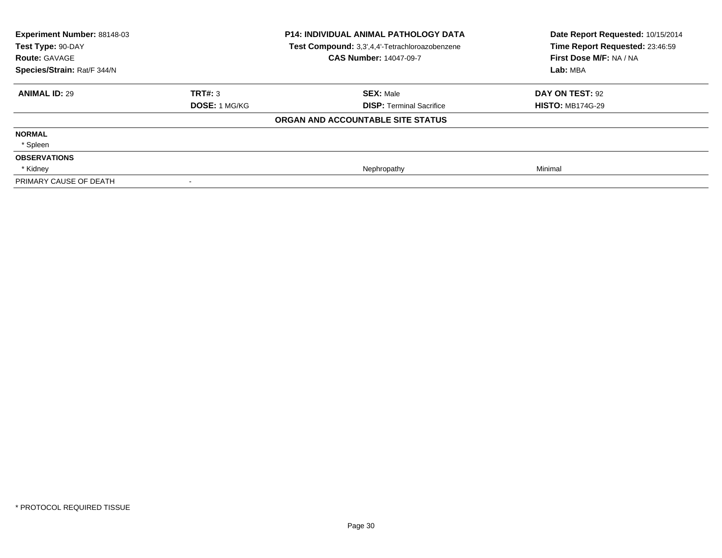| Experiment Number: 88148-03<br>Test Type: 90-DAY<br><b>Route: GAVAGE</b><br>Species/Strain: Rat/F 344/N |                      | P14: INDIVIDUAL ANIMAL PATHOLOGY DATA<br>Test Compound: 3,3',4,4'-Tetrachloroazobenzene<br><b>CAS Number: 14047-09-7</b> | Date Report Requested: 10/15/2014<br>Time Report Requested: 23:46:59<br>First Dose M/F: NA / NA<br>Lab: MBA |
|---------------------------------------------------------------------------------------------------------|----------------------|--------------------------------------------------------------------------------------------------------------------------|-------------------------------------------------------------------------------------------------------------|
| <b>ANIMAL ID: 29</b>                                                                                    | TRT#: 3              | <b>SEX: Male</b>                                                                                                         | DAY ON TEST: 92                                                                                             |
|                                                                                                         | <b>DOSE: 1 MG/KG</b> | <b>DISP: Terminal Sacrifice</b>                                                                                          | <b>HISTO: MB174G-29</b>                                                                                     |
|                                                                                                         |                      | ORGAN AND ACCOUNTABLE SITE STATUS                                                                                        |                                                                                                             |
| <b>NORMAL</b>                                                                                           |                      |                                                                                                                          |                                                                                                             |
| * Spleen                                                                                                |                      |                                                                                                                          |                                                                                                             |
| <b>OBSERVATIONS</b>                                                                                     |                      |                                                                                                                          |                                                                                                             |
| * Kidney                                                                                                |                      | Nephropathy                                                                                                              | Minimal                                                                                                     |
| PRIMARY CAUSE OF DEATH                                                                                  |                      |                                                                                                                          |                                                                                                             |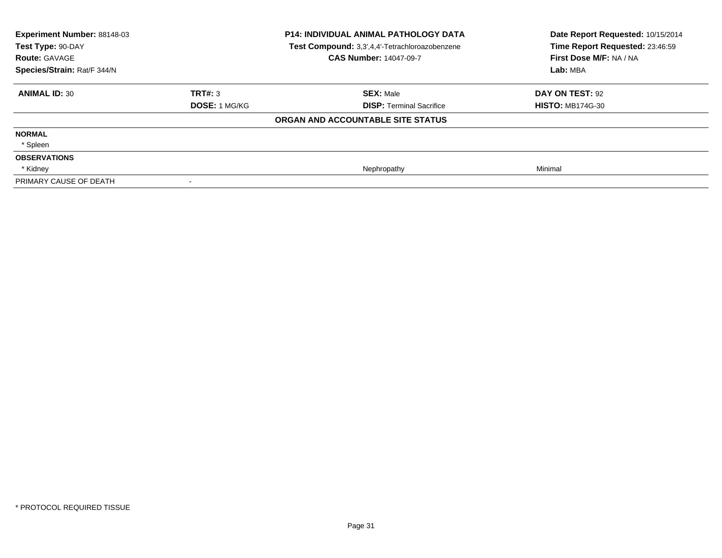| Experiment Number: 88148-03<br>Test Type: 90-DAY<br><b>Route: GAVAGE</b><br>Species/Strain: Rat/F 344/N |                      | P14: INDIVIDUAL ANIMAL PATHOLOGY DATA<br>Test Compound: 3,3',4,4'-Tetrachloroazobenzene<br><b>CAS Number: 14047-09-7</b> | Date Report Requested: 10/15/2014<br>Time Report Requested: 23:46:59<br>First Dose M/F: NA / NA<br>Lab: MBA |
|---------------------------------------------------------------------------------------------------------|----------------------|--------------------------------------------------------------------------------------------------------------------------|-------------------------------------------------------------------------------------------------------------|
| <b>ANIMAL ID: 30</b>                                                                                    | TRT#: 3              | <b>SEX: Male</b>                                                                                                         | DAY ON TEST: 92                                                                                             |
|                                                                                                         | <b>DOSE: 1 MG/KG</b> | <b>DISP: Terminal Sacrifice</b>                                                                                          | <b>HISTO: MB174G-30</b>                                                                                     |
|                                                                                                         |                      | ORGAN AND ACCOUNTABLE SITE STATUS                                                                                        |                                                                                                             |
| <b>NORMAL</b>                                                                                           |                      |                                                                                                                          |                                                                                                             |
| * Spleen                                                                                                |                      |                                                                                                                          |                                                                                                             |
| <b>OBSERVATIONS</b>                                                                                     |                      |                                                                                                                          |                                                                                                             |
| * Kidney                                                                                                |                      | Nephropathy                                                                                                              | Minimal                                                                                                     |
| PRIMARY CAUSE OF DEATH                                                                                  |                      |                                                                                                                          |                                                                                                             |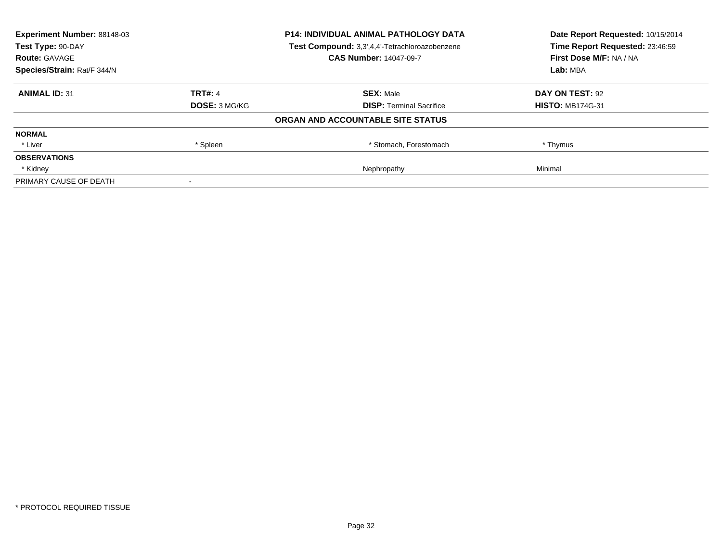| <b>Experiment Number: 88148-03</b> | <b>P14: INDIVIDUAL ANIMAL PATHOLOGY DATA</b> |                                                | Date Report Requested: 10/15/2014 |
|------------------------------------|----------------------------------------------|------------------------------------------------|-----------------------------------|
| Test Type: 90-DAY                  |                                              | Test Compound: 3,3',4,4'-Tetrachloroazobenzene | Time Report Requested: 23:46:59   |
| <b>Route: GAVAGE</b>               |                                              | <b>CAS Number: 14047-09-7</b>                  | First Dose M/F: NA / NA           |
| Species/Strain: Rat/F 344/N        |                                              |                                                | Lab: MBA                          |
| <b>ANIMAL ID: 31</b>               | <b>TRT#: 4</b>                               | <b>SEX: Male</b>                               | DAY ON TEST: 92                   |
|                                    | DOSE: 3 MG/KG                                | <b>DISP:</b> Terminal Sacrifice                | <b>HISTO: MB174G-31</b>           |
|                                    |                                              | ORGAN AND ACCOUNTABLE SITE STATUS              |                                   |
| <b>NORMAL</b>                      |                                              |                                                |                                   |
| * Liver                            | * Spleen                                     | * Stomach, Forestomach                         | * Thymus                          |
| <b>OBSERVATIONS</b>                |                                              |                                                |                                   |
| * Kidney                           |                                              | Nephropathy                                    | Minimal                           |
| PRIMARY CAUSE OF DEATH             |                                              |                                                |                                   |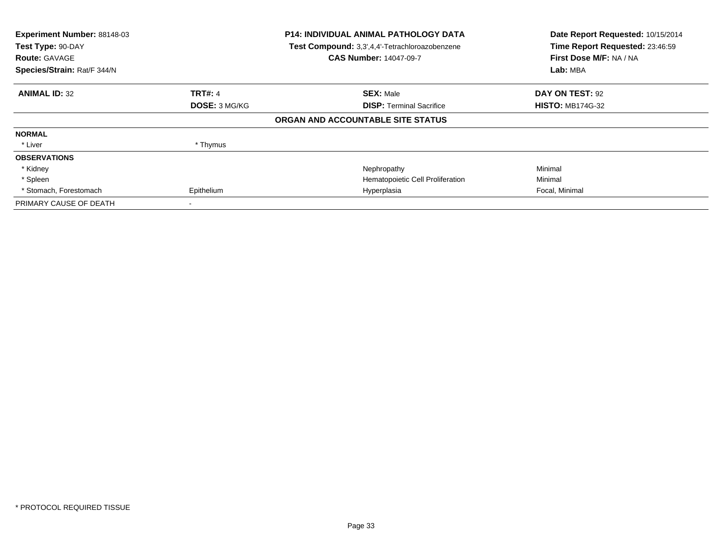| Experiment Number: 88148-03<br>Test Type: 90-DAY<br><b>Route: GAVAGE</b><br>Species/Strain: Rat/F 344/N |                      | <b>P14: INDIVIDUAL ANIMAL PATHOLOGY DATA</b><br>Test Compound: 3,3',4,4'-Tetrachloroazobenzene<br><b>CAS Number: 14047-09-7</b> | Date Report Requested: 10/15/2014<br>Time Report Requested: 23:46:59<br>First Dose M/F: NA / NA<br>Lab: MBA |
|---------------------------------------------------------------------------------------------------------|----------------------|---------------------------------------------------------------------------------------------------------------------------------|-------------------------------------------------------------------------------------------------------------|
|                                                                                                         |                      |                                                                                                                                 |                                                                                                             |
| <b>ANIMAL ID: 32</b>                                                                                    | <b>TRT#: 4</b>       | <b>SEX: Male</b>                                                                                                                | DAY ON TEST: 92                                                                                             |
|                                                                                                         | <b>DOSE: 3 MG/KG</b> | <b>DISP: Terminal Sacrifice</b>                                                                                                 | <b>HISTO: MB174G-32</b>                                                                                     |
|                                                                                                         |                      | ORGAN AND ACCOUNTABLE SITE STATUS                                                                                               |                                                                                                             |
| <b>NORMAL</b>                                                                                           |                      |                                                                                                                                 |                                                                                                             |
| * Liver                                                                                                 | * Thymus             |                                                                                                                                 |                                                                                                             |
| <b>OBSERVATIONS</b>                                                                                     |                      |                                                                                                                                 |                                                                                                             |
| * Kidney                                                                                                |                      | Nephropathy                                                                                                                     | Minimal                                                                                                     |
| * Spleen                                                                                                |                      | Hematopoietic Cell Proliferation                                                                                                | Minimal                                                                                                     |
| * Stomach, Forestomach                                                                                  | Epithelium           | Hyperplasia                                                                                                                     | Focal, Minimal                                                                                              |
| PRIMARY CAUSE OF DEATH                                                                                  |                      |                                                                                                                                 |                                                                                                             |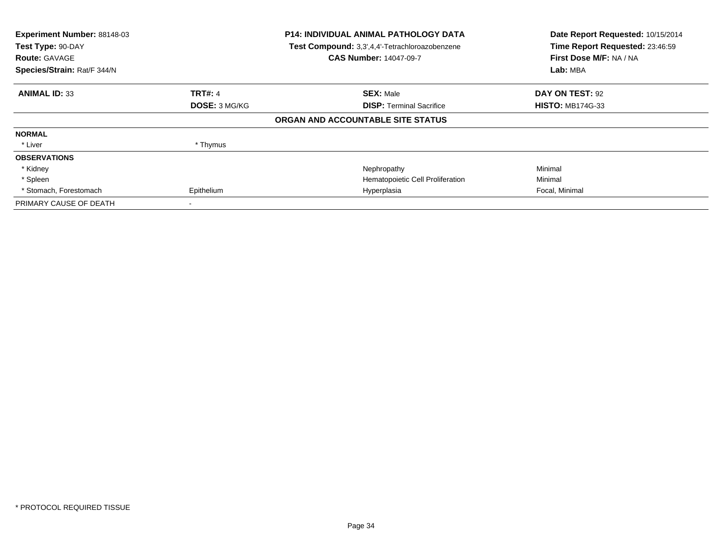| Experiment Number: 88148-03<br>Test Type: 90-DAY<br><b>Route: GAVAGE</b><br>Species/Strain: Rat/F 344/N |                | <b>P14: INDIVIDUAL ANIMAL PATHOLOGY DATA</b><br>Test Compound: 3,3',4,4'-Tetrachloroazobenzene<br><b>CAS Number: 14047-09-7</b> | Date Report Requested: 10/15/2014<br>Time Report Requested: 23:46:59<br>First Dose M/F: NA / NA<br>Lab: MBA |
|---------------------------------------------------------------------------------------------------------|----------------|---------------------------------------------------------------------------------------------------------------------------------|-------------------------------------------------------------------------------------------------------------|
| <b>ANIMAL ID: 33</b>                                                                                    | <b>TRT#: 4</b> | <b>SEX: Male</b>                                                                                                                | DAY ON TEST: 92                                                                                             |
|                                                                                                         | DOSE: 3 MG/KG  | <b>DISP: Terminal Sacrifice</b>                                                                                                 | <b>HISTO: MB174G-33</b>                                                                                     |
|                                                                                                         |                | ORGAN AND ACCOUNTABLE SITE STATUS                                                                                               |                                                                                                             |
| <b>NORMAL</b>                                                                                           |                |                                                                                                                                 |                                                                                                             |
| * Liver                                                                                                 | * Thymus       |                                                                                                                                 |                                                                                                             |
| <b>OBSERVATIONS</b>                                                                                     |                |                                                                                                                                 |                                                                                                             |
| * Kidney                                                                                                |                | Nephropathy                                                                                                                     | Minimal                                                                                                     |
| * Spleen                                                                                                |                | Hematopoietic Cell Proliferation                                                                                                | Minimal                                                                                                     |
| * Stomach, Forestomach                                                                                  | Epithelium     | Hyperplasia                                                                                                                     | Focal, Minimal                                                                                              |
| PRIMARY CAUSE OF DEATH                                                                                  |                |                                                                                                                                 |                                                                                                             |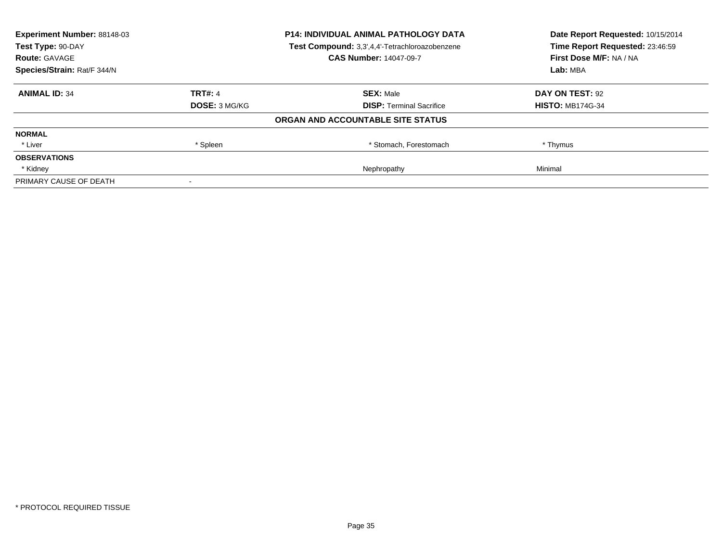| <b>Experiment Number: 88148-03</b> | <b>P14: INDIVIDUAL ANIMAL PATHOLOGY DATA</b> |                                                | Date Report Requested: 10/15/2014 |
|------------------------------------|----------------------------------------------|------------------------------------------------|-----------------------------------|
| Test Type: 90-DAY                  |                                              | Test Compound: 3,3',4,4'-Tetrachloroazobenzene | Time Report Requested: 23:46:59   |
| <b>Route: GAVAGE</b>               |                                              | <b>CAS Number: 14047-09-7</b>                  | First Dose M/F: NA / NA           |
| Species/Strain: Rat/F 344/N        |                                              |                                                | Lab: MBA                          |
| <b>ANIMAL ID: 34</b>               | <b>TRT#: 4</b>                               | <b>SEX: Male</b>                               | DAY ON TEST: 92                   |
|                                    | DOSE: 3 MG/KG                                | <b>DISP:</b> Terminal Sacrifice                | <b>HISTO: MB174G-34</b>           |
|                                    |                                              | ORGAN AND ACCOUNTABLE SITE STATUS              |                                   |
| <b>NORMAL</b>                      |                                              |                                                |                                   |
| * Liver                            | * Spleen                                     | * Stomach, Forestomach                         | * Thymus                          |
| <b>OBSERVATIONS</b>                |                                              |                                                |                                   |
| * Kidney                           |                                              | Nephropathy                                    | Minimal                           |
| PRIMARY CAUSE OF DEATH             |                                              |                                                |                                   |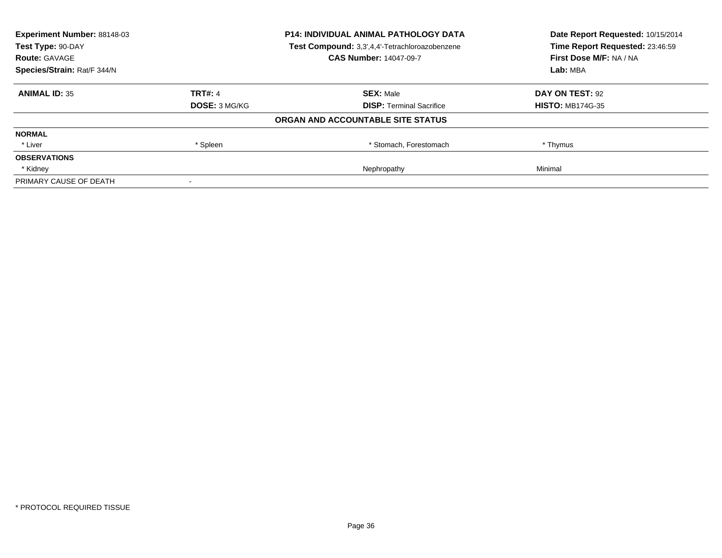| <b>Experiment Number: 88148-03</b> | <b>P14: INDIVIDUAL ANIMAL PATHOLOGY DATA</b> |                                                | Date Report Requested: 10/15/2014 |
|------------------------------------|----------------------------------------------|------------------------------------------------|-----------------------------------|
| Test Type: 90-DAY                  |                                              | Test Compound: 3,3',4,4'-Tetrachloroazobenzene | Time Report Requested: 23:46:59   |
| <b>Route: GAVAGE</b>               |                                              | <b>CAS Number: 14047-09-7</b>                  | First Dose M/F: NA / NA           |
| Species/Strain: Rat/F 344/N        |                                              |                                                | Lab: MBA                          |
| <b>ANIMAL ID: 35</b>               | <b>TRT#: 4</b>                               | <b>SEX: Male</b>                               | DAY ON TEST: 92                   |
|                                    | DOSE: 3 MG/KG                                | <b>DISP:</b> Terminal Sacrifice                | <b>HISTO: MB174G-35</b>           |
|                                    |                                              | ORGAN AND ACCOUNTABLE SITE STATUS              |                                   |
| <b>NORMAL</b>                      |                                              |                                                |                                   |
| * Liver                            | * Spleen                                     | * Stomach, Forestomach                         | * Thymus                          |
| <b>OBSERVATIONS</b>                |                                              |                                                |                                   |
| * Kidney                           |                                              | Nephropathy                                    | Minimal                           |
| PRIMARY CAUSE OF DEATH             |                                              |                                                |                                   |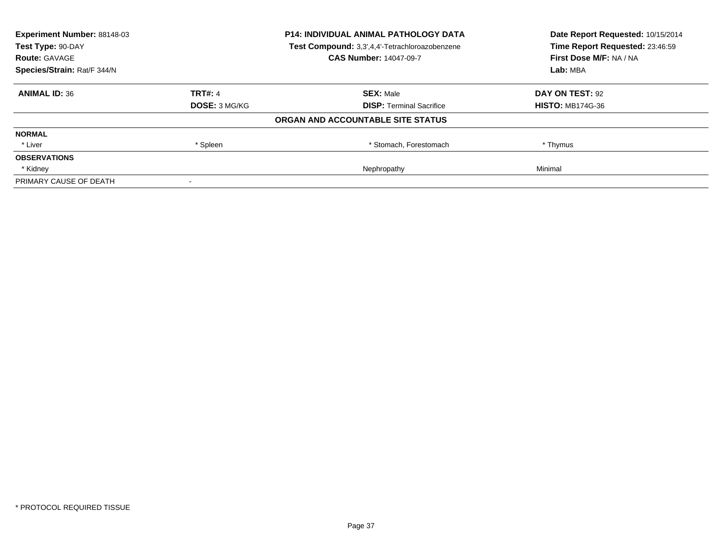| <b>Experiment Number: 88148-03</b><br>Test Type: 90-DAY |                | <b>P14: INDIVIDUAL ANIMAL PATHOLOGY DATA</b>   | Date Report Requested: 10/15/2014<br>Time Report Requested: 23:46:59 |  |
|---------------------------------------------------------|----------------|------------------------------------------------|----------------------------------------------------------------------|--|
|                                                         |                | Test Compound: 3,3',4,4'-Tetrachloroazobenzene |                                                                      |  |
| <b>Route: GAVAGE</b>                                    |                | <b>CAS Number: 14047-09-7</b>                  | First Dose M/F: NA / NA                                              |  |
| Species/Strain: Rat/F 344/N                             |                |                                                | Lab: MBA                                                             |  |
| <b>ANIMAL ID: 36</b>                                    | <b>TRT#: 4</b> | <b>SEX: Male</b>                               | DAY ON TEST: 92                                                      |  |
|                                                         | DOSE: 3 MG/KG  | <b>DISP:</b> Terminal Sacrifice                | <b>HISTO: MB174G-36</b>                                              |  |
|                                                         |                | ORGAN AND ACCOUNTABLE SITE STATUS              |                                                                      |  |
| <b>NORMAL</b>                                           |                |                                                |                                                                      |  |
| * Liver                                                 | * Spleen       | * Stomach, Forestomach                         | * Thymus                                                             |  |
| <b>OBSERVATIONS</b>                                     |                |                                                |                                                                      |  |
| * Kidney                                                |                | Nephropathy                                    | Minimal                                                              |  |
| PRIMARY CAUSE OF DEATH                                  |                |                                                |                                                                      |  |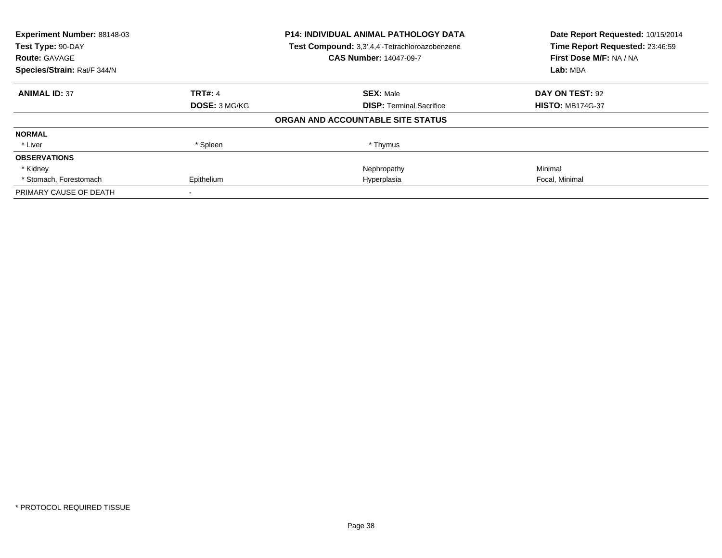| Experiment Number: 88148-03<br>Test Type: 90-DAY |                | <b>P14: INDIVIDUAL ANIMAL PATHOLOGY DATA</b>   | Date Report Requested: 10/15/2014<br>Time Report Requested: 23:46:59 |
|--------------------------------------------------|----------------|------------------------------------------------|----------------------------------------------------------------------|
|                                                  |                | Test Compound: 3,3',4,4'-Tetrachloroazobenzene |                                                                      |
| <b>Route: GAVAGE</b>                             |                | <b>CAS Number: 14047-09-7</b>                  | First Dose M/F: NA / NA                                              |
| Species/Strain: Rat/F 344/N                      |                |                                                | Lab: MBA                                                             |
| <b>ANIMAL ID: 37</b>                             | <b>TRT#: 4</b> | <b>SEX: Male</b>                               | DAY ON TEST: 92                                                      |
|                                                  | DOSE: 3 MG/KG  | <b>DISP:</b> Terminal Sacrifice                | <b>HISTO: MB174G-37</b>                                              |
|                                                  |                | ORGAN AND ACCOUNTABLE SITE STATUS              |                                                                      |
| <b>NORMAL</b>                                    |                |                                                |                                                                      |
| * Liver                                          | * Spleen       | * Thymus                                       |                                                                      |
| <b>OBSERVATIONS</b>                              |                |                                                |                                                                      |
| * Kidney                                         |                | Nephropathy                                    | Minimal                                                              |
| * Stomach, Forestomach                           | Epithelium     | Hyperplasia                                    | Focal, Minimal                                                       |
| PRIMARY CAUSE OF DEATH                           |                |                                                |                                                                      |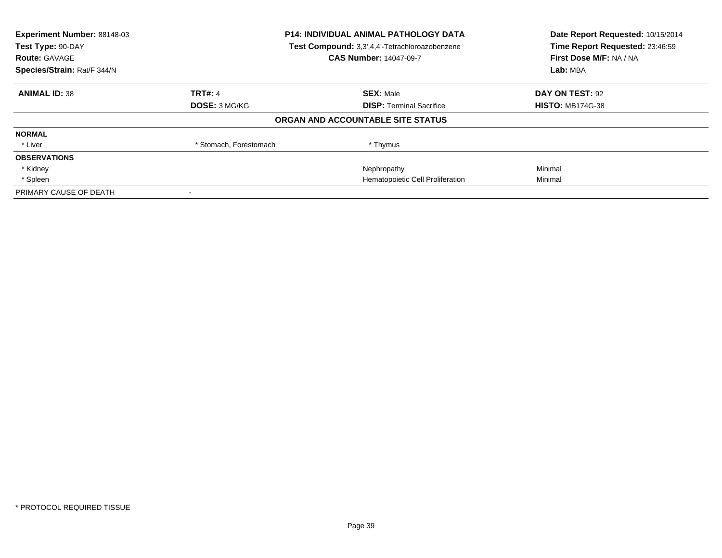| Experiment Number: 88148-03<br>Test Type: 90-DAY<br><b>Route: GAVAGE</b> | <b>P14: INDIVIDUAL ANIMAL PATHOLOGY DATA</b><br>Test Compound: 3,3',4,4'-Tetrachloroazobenzene<br><b>CAS Number: 14047-09-7</b> |                                   | Date Report Requested: 10/15/2014<br>Time Report Requested: 23:46:59<br>First Dose M/F: NA / NA |
|--------------------------------------------------------------------------|---------------------------------------------------------------------------------------------------------------------------------|-----------------------------------|-------------------------------------------------------------------------------------------------|
| Species/Strain: Rat/F 344/N                                              |                                                                                                                                 |                                   | Lab: MBA                                                                                        |
| <b>ANIMAL ID: 38</b>                                                     | <b>TRT#: 4</b>                                                                                                                  | <b>SEX: Male</b>                  | DAY ON TEST: 92                                                                                 |
|                                                                          | <b>DOSE: 3 MG/KG</b>                                                                                                            | <b>DISP:</b> Terminal Sacrifice   | <b>HISTO: MB174G-38</b>                                                                         |
|                                                                          |                                                                                                                                 | ORGAN AND ACCOUNTABLE SITE STATUS |                                                                                                 |
| <b>NORMAL</b>                                                            |                                                                                                                                 |                                   |                                                                                                 |
| * Liver                                                                  | * Stomach, Forestomach                                                                                                          | * Thymus                          |                                                                                                 |
| <b>OBSERVATIONS</b>                                                      |                                                                                                                                 |                                   |                                                                                                 |
| * Kidney                                                                 |                                                                                                                                 | Nephropathy                       | Minimal                                                                                         |
| * Spleen                                                                 |                                                                                                                                 | Hematopoietic Cell Proliferation  | Minimal                                                                                         |
| PRIMARY CAUSE OF DEATH                                                   |                                                                                                                                 |                                   |                                                                                                 |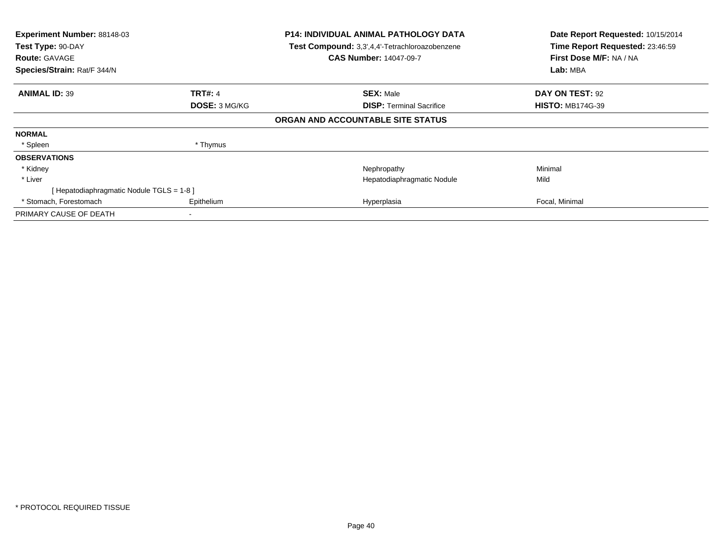| Experiment Number: 88148-03<br>Test Type: 90-DAY<br><b>Route: GAVAGE</b><br>Species/Strain: Rat/F 344/N |                | <b>P14: INDIVIDUAL ANIMAL PATHOLOGY DATA</b><br>Test Compound: 3,3',4,4'-Tetrachloroazobenzene<br><b>CAS Number: 14047-09-7</b> | Date Report Requested: 10/15/2014<br>Time Report Requested: 23:46:59<br>First Dose M/F: NA / NA<br>Lab: MBA |
|---------------------------------------------------------------------------------------------------------|----------------|---------------------------------------------------------------------------------------------------------------------------------|-------------------------------------------------------------------------------------------------------------|
|                                                                                                         |                |                                                                                                                                 |                                                                                                             |
| <b>ANIMAL ID: 39</b>                                                                                    | <b>TRT#: 4</b> | <b>SEX: Male</b>                                                                                                                | DAY ON TEST: 92                                                                                             |
|                                                                                                         | DOSE: 3 MG/KG  | <b>DISP: Terminal Sacrifice</b>                                                                                                 | <b>HISTO: MB174G-39</b>                                                                                     |
|                                                                                                         |                | ORGAN AND ACCOUNTABLE SITE STATUS                                                                                               |                                                                                                             |
| <b>NORMAL</b>                                                                                           |                |                                                                                                                                 |                                                                                                             |
| * Spleen                                                                                                | * Thymus       |                                                                                                                                 |                                                                                                             |
| <b>OBSERVATIONS</b>                                                                                     |                |                                                                                                                                 |                                                                                                             |
| * Kidney                                                                                                |                | Nephropathy                                                                                                                     | Minimal                                                                                                     |
| * Liver                                                                                                 |                | Hepatodiaphragmatic Nodule                                                                                                      | Mild                                                                                                        |
| [Hepatodiaphragmatic Nodule TGLS = 1-8]                                                                 |                |                                                                                                                                 |                                                                                                             |
| * Stomach, Forestomach                                                                                  | Epithelium     | Hyperplasia                                                                                                                     | Focal, Minimal                                                                                              |
| PRIMARY CAUSE OF DEATH                                                                                  |                |                                                                                                                                 |                                                                                                             |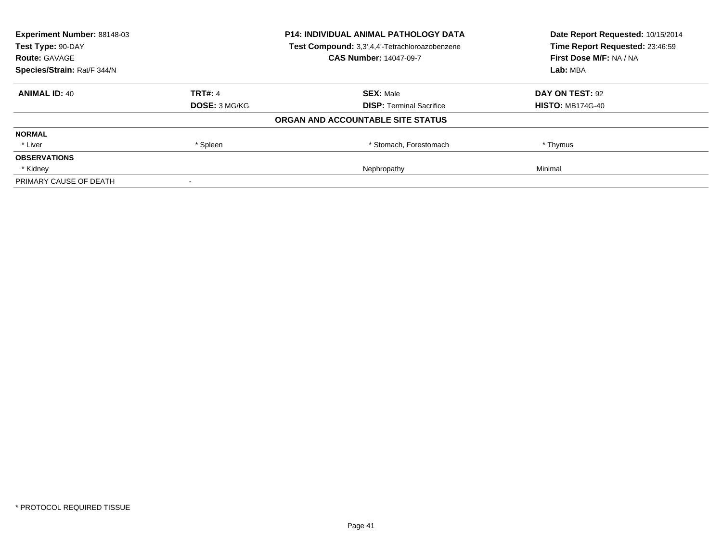| <b>Experiment Number: 88148-03</b><br>Test Type: 90-DAY |                | <b>P14: INDIVIDUAL ANIMAL PATHOLOGY DATA</b>   | Date Report Requested: 10/15/2014<br>Time Report Requested: 23:46:59 |
|---------------------------------------------------------|----------------|------------------------------------------------|----------------------------------------------------------------------|
|                                                         |                | Test Compound: 3,3',4,4'-Tetrachloroazobenzene |                                                                      |
| <b>Route: GAVAGE</b>                                    |                | <b>CAS Number: 14047-09-7</b>                  | First Dose M/F: NA / NA                                              |
| Species/Strain: Rat/F 344/N                             |                | Lab: MBA                                       |                                                                      |
| <b>ANIMAL ID: 40</b>                                    | <b>TRT#: 4</b> | <b>SEX: Male</b>                               | DAY ON TEST: 92                                                      |
|                                                         | DOSE: 3 MG/KG  | <b>DISP:</b> Terminal Sacrifice                | <b>HISTO: MB174G-40</b>                                              |
|                                                         |                | ORGAN AND ACCOUNTABLE SITE STATUS              |                                                                      |
| <b>NORMAL</b>                                           |                |                                                |                                                                      |
| * Liver                                                 | * Spleen       | * Stomach, Forestomach                         | * Thymus                                                             |
| <b>OBSERVATIONS</b>                                     |                |                                                |                                                                      |
| * Kidney                                                |                | Nephropathy                                    | Minimal                                                              |
| PRIMARY CAUSE OF DEATH                                  |                |                                                |                                                                      |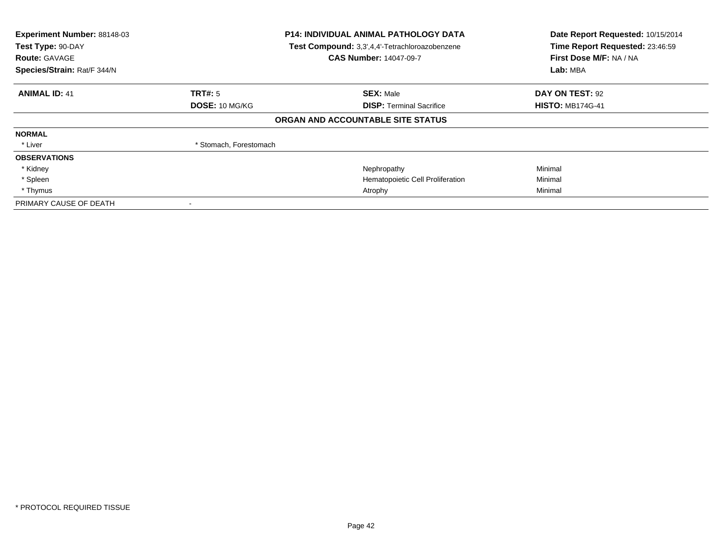| Experiment Number: 88148-03<br>Test Type: 90-DAY<br><b>Route: GAVAGE</b><br>Species/Strain: Rat/F 344/N |                        | <b>P14: INDIVIDUAL ANIMAL PATHOLOGY DATA</b><br>Test Compound: 3,3',4,4'-Tetrachloroazobenzene<br><b>CAS Number: 14047-09-7</b> | Date Report Requested: 10/15/2014<br>Time Report Requested: 23:46:59<br>First Dose M/F: NA / NA<br>Lab: MBA |
|---------------------------------------------------------------------------------------------------------|------------------------|---------------------------------------------------------------------------------------------------------------------------------|-------------------------------------------------------------------------------------------------------------|
| <b>ANIMAL ID: 41</b>                                                                                    | <b>TRT#:</b> 5         | <b>SEX: Male</b>                                                                                                                | DAY ON TEST: 92                                                                                             |
|                                                                                                         | <b>DOSE: 10 MG/KG</b>  | <b>DISP:</b> Terminal Sacrifice                                                                                                 | <b>HISTO: MB174G-41</b>                                                                                     |
|                                                                                                         |                        | ORGAN AND ACCOUNTABLE SITE STATUS                                                                                               |                                                                                                             |
| <b>NORMAL</b>                                                                                           |                        |                                                                                                                                 |                                                                                                             |
| * Liver                                                                                                 | * Stomach, Forestomach |                                                                                                                                 |                                                                                                             |
| <b>OBSERVATIONS</b>                                                                                     |                        |                                                                                                                                 |                                                                                                             |
| * Kidney                                                                                                |                        | Nephropathy                                                                                                                     | Minimal                                                                                                     |
| * Spleen                                                                                                |                        | Hematopoietic Cell Proliferation                                                                                                | Minimal                                                                                                     |
| * Thymus                                                                                                |                        | Atrophy                                                                                                                         | Minimal                                                                                                     |
| PRIMARY CAUSE OF DEATH                                                                                  | $\,$ $\,$              |                                                                                                                                 |                                                                                                             |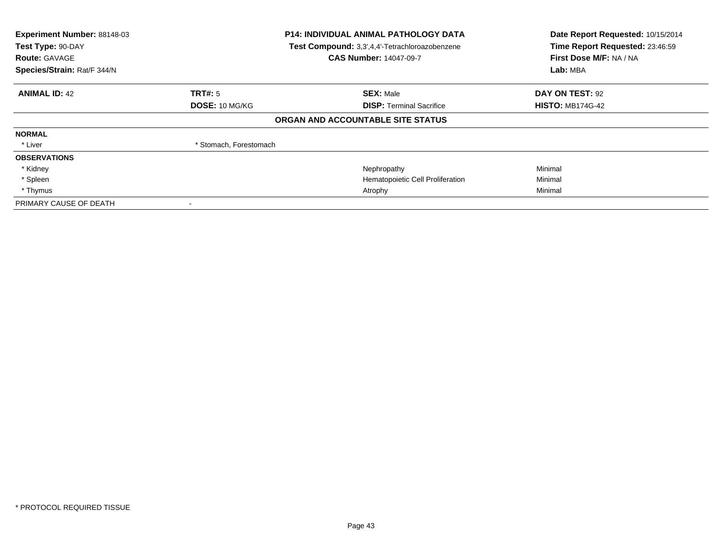| Experiment Number: 88148-03<br>Test Type: 90-DAY<br><b>Route: GAVAGE</b><br>Species/Strain: Rat/F 344/N |                        | <b>P14: INDIVIDUAL ANIMAL PATHOLOGY DATA</b><br>Test Compound: 3,3',4,4'-Tetrachloroazobenzene<br><b>CAS Number: 14047-09-7</b> | Date Report Requested: 10/15/2014<br>Time Report Requested: 23:46:59<br>First Dose M/F: NA / NA<br>Lab: MBA |
|---------------------------------------------------------------------------------------------------------|------------------------|---------------------------------------------------------------------------------------------------------------------------------|-------------------------------------------------------------------------------------------------------------|
| <b>ANIMAL ID: 42</b>                                                                                    | TRT#: 5                | <b>SEX: Male</b>                                                                                                                | DAY ON TEST: 92                                                                                             |
|                                                                                                         | DOSE: 10 MG/KG         | <b>DISP:</b> Terminal Sacrifice                                                                                                 | <b>HISTO: MB174G-42</b>                                                                                     |
|                                                                                                         |                        | ORGAN AND ACCOUNTABLE SITE STATUS                                                                                               |                                                                                                             |
| <b>NORMAL</b>                                                                                           |                        |                                                                                                                                 |                                                                                                             |
| * Liver                                                                                                 | * Stomach, Forestomach |                                                                                                                                 |                                                                                                             |
| <b>OBSERVATIONS</b>                                                                                     |                        |                                                                                                                                 |                                                                                                             |
| * Kidney                                                                                                |                        | Nephropathy                                                                                                                     | Minimal                                                                                                     |
| * Spleen                                                                                                |                        | Hematopoietic Cell Proliferation                                                                                                | Minimal                                                                                                     |
| * Thymus                                                                                                |                        | Atrophy                                                                                                                         | Minimal                                                                                                     |
| PRIMARY CAUSE OF DEATH                                                                                  | $\,$ $\,$              |                                                                                                                                 |                                                                                                             |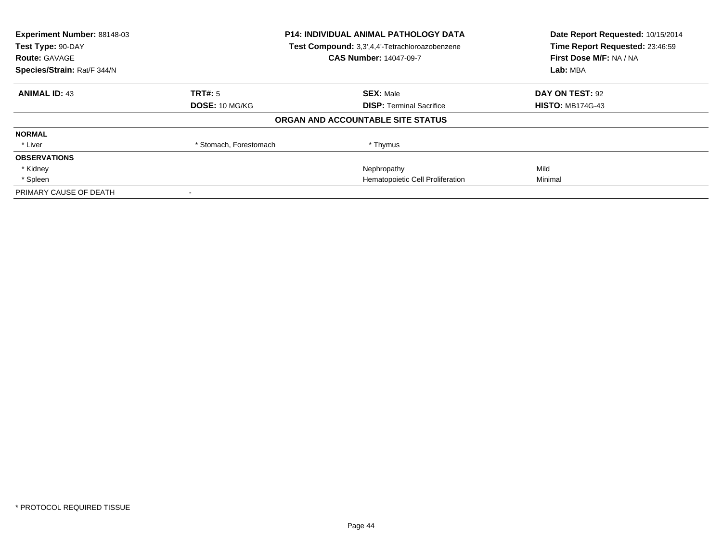| Experiment Number: 88148-03<br>Test Type: 90-DAY<br><b>Route: GAVAGE</b> | <b>P14: INDIVIDUAL ANIMAL PATHOLOGY DATA</b><br>Test Compound: 3,3',4,4'-Tetrachloroazobenzene<br><b>CAS Number: 14047-09-7</b> |                                   | Date Report Requested: 10/15/2014<br>Time Report Requested: 23:46:59<br>First Dose M/F: NA / NA |
|--------------------------------------------------------------------------|---------------------------------------------------------------------------------------------------------------------------------|-----------------------------------|-------------------------------------------------------------------------------------------------|
| Species/Strain: Rat/F 344/N                                              |                                                                                                                                 | Lab: MBA                          |                                                                                                 |
| <b>ANIMAL ID: 43</b>                                                     | TRT#: 5                                                                                                                         | <b>SEX: Male</b>                  | DAY ON TEST: 92                                                                                 |
|                                                                          | <b>DOSE: 10 MG/KG</b>                                                                                                           | <b>DISP:</b> Terminal Sacrifice   | <b>HISTO: MB174G-43</b>                                                                         |
|                                                                          |                                                                                                                                 | ORGAN AND ACCOUNTABLE SITE STATUS |                                                                                                 |
| <b>NORMAL</b>                                                            |                                                                                                                                 |                                   |                                                                                                 |
| * Liver                                                                  | * Stomach, Forestomach                                                                                                          | * Thymus                          |                                                                                                 |
| <b>OBSERVATIONS</b>                                                      |                                                                                                                                 |                                   |                                                                                                 |
| * Kidney                                                                 |                                                                                                                                 | Nephropathy                       | Mild                                                                                            |
| * Spleen                                                                 |                                                                                                                                 | Hematopoietic Cell Proliferation  | Minimal                                                                                         |
| PRIMARY CAUSE OF DEATH                                                   |                                                                                                                                 |                                   |                                                                                                 |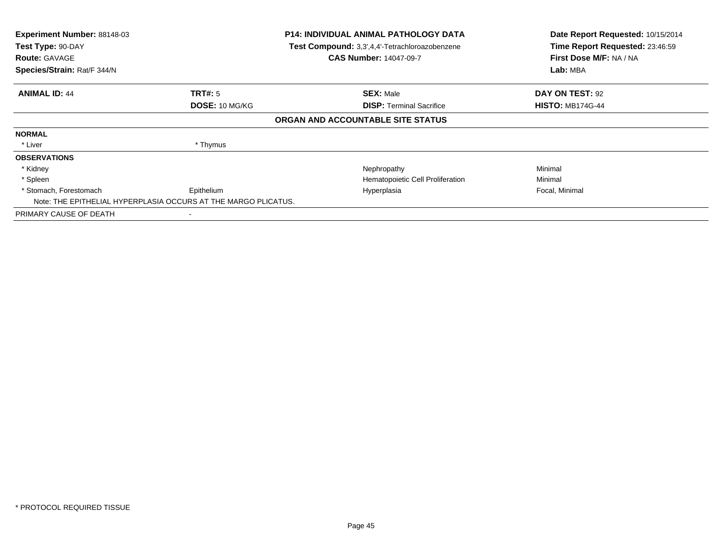| Experiment Number: 88148-03<br>Test Type: 90-DAY<br><b>Route: GAVAGE</b><br>Species/Strain: Rat/F 344/N |                                  | P14: INDIVIDUAL ANIMAL PATHOLOGY DATA<br>Test Compound: 3,3',4,4'-Tetrachloroazobenzene<br><b>CAS Number: 14047-09-7</b> | Date Report Requested: 10/15/2014<br>Time Report Requested: 23:46:59<br>First Dose M/F: NA / NA<br>Lab: MBA |
|---------------------------------------------------------------------------------------------------------|----------------------------------|--------------------------------------------------------------------------------------------------------------------------|-------------------------------------------------------------------------------------------------------------|
| <b>ANIMAL ID: 44</b>                                                                                    | TRT#: 5<br><b>DOSE: 10 MG/KG</b> | <b>SEX: Male</b><br><b>DISP:</b> Terminal Sacrifice                                                                      | DAY ON TEST: 92<br><b>HISTO: MB174G-44</b>                                                                  |
|                                                                                                         |                                  | ORGAN AND ACCOUNTABLE SITE STATUS                                                                                        |                                                                                                             |
| <b>NORMAL</b>                                                                                           |                                  |                                                                                                                          |                                                                                                             |
| * Liver                                                                                                 | * Thymus                         |                                                                                                                          |                                                                                                             |
| <b>OBSERVATIONS</b>                                                                                     |                                  |                                                                                                                          |                                                                                                             |
| * Kidney                                                                                                |                                  | Nephropathy                                                                                                              | Minimal                                                                                                     |
| * Spleen                                                                                                |                                  | Hematopoietic Cell Proliferation                                                                                         | Minimal                                                                                                     |
| * Stomach, Forestomach<br>Note: THE EPITHELIAL HYPERPLASIA OCCURS AT THE MARGO PLICATUS.                | Epithelium                       | Hyperplasia                                                                                                              | Focal, Minimal                                                                                              |
| PRIMARY CAUSE OF DEATH                                                                                  |                                  |                                                                                                                          |                                                                                                             |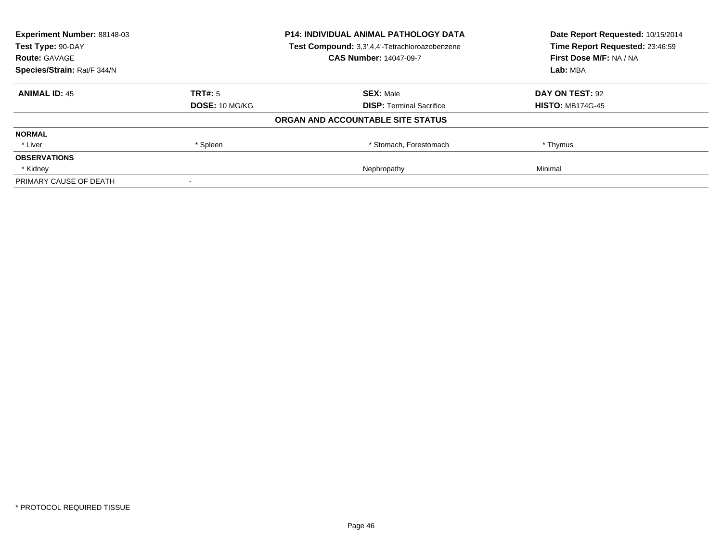| <b>Experiment Number: 88148-03</b><br>Test Type: 90-DAY |                       | <b>P14: INDIVIDUAL ANIMAL PATHOLOGY DATA</b>   | Date Report Requested: 10/15/2014<br>Time Report Requested: 23:46:59 |
|---------------------------------------------------------|-----------------------|------------------------------------------------|----------------------------------------------------------------------|
|                                                         |                       | Test Compound: 3,3',4,4'-Tetrachloroazobenzene |                                                                      |
| <b>Route: GAVAGE</b>                                    |                       | <b>CAS Number: 14047-09-7</b>                  | First Dose M/F: NA / NA                                              |
| Species/Strain: Rat/F 344/N                             |                       | Lab: MBA                                       |                                                                      |
| <b>ANIMAL ID: 45</b>                                    | <b>TRT#: 5</b>        | <b>SEX: Male</b>                               | DAY ON TEST: 92                                                      |
|                                                         | <b>DOSE: 10 MG/KG</b> | <b>DISP:</b> Terminal Sacrifice                | <b>HISTO: MB174G-45</b>                                              |
|                                                         |                       | ORGAN AND ACCOUNTABLE SITE STATUS              |                                                                      |
| <b>NORMAL</b>                                           |                       |                                                |                                                                      |
| * Liver                                                 | * Spleen              | * Stomach, Forestomach                         | * Thymus                                                             |
| <b>OBSERVATIONS</b>                                     |                       |                                                |                                                                      |
| * Kidney                                                |                       | Nephropathy                                    | Minimal                                                              |
| PRIMARY CAUSE OF DEATH                                  |                       |                                                |                                                                      |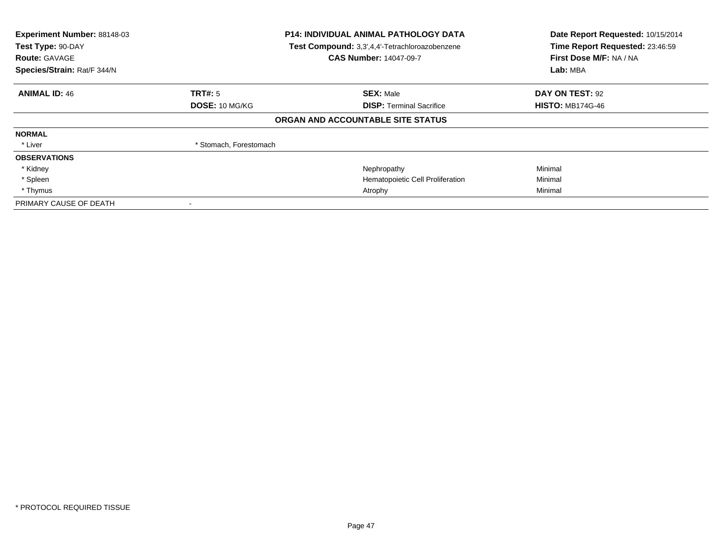| Experiment Number: 88148-03<br>Test Type: 90-DAY<br><b>Route: GAVAGE</b><br>Species/Strain: Rat/F 344/N |                        | <b>P14: INDIVIDUAL ANIMAL PATHOLOGY DATA</b><br>Test Compound: 3,3',4,4'-Tetrachloroazobenzene<br><b>CAS Number: 14047-09-7</b> | Date Report Requested: 10/15/2014<br>Time Report Requested: 23:46:59<br>First Dose M/F: NA / NA<br>Lab: MBA |
|---------------------------------------------------------------------------------------------------------|------------------------|---------------------------------------------------------------------------------------------------------------------------------|-------------------------------------------------------------------------------------------------------------|
| <b>ANIMAL ID: 46</b>                                                                                    | TRT#: 5                | <b>SEX: Male</b>                                                                                                                | DAY ON TEST: 92                                                                                             |
|                                                                                                         | DOSE: 10 MG/KG         | <b>DISP:</b> Terminal Sacrifice                                                                                                 | <b>HISTO: MB174G-46</b>                                                                                     |
|                                                                                                         |                        | ORGAN AND ACCOUNTABLE SITE STATUS                                                                                               |                                                                                                             |
| <b>NORMAL</b>                                                                                           |                        |                                                                                                                                 |                                                                                                             |
| * Liver                                                                                                 | * Stomach, Forestomach |                                                                                                                                 |                                                                                                             |
| <b>OBSERVATIONS</b>                                                                                     |                        |                                                                                                                                 |                                                                                                             |
| * Kidney                                                                                                |                        | Nephropathy                                                                                                                     | Minimal                                                                                                     |
| * Spleen                                                                                                |                        | Hematopoietic Cell Proliferation                                                                                                | Minimal                                                                                                     |
| * Thymus                                                                                                |                        | Atrophy                                                                                                                         | Minimal                                                                                                     |
| PRIMARY CAUSE OF DEATH                                                                                  | $\,$ $\,$              |                                                                                                                                 |                                                                                                             |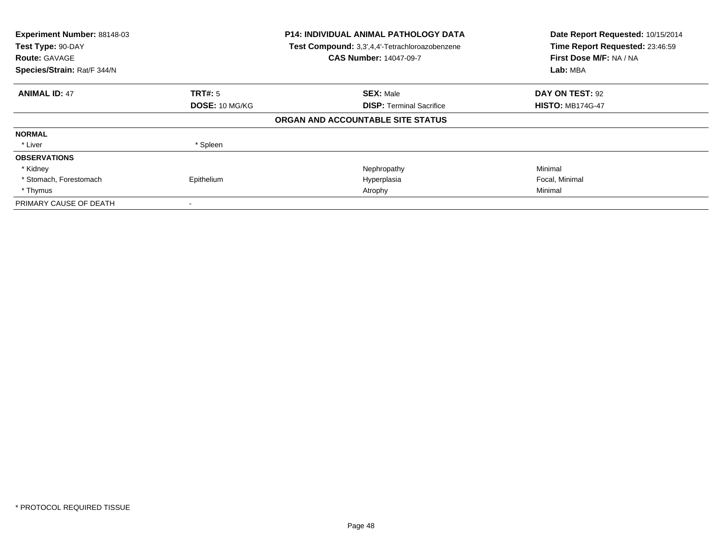| Experiment Number: 88148-03<br>Test Type: 90-DAY<br><b>Route: GAVAGE</b><br>Species/Strain: Rat/F 344/N |                | <b>P14: INDIVIDUAL ANIMAL PATHOLOGY DATA</b><br>Test Compound: 3,3',4,4'-Tetrachloroazobenzene<br><b>CAS Number: 14047-09-7</b> | Date Report Requested: 10/15/2014<br>Time Report Requested: 23:46:59<br>First Dose M/F: NA / NA<br>Lab: MBA |
|---------------------------------------------------------------------------------------------------------|----------------|---------------------------------------------------------------------------------------------------------------------------------|-------------------------------------------------------------------------------------------------------------|
| <b>ANIMAL ID: 47</b>                                                                                    | <b>TRT#: 5</b> | <b>SEX: Male</b>                                                                                                                | DAY ON TEST: 92                                                                                             |
|                                                                                                         | DOSE: 10 MG/KG | <b>DISP: Terminal Sacrifice</b>                                                                                                 | <b>HISTO: MB174G-47</b>                                                                                     |
|                                                                                                         |                | ORGAN AND ACCOUNTABLE SITE STATUS                                                                                               |                                                                                                             |
| <b>NORMAL</b>                                                                                           |                |                                                                                                                                 |                                                                                                             |
| * Liver                                                                                                 | * Spleen       |                                                                                                                                 |                                                                                                             |
| <b>OBSERVATIONS</b>                                                                                     |                |                                                                                                                                 |                                                                                                             |
| * Kidney                                                                                                |                | Nephropathy                                                                                                                     | Minimal                                                                                                     |
| * Stomach, Forestomach                                                                                  | Epithelium     | Hyperplasia                                                                                                                     | Focal, Minimal                                                                                              |
| * Thymus                                                                                                |                | Atrophy                                                                                                                         | Minimal                                                                                                     |
| PRIMARY CAUSE OF DEATH                                                                                  |                |                                                                                                                                 |                                                                                                             |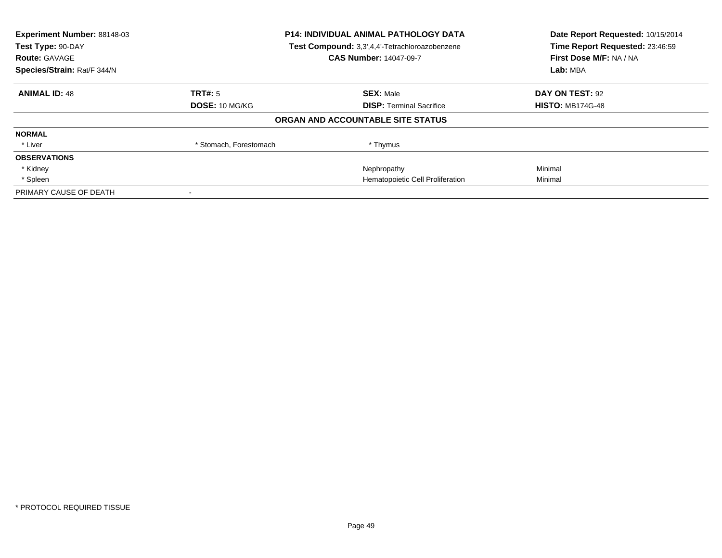| Experiment Number: 88148-03<br>Test Type: 90-DAY<br><b>Route: GAVAGE</b> | <b>P14: INDIVIDUAL ANIMAL PATHOLOGY DATA</b><br>Test Compound: 3,3',4,4'-Tetrachloroazobenzene<br><b>CAS Number: 14047-09-7</b> |                                   | Date Report Requested: 10/15/2014<br>Time Report Requested: 23:46:59<br>First Dose M/F: NA / NA |  |
|--------------------------------------------------------------------------|---------------------------------------------------------------------------------------------------------------------------------|-----------------------------------|-------------------------------------------------------------------------------------------------|--|
| Species/Strain: Rat/F 344/N                                              |                                                                                                                                 |                                   | Lab: MBA                                                                                        |  |
| <b>ANIMAL ID: 48</b>                                                     | TRT#: 5                                                                                                                         | <b>SEX: Male</b>                  | DAY ON TEST: 92                                                                                 |  |
|                                                                          | DOSE: 10 MG/KG                                                                                                                  | <b>DISP:</b> Terminal Sacrifice   | <b>HISTO: MB174G-48</b>                                                                         |  |
|                                                                          |                                                                                                                                 | ORGAN AND ACCOUNTABLE SITE STATUS |                                                                                                 |  |
| <b>NORMAL</b>                                                            |                                                                                                                                 |                                   |                                                                                                 |  |
| * Liver                                                                  | * Stomach, Forestomach                                                                                                          | * Thymus                          |                                                                                                 |  |
| <b>OBSERVATIONS</b>                                                      |                                                                                                                                 |                                   |                                                                                                 |  |
| * Kidney                                                                 |                                                                                                                                 | Nephropathy                       | Minimal                                                                                         |  |
| * Spleen                                                                 |                                                                                                                                 | Hematopoietic Cell Proliferation  | Minimal                                                                                         |  |
| PRIMARY CAUSE OF DEATH                                                   |                                                                                                                                 |                                   |                                                                                                 |  |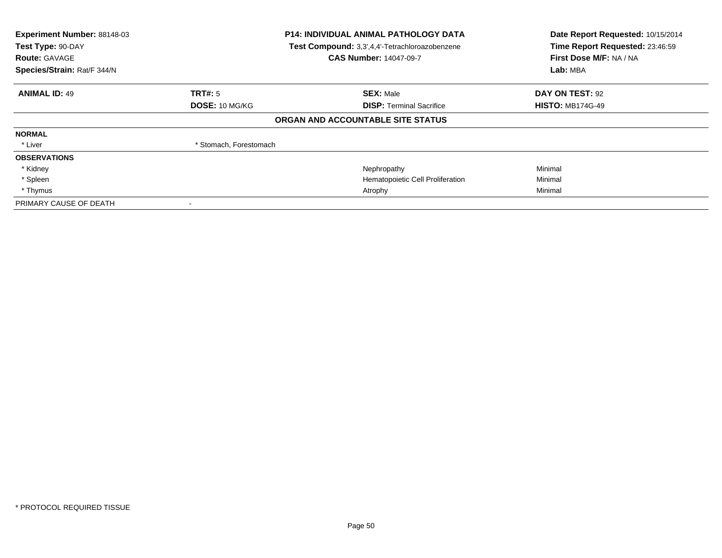| Experiment Number: 88148-03<br>Test Type: 90-DAY<br><b>Route: GAVAGE</b><br>Species/Strain: Rat/F 344/N | <b>P14: INDIVIDUAL ANIMAL PATHOLOGY DATA</b><br>Test Compound: 3,3',4,4'-Tetrachloroazobenzene<br><b>CAS Number: 14047-09-7</b> |                                   | Date Report Requested: 10/15/2014<br>Time Report Requested: 23:46:59<br>First Dose M/F: NA / NA<br>Lab: MBA |
|---------------------------------------------------------------------------------------------------------|---------------------------------------------------------------------------------------------------------------------------------|-----------------------------------|-------------------------------------------------------------------------------------------------------------|
| <b>ANIMAL ID: 49</b>                                                                                    | TRT#: 5                                                                                                                         | <b>SEX: Male</b>                  | DAY ON TEST: 92                                                                                             |
|                                                                                                         | DOSE: 10 MG/KG                                                                                                                  | <b>DISP:</b> Terminal Sacrifice   | <b>HISTO: MB174G-49</b>                                                                                     |
|                                                                                                         |                                                                                                                                 | ORGAN AND ACCOUNTABLE SITE STATUS |                                                                                                             |
| <b>NORMAL</b>                                                                                           |                                                                                                                                 |                                   |                                                                                                             |
| * Liver                                                                                                 | * Stomach, Forestomach                                                                                                          |                                   |                                                                                                             |
| <b>OBSERVATIONS</b>                                                                                     |                                                                                                                                 |                                   |                                                                                                             |
| * Kidney                                                                                                |                                                                                                                                 | Nephropathy                       | Minimal                                                                                                     |
| * Spleen                                                                                                |                                                                                                                                 | Hematopoietic Cell Proliferation  | Minimal                                                                                                     |
| * Thymus                                                                                                |                                                                                                                                 | Atrophy                           | Minimal                                                                                                     |
| PRIMARY CAUSE OF DEATH                                                                                  | $\,$ $\,$                                                                                                                       |                                   |                                                                                                             |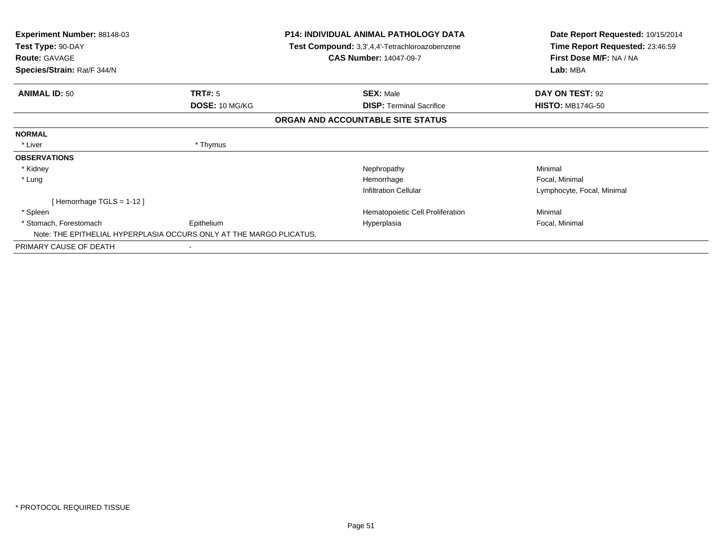| <b>Experiment Number: 88148-03</b><br>Test Type: 90-DAY             |                | <b>P14: INDIVIDUAL ANIMAL PATHOLOGY DATA</b><br>Test Compound: 3,3',4,4'-Tetrachloroazobenzene | Date Report Requested: 10/15/2014<br>Time Report Requested: 23:46:59 |  |
|---------------------------------------------------------------------|----------------|------------------------------------------------------------------------------------------------|----------------------------------------------------------------------|--|
| <b>Route: GAVAGE</b><br>Species/Strain: Rat/F 344/N                 |                | <b>CAS Number: 14047-09-7</b>                                                                  | First Dose M/F: NA / NA<br>Lab: MBA                                  |  |
|                                                                     |                |                                                                                                |                                                                      |  |
| <b>ANIMAL ID: 50</b>                                                | TRT#: 5        | <b>SEX: Male</b>                                                                               | DAY ON TEST: 92                                                      |  |
|                                                                     | DOSE: 10 MG/KG | <b>DISP:</b> Terminal Sacrifice                                                                | <b>HISTO: MB174G-50</b>                                              |  |
|                                                                     |                | ORGAN AND ACCOUNTABLE SITE STATUS                                                              |                                                                      |  |
| <b>NORMAL</b>                                                       |                |                                                                                                |                                                                      |  |
| * Liver                                                             | * Thymus       |                                                                                                |                                                                      |  |
| <b>OBSERVATIONS</b>                                                 |                |                                                                                                |                                                                      |  |
| * Kidney                                                            |                | Nephropathy                                                                                    | Minimal                                                              |  |
| * Lung                                                              |                | Hemorrhage                                                                                     | Focal, Minimal                                                       |  |
|                                                                     |                | <b>Infiltration Cellular</b>                                                                   | Lymphocyte, Focal, Minimal                                           |  |
| [Hemorrhage TGLS = $1-12$ ]                                         |                |                                                                                                |                                                                      |  |
| * Spleen                                                            |                | Hematopoietic Cell Proliferation                                                               | Minimal                                                              |  |
| * Stomach, Forestomach                                              | Epithelium     | Hyperplasia                                                                                    | Focal, Minimal                                                       |  |
| Note: THE EPITHELIAL HYPERPLASIA OCCURS ONLY AT THE MARGO PLICATUS. |                |                                                                                                |                                                                      |  |
| PRIMARY CAUSE OF DEATH                                              |                |                                                                                                |                                                                      |  |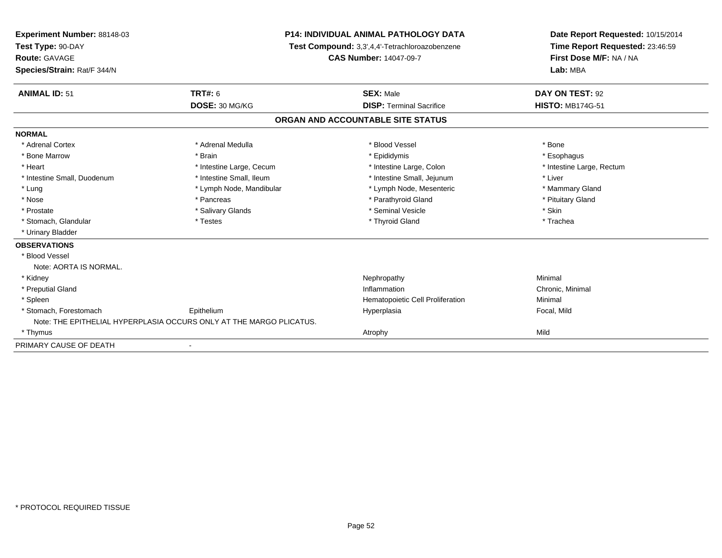| Experiment Number: 88148-03<br>Test Type: 90-DAY<br><b>Route: GAVAGE</b><br>Species/Strain: Rat/F 344/N |                                                                     | <b>P14: INDIVIDUAL ANIMAL PATHOLOGY DATA</b><br>Test Compound: 3,3',4,4'-Tetrachloroazobenzene<br><b>CAS Number: 14047-09-7</b> | Date Report Requested: 10/15/2014<br>Time Report Requested: 23:46:59<br>First Dose M/F: NA / NA<br>Lab: MBA |
|---------------------------------------------------------------------------------------------------------|---------------------------------------------------------------------|---------------------------------------------------------------------------------------------------------------------------------|-------------------------------------------------------------------------------------------------------------|
| <b>ANIMAL ID: 51</b>                                                                                    | TRT#: 6                                                             | <b>SEX: Male</b>                                                                                                                | DAY ON TEST: 92                                                                                             |
|                                                                                                         | DOSE: 30 MG/KG                                                      | <b>DISP: Terminal Sacrifice</b>                                                                                                 | <b>HISTO: MB174G-51</b>                                                                                     |
|                                                                                                         |                                                                     | ORGAN AND ACCOUNTABLE SITE STATUS                                                                                               |                                                                                                             |
| <b>NORMAL</b>                                                                                           |                                                                     |                                                                                                                                 |                                                                                                             |
| * Adrenal Cortex                                                                                        | * Adrenal Medulla                                                   | * Blood Vessel                                                                                                                  | * Bone                                                                                                      |
| * Bone Marrow                                                                                           | * Brain                                                             | * Epididymis                                                                                                                    | * Esophagus                                                                                                 |
| * Heart                                                                                                 | * Intestine Large, Cecum                                            | * Intestine Large, Colon                                                                                                        | * Intestine Large, Rectum                                                                                   |
| * Intestine Small, Duodenum                                                                             | * Intestine Small, Ileum                                            | * Intestine Small, Jejunum                                                                                                      | * Liver                                                                                                     |
| * Lung                                                                                                  | * Lymph Node, Mandibular                                            | * Lymph Node, Mesenteric                                                                                                        | * Mammary Gland                                                                                             |
| * Nose                                                                                                  | * Pancreas                                                          | * Parathyroid Gland                                                                                                             | * Pituitary Gland                                                                                           |
| * Prostate                                                                                              | * Salivary Glands                                                   | * Seminal Vesicle                                                                                                               | * Skin                                                                                                      |
| * Stomach, Glandular                                                                                    | * Testes                                                            | * Thyroid Gland                                                                                                                 | * Trachea                                                                                                   |
| * Urinary Bladder                                                                                       |                                                                     |                                                                                                                                 |                                                                                                             |
| <b>OBSERVATIONS</b>                                                                                     |                                                                     |                                                                                                                                 |                                                                                                             |
| * Blood Vessel                                                                                          |                                                                     |                                                                                                                                 |                                                                                                             |
| Note: AORTA IS NORMAL.                                                                                  |                                                                     |                                                                                                                                 |                                                                                                             |
| * Kidney                                                                                                |                                                                     | Nephropathy                                                                                                                     | Minimal                                                                                                     |
| * Preputial Gland                                                                                       |                                                                     | Inflammation                                                                                                                    | Chronic, Minimal                                                                                            |
| * Spleen                                                                                                |                                                                     | Hematopoietic Cell Proliferation                                                                                                | Minimal                                                                                                     |
| * Stomach, Forestomach                                                                                  | Epithelium                                                          | Hyperplasia                                                                                                                     | Focal, Mild                                                                                                 |
|                                                                                                         | Note: THE EPITHELIAL HYPERPLASIA OCCURS ONLY AT THE MARGO PLICATUS. |                                                                                                                                 |                                                                                                             |
| * Thymus                                                                                                |                                                                     | Atrophy                                                                                                                         | Mild                                                                                                        |
| PRIMARY CAUSE OF DEATH                                                                                  |                                                                     |                                                                                                                                 |                                                                                                             |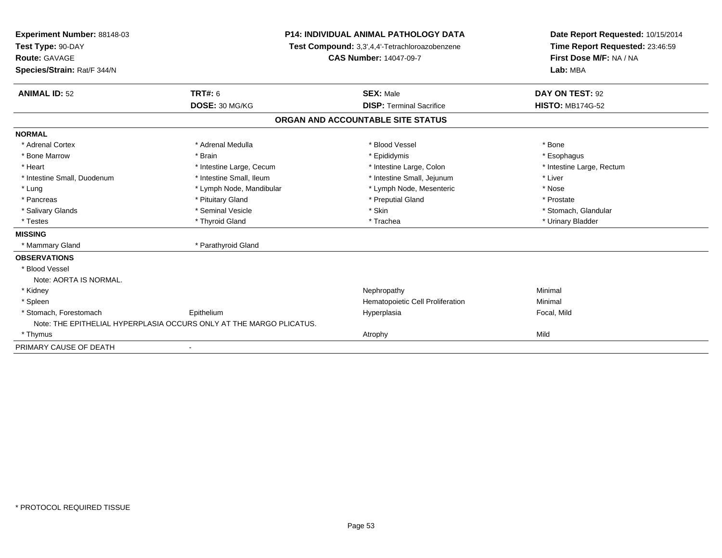| Experiment Number: 88148-03 | <b>P14: INDIVIDUAL ANIMAL PATHOLOGY DATA</b><br>Test Compound: 3,3',4,4'-Tetrachloroazobenzene<br><b>CAS Number: 14047-09-7</b> |                                   | Date Report Requested: 10/15/2014                          |  |
|-----------------------------|---------------------------------------------------------------------------------------------------------------------------------|-----------------------------------|------------------------------------------------------------|--|
| Test Type: 90-DAY           |                                                                                                                                 |                                   | Time Report Requested: 23:46:59<br>First Dose M/F: NA / NA |  |
| <b>Route: GAVAGE</b>        |                                                                                                                                 |                                   |                                                            |  |
| Species/Strain: Rat/F 344/N |                                                                                                                                 |                                   | Lab: MBA                                                   |  |
| <b>ANIMAL ID: 52</b>        | <b>TRT#: 6</b>                                                                                                                  | <b>SEX: Male</b>                  | DAY ON TEST: 92                                            |  |
|                             | DOSE: 30 MG/KG                                                                                                                  | <b>DISP: Terminal Sacrifice</b>   | <b>HISTO: MB174G-52</b>                                    |  |
|                             |                                                                                                                                 | ORGAN AND ACCOUNTABLE SITE STATUS |                                                            |  |
| <b>NORMAL</b>               |                                                                                                                                 |                                   |                                                            |  |
| * Adrenal Cortex            | * Adrenal Medulla                                                                                                               | * Blood Vessel                    | * Bone                                                     |  |
| * Bone Marrow               | * Brain                                                                                                                         | * Epididymis                      | * Esophagus                                                |  |
| * Heart                     | * Intestine Large, Cecum                                                                                                        | * Intestine Large, Colon          | * Intestine Large, Rectum                                  |  |
| * Intestine Small, Duodenum | * Intestine Small, Ileum                                                                                                        | * Intestine Small, Jejunum        | * Liver                                                    |  |
| * Lung                      | * Lymph Node, Mandibular                                                                                                        | * Lymph Node, Mesenteric          | * Nose                                                     |  |
| * Pancreas                  | * Pituitary Gland                                                                                                               | * Preputial Gland                 | * Prostate                                                 |  |
| * Salivary Glands           | * Seminal Vesicle                                                                                                               | * Skin                            | * Stomach, Glandular                                       |  |
| * Testes                    | * Thyroid Gland                                                                                                                 | * Trachea                         | * Urinary Bladder                                          |  |
| <b>MISSING</b>              |                                                                                                                                 |                                   |                                                            |  |
| * Mammary Gland             | * Parathyroid Gland                                                                                                             |                                   |                                                            |  |
| <b>OBSERVATIONS</b>         |                                                                                                                                 |                                   |                                                            |  |
| * Blood Vessel              |                                                                                                                                 |                                   |                                                            |  |
| Note: AORTA IS NORMAL.      |                                                                                                                                 |                                   |                                                            |  |
| * Kidney                    |                                                                                                                                 | Nephropathy                       | Minimal                                                    |  |
| * Spleen                    |                                                                                                                                 | Hematopoietic Cell Proliferation  | Minimal                                                    |  |
| * Stomach, Forestomach      | Epithelium                                                                                                                      | Hyperplasia                       | Focal, Mild                                                |  |
|                             | Note: THE EPITHELIAL HYPERPLASIA OCCURS ONLY AT THE MARGO PLICATUS.                                                             |                                   |                                                            |  |
| * Thymus                    |                                                                                                                                 | Atrophy                           | Mild                                                       |  |
| PRIMARY CAUSE OF DEATH      |                                                                                                                                 |                                   |                                                            |  |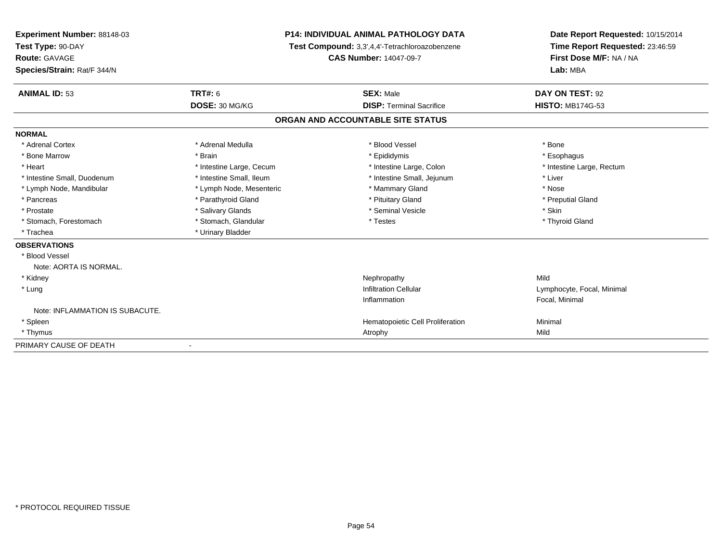| Experiment Number: 88148-03<br>Test Type: 90-DAY<br>Route: GAVAGE |                          | <b>P14: INDIVIDUAL ANIMAL PATHOLOGY DATA</b>   | Date Report Requested: 10/15/2014<br>Time Report Requested: 23:46:59<br>First Dose M/F: NA / NA |  |
|-------------------------------------------------------------------|--------------------------|------------------------------------------------|-------------------------------------------------------------------------------------------------|--|
|                                                                   |                          | Test Compound: 3,3',4,4'-Tetrachloroazobenzene |                                                                                                 |  |
|                                                                   |                          | <b>CAS Number: 14047-09-7</b>                  |                                                                                                 |  |
| Species/Strain: Rat/F 344/N                                       |                          |                                                | Lab: MBA                                                                                        |  |
| <b>ANIMAL ID: 53</b>                                              | <b>TRT#: 6</b>           | <b>SEX: Male</b>                               | DAY ON TEST: 92                                                                                 |  |
|                                                                   | DOSE: 30 MG/KG           | <b>DISP: Terminal Sacrifice</b>                | <b>HISTO: MB174G-53</b>                                                                         |  |
|                                                                   |                          | ORGAN AND ACCOUNTABLE SITE STATUS              |                                                                                                 |  |
| <b>NORMAL</b>                                                     |                          |                                                |                                                                                                 |  |
| * Adrenal Cortex                                                  | * Adrenal Medulla        | * Blood Vessel                                 | * Bone                                                                                          |  |
| * Bone Marrow                                                     | * Brain                  | * Epididymis                                   | * Esophagus                                                                                     |  |
| * Heart                                                           | * Intestine Large, Cecum | * Intestine Large, Colon                       | * Intestine Large, Rectum                                                                       |  |
| * Intestine Small, Duodenum                                       | * Intestine Small, Ileum | * Intestine Small, Jejunum                     | * Liver                                                                                         |  |
| * Lymph Node, Mandibular                                          | * Lymph Node, Mesenteric | * Mammary Gland                                | * Nose                                                                                          |  |
| * Pancreas                                                        | * Parathyroid Gland      | * Pituitary Gland                              | * Preputial Gland                                                                               |  |
| * Prostate                                                        | * Salivary Glands        | * Seminal Vesicle                              | * Skin                                                                                          |  |
| * Stomach, Forestomach                                            | * Stomach, Glandular     | * Testes                                       | * Thyroid Gland                                                                                 |  |
| * Trachea                                                         | * Urinary Bladder        |                                                |                                                                                                 |  |
| <b>OBSERVATIONS</b>                                               |                          |                                                |                                                                                                 |  |
| * Blood Vessel                                                    |                          |                                                |                                                                                                 |  |
| Note: AORTA IS NORMAL.                                            |                          |                                                |                                                                                                 |  |
| * Kidney                                                          |                          | Nephropathy                                    | Mild                                                                                            |  |
| * Lung                                                            |                          | <b>Infiltration Cellular</b>                   | Lymphocyte, Focal, Minimal                                                                      |  |
|                                                                   |                          | Inflammation                                   | Focal, Minimal                                                                                  |  |
| Note: INFLAMMATION IS SUBACUTE.                                   |                          |                                                |                                                                                                 |  |
| * Spleen                                                          |                          | Hematopoietic Cell Proliferation               | Minimal                                                                                         |  |
| * Thymus                                                          |                          | Atrophy                                        | Mild                                                                                            |  |
| PRIMARY CAUSE OF DEATH                                            |                          |                                                |                                                                                                 |  |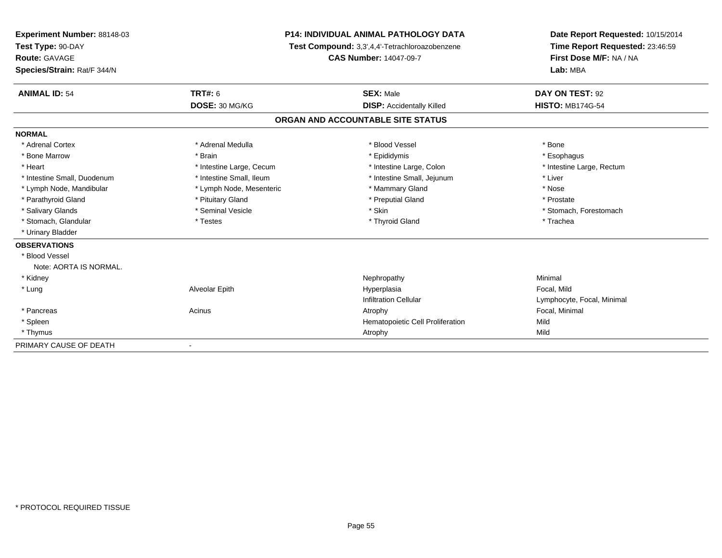| Experiment Number: 88148-03 | P14: INDIVIDUAL ANIMAL PATHOLOGY DATA<br>Test Compound: 3,3',4,4'-Tetrachloroazobenzene<br><b>CAS Number: 14047-09-7</b> |                                   | Date Report Requested: 10/15/2014 |  |
|-----------------------------|--------------------------------------------------------------------------------------------------------------------------|-----------------------------------|-----------------------------------|--|
| Test Type: 90-DAY           |                                                                                                                          |                                   | Time Report Requested: 23:46:59   |  |
| <b>Route: GAVAGE</b>        |                                                                                                                          |                                   | First Dose M/F: NA / NA           |  |
| Species/Strain: Rat/F 344/N |                                                                                                                          |                                   | Lab: MBA                          |  |
| <b>ANIMAL ID: 54</b>        | <b>TRT#: 6</b>                                                                                                           | <b>SEX: Male</b>                  | DAY ON TEST: 92                   |  |
|                             | DOSE: 30 MG/KG                                                                                                           | <b>DISP: Accidentally Killed</b>  | <b>HISTO: MB174G-54</b>           |  |
|                             |                                                                                                                          | ORGAN AND ACCOUNTABLE SITE STATUS |                                   |  |
| <b>NORMAL</b>               |                                                                                                                          |                                   |                                   |  |
| * Adrenal Cortex            | * Adrenal Medulla                                                                                                        | * Blood Vessel                    | * Bone                            |  |
| * Bone Marrow               | * Brain                                                                                                                  | * Epididymis                      | * Esophagus                       |  |
| * Heart                     | * Intestine Large, Cecum                                                                                                 | * Intestine Large, Colon          | * Intestine Large, Rectum         |  |
| * Intestine Small, Duodenum | * Intestine Small, Ileum                                                                                                 | * Intestine Small, Jejunum        | * Liver                           |  |
| * Lymph Node, Mandibular    | * Lymph Node, Mesenteric                                                                                                 | * Mammary Gland                   | * Nose                            |  |
| * Parathyroid Gland         | * Pituitary Gland                                                                                                        | * Preputial Gland                 | * Prostate                        |  |
| * Salivary Glands           | * Seminal Vesicle                                                                                                        | * Skin                            | * Stomach, Forestomach            |  |
| * Stomach, Glandular        | * Testes                                                                                                                 | * Thyroid Gland                   | * Trachea                         |  |
| * Urinary Bladder           |                                                                                                                          |                                   |                                   |  |
| <b>OBSERVATIONS</b>         |                                                                                                                          |                                   |                                   |  |
| * Blood Vessel              |                                                                                                                          |                                   |                                   |  |
| Note: AORTA IS NORMAL.      |                                                                                                                          |                                   |                                   |  |
| * Kidney                    |                                                                                                                          | Nephropathy                       | Minimal                           |  |
| * Lung                      | Alveolar Epith                                                                                                           | Hyperplasia                       | Focal, Mild                       |  |
|                             |                                                                                                                          | <b>Infiltration Cellular</b>      | Lymphocyte, Focal, Minimal        |  |
| * Pancreas                  | Acinus                                                                                                                   | Atrophy                           | Focal, Minimal                    |  |
| * Spleen                    |                                                                                                                          | Hematopoietic Cell Proliferation  | Mild                              |  |
| * Thymus                    |                                                                                                                          | Atrophy                           | Mild                              |  |
| PRIMARY CAUSE OF DEATH      |                                                                                                                          |                                   |                                   |  |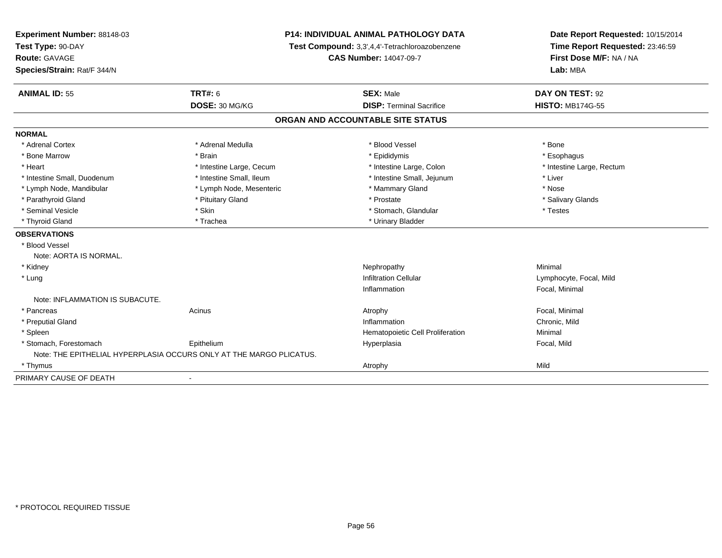| Experiment Number: 88148-03<br>Test Type: 90-DAY |                                                                     | <b>P14: INDIVIDUAL ANIMAL PATHOLOGY DATA</b><br>Test Compound: 3,3',4,4'-Tetrachloroazobenzene | Date Report Requested: 10/15/2014<br>Time Report Requested: 23:46:59 |
|--------------------------------------------------|---------------------------------------------------------------------|------------------------------------------------------------------------------------------------|----------------------------------------------------------------------|
| <b>Route: GAVAGE</b>                             |                                                                     | <b>CAS Number: 14047-09-7</b>                                                                  | First Dose M/F: NA / NA                                              |
| Species/Strain: Rat/F 344/N                      |                                                                     |                                                                                                | Lab: MBA                                                             |
| <b>ANIMAL ID: 55</b>                             | <b>TRT#: 6</b>                                                      | <b>SEX: Male</b>                                                                               | DAY ON TEST: 92                                                      |
|                                                  | DOSE: 30 MG/KG                                                      | <b>DISP: Terminal Sacrifice</b>                                                                | <b>HISTO: MB174G-55</b>                                              |
|                                                  |                                                                     | ORGAN AND ACCOUNTABLE SITE STATUS                                                              |                                                                      |
| <b>NORMAL</b>                                    |                                                                     |                                                                                                |                                                                      |
| * Adrenal Cortex                                 | * Adrenal Medulla                                                   | * Blood Vessel                                                                                 | * Bone                                                               |
| * Bone Marrow                                    | * Brain                                                             | * Epididymis                                                                                   | * Esophagus                                                          |
| * Heart                                          | * Intestine Large, Cecum                                            | * Intestine Large, Colon                                                                       | * Intestine Large, Rectum                                            |
| * Intestine Small, Duodenum                      | * Intestine Small, Ileum                                            | * Intestine Small, Jejunum                                                                     | * Liver                                                              |
| * Lymph Node, Mandibular                         | * Lymph Node, Mesenteric                                            | * Mammary Gland                                                                                | * Nose                                                               |
| * Parathyroid Gland                              | * Pituitary Gland                                                   | * Prostate                                                                                     | * Salivary Glands                                                    |
| * Seminal Vesicle                                | * Skin                                                              | * Stomach, Glandular                                                                           | * Testes                                                             |
| * Thyroid Gland                                  | * Trachea                                                           | * Urinary Bladder                                                                              |                                                                      |
| <b>OBSERVATIONS</b>                              |                                                                     |                                                                                                |                                                                      |
| * Blood Vessel                                   |                                                                     |                                                                                                |                                                                      |
| Note: AORTA IS NORMAL.                           |                                                                     |                                                                                                |                                                                      |
| * Kidney                                         |                                                                     | Nephropathy                                                                                    | Minimal                                                              |
| * Lung                                           |                                                                     | <b>Infiltration Cellular</b>                                                                   | Lymphocyte, Focal, Mild                                              |
|                                                  |                                                                     | Inflammation                                                                                   | Focal, Minimal                                                       |
| Note: INFLAMMATION IS SUBACUTE.                  |                                                                     |                                                                                                |                                                                      |
| * Pancreas                                       | Acinus                                                              | Atrophy                                                                                        | Focal, Minimal                                                       |
| * Preputial Gland                                |                                                                     | Inflammation                                                                                   | Chronic, Mild                                                        |
| * Spleen                                         |                                                                     | Hematopoietic Cell Proliferation                                                               | Minimal                                                              |
| * Stomach, Forestomach                           | Epithelium                                                          | Hyperplasia                                                                                    | Focal, Mild                                                          |
|                                                  | Note: THE EPITHELIAL HYPERPLASIA OCCURS ONLY AT THE MARGO PLICATUS. |                                                                                                |                                                                      |
| * Thymus                                         |                                                                     | Atrophy                                                                                        | Mild                                                                 |
| PRIMARY CAUSE OF DEATH                           | $\blacksquare$                                                      |                                                                                                |                                                                      |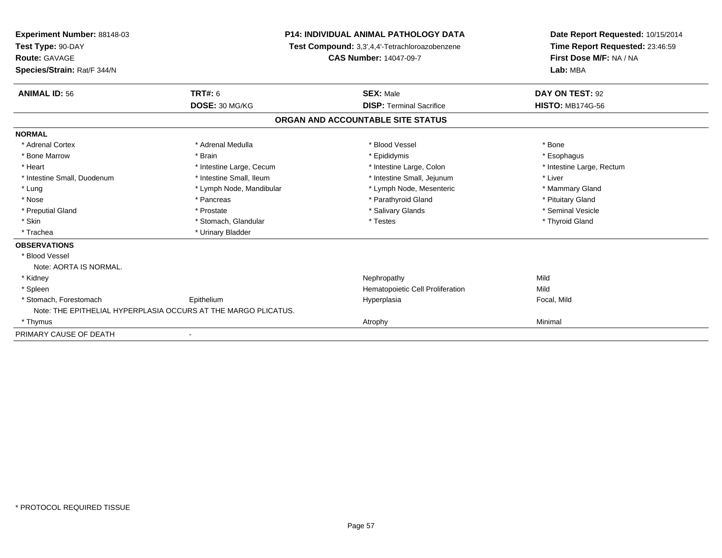| <b>Experiment Number: 88148-03</b><br>Test Type: 90-DAY |                                                                | <b>P14: INDIVIDUAL ANIMAL PATHOLOGY DATA</b>   | Date Report Requested: 10/15/2014<br>Time Report Requested: 23:46:59 |  |
|---------------------------------------------------------|----------------------------------------------------------------|------------------------------------------------|----------------------------------------------------------------------|--|
|                                                         |                                                                | Test Compound: 3,3',4,4'-Tetrachloroazobenzene |                                                                      |  |
| Route: GAVAGE                                           |                                                                | <b>CAS Number: 14047-09-7</b>                  | First Dose M/F: NA / NA                                              |  |
| Species/Strain: Rat/F 344/N                             |                                                                |                                                | Lab: MBA                                                             |  |
| <b>ANIMAL ID: 56</b>                                    | TRT#: 6                                                        | <b>SEX: Male</b>                               | DAY ON TEST: 92                                                      |  |
|                                                         | DOSE: 30 MG/KG                                                 | <b>DISP: Terminal Sacrifice</b>                | <b>HISTO: MB174G-56</b>                                              |  |
|                                                         |                                                                | ORGAN AND ACCOUNTABLE SITE STATUS              |                                                                      |  |
| <b>NORMAL</b>                                           |                                                                |                                                |                                                                      |  |
| * Adrenal Cortex                                        | * Adrenal Medulla                                              | * Blood Vessel                                 | * Bone                                                               |  |
| * Bone Marrow                                           | * Brain                                                        | * Epididymis                                   | * Esophagus                                                          |  |
| * Heart                                                 | * Intestine Large, Cecum                                       | * Intestine Large, Colon                       | * Intestine Large, Rectum                                            |  |
| * Intestine Small, Duodenum                             | * Intestine Small. Ileum                                       | * Intestine Small, Jejunum                     | * Liver                                                              |  |
| * Lung                                                  | * Lymph Node, Mandibular                                       | * Lymph Node, Mesenteric                       | * Mammary Gland                                                      |  |
| * Nose                                                  | * Pancreas                                                     | * Parathyroid Gland                            | * Pituitary Gland                                                    |  |
| * Preputial Gland                                       | * Prostate                                                     | * Salivary Glands                              | * Seminal Vesicle                                                    |  |
| * Skin                                                  | * Stomach, Glandular                                           | * Testes                                       | * Thyroid Gland                                                      |  |
| * Trachea                                               | * Urinary Bladder                                              |                                                |                                                                      |  |
| <b>OBSERVATIONS</b>                                     |                                                                |                                                |                                                                      |  |
| * Blood Vessel                                          |                                                                |                                                |                                                                      |  |
| Note: AORTA IS NORMAL.                                  |                                                                |                                                |                                                                      |  |
| * Kidney                                                |                                                                | Nephropathy                                    | Mild                                                                 |  |
| * Spleen                                                |                                                                | Hematopoietic Cell Proliferation               | Mild                                                                 |  |
| * Stomach, Forestomach                                  | Epithelium                                                     | Hyperplasia                                    | Focal, Mild                                                          |  |
|                                                         | Note: THE EPITHELIAL HYPERPLASIA OCCURS AT THE MARGO PLICATUS. |                                                |                                                                      |  |
| * Thymus                                                |                                                                | Atrophy                                        | Minimal                                                              |  |
| PRIMARY CAUSE OF DEATH                                  |                                                                |                                                |                                                                      |  |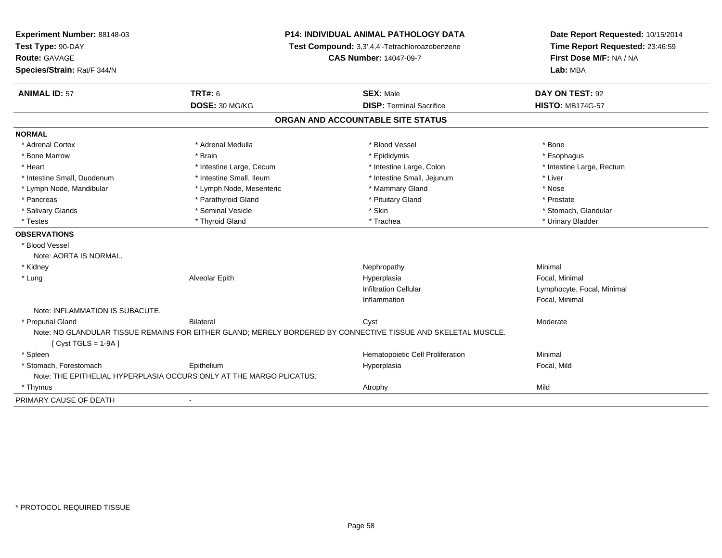| Experiment Number: 88148-03     | <b>P14: INDIVIDUAL ANIMAL PATHOLOGY DATA</b><br>Test Compound: 3,3',4,4'-Tetrachloroazobenzene<br><b>CAS Number: 14047-09-7</b> |                                                                                                               | Date Report Requested: 10/15/2014 |  |
|---------------------------------|---------------------------------------------------------------------------------------------------------------------------------|---------------------------------------------------------------------------------------------------------------|-----------------------------------|--|
| Test Type: 90-DAY               |                                                                                                                                 |                                                                                                               | Time Report Requested: 23:46:59   |  |
| Route: GAVAGE                   |                                                                                                                                 |                                                                                                               | First Dose M/F: NA / NA           |  |
| Species/Strain: Rat/F 344/N     |                                                                                                                                 |                                                                                                               | Lab: MBA                          |  |
| <b>ANIMAL ID: 57</b>            | <b>TRT#: 6</b>                                                                                                                  | <b>SEX: Male</b>                                                                                              | DAY ON TEST: 92                   |  |
|                                 | DOSE: 30 MG/KG                                                                                                                  | <b>DISP: Terminal Sacrifice</b>                                                                               | <b>HISTO: MB174G-57</b>           |  |
|                                 |                                                                                                                                 | ORGAN AND ACCOUNTABLE SITE STATUS                                                                             |                                   |  |
| <b>NORMAL</b>                   |                                                                                                                                 |                                                                                                               |                                   |  |
| * Adrenal Cortex                | * Adrenal Medulla                                                                                                               | * Blood Vessel                                                                                                | * Bone                            |  |
| * Bone Marrow                   | * Brain                                                                                                                         | * Epididymis                                                                                                  | * Esophagus                       |  |
| * Heart                         | * Intestine Large, Cecum                                                                                                        | * Intestine Large, Colon                                                                                      | * Intestine Large, Rectum         |  |
| * Intestine Small, Duodenum     | * Intestine Small, Ileum                                                                                                        | * Intestine Small, Jejunum                                                                                    | * Liver                           |  |
| * Lymph Node, Mandibular        | * Lymph Node, Mesenteric                                                                                                        | * Mammary Gland                                                                                               | * Nose                            |  |
| * Pancreas                      | * Parathyroid Gland                                                                                                             | * Pituitary Gland                                                                                             | * Prostate                        |  |
| * Salivary Glands               | * Seminal Vesicle                                                                                                               | * Skin                                                                                                        | * Stomach, Glandular              |  |
| * Testes                        | * Thyroid Gland                                                                                                                 | * Trachea                                                                                                     | * Urinary Bladder                 |  |
| <b>OBSERVATIONS</b>             |                                                                                                                                 |                                                                                                               |                                   |  |
| * Blood Vessel                  |                                                                                                                                 |                                                                                                               |                                   |  |
| Note: AORTA IS NORMAL.          |                                                                                                                                 |                                                                                                               |                                   |  |
| * Kidney                        |                                                                                                                                 | Nephropathy                                                                                                   | Minimal                           |  |
| * Lung                          | Alveolar Epith                                                                                                                  | Hyperplasia                                                                                                   | Focal, Minimal                    |  |
|                                 |                                                                                                                                 | <b>Infiltration Cellular</b>                                                                                  | Lymphocyte, Focal, Minimal        |  |
|                                 |                                                                                                                                 | Inflammation                                                                                                  | Focal, Minimal                    |  |
| Note: INFLAMMATION IS SUBACUTE. |                                                                                                                                 |                                                                                                               |                                   |  |
| * Preputial Gland               | <b>Bilateral</b>                                                                                                                | Cyst                                                                                                          | Moderate                          |  |
| $[Cyst TGLS = 1-9A]$            |                                                                                                                                 | Note: NO GLANDULAR TISSUE REMAINS FOR EITHER GLAND; MERELY BORDERED BY CONNECTIVE TISSUE AND SKELETAL MUSCLE. |                                   |  |
| * Spleen                        |                                                                                                                                 | Hematopoietic Cell Proliferation                                                                              | Minimal                           |  |
| * Stomach, Forestomach          | Epithelium                                                                                                                      | Hyperplasia                                                                                                   | Focal, Mild                       |  |
|                                 | Note: THE EPITHELIAL HYPERPLASIA OCCURS ONLY AT THE MARGO PLICATUS.                                                             |                                                                                                               |                                   |  |
| * Thymus                        |                                                                                                                                 | Atrophy                                                                                                       | Mild                              |  |
| PRIMARY CAUSE OF DEATH          | $\blacksquare$                                                                                                                  |                                                                                                               |                                   |  |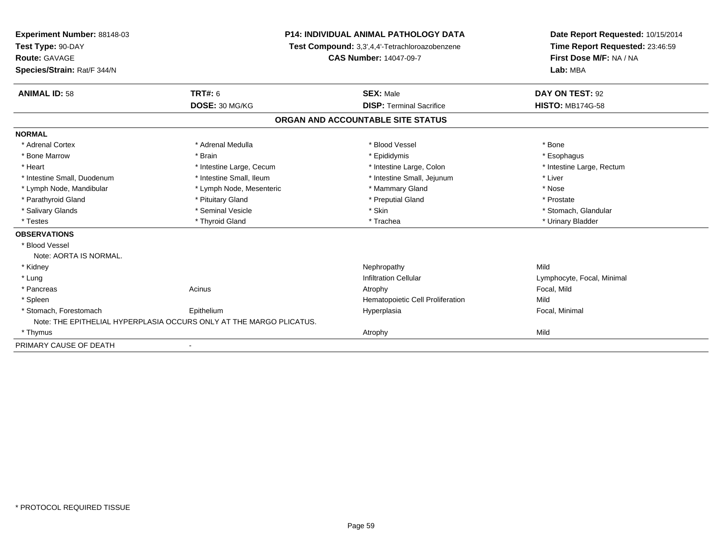| Experiment Number: 88148-03<br>Test Type: 90-DAY |                                                                     | <b>P14: INDIVIDUAL ANIMAL PATHOLOGY DATA</b>   | Date Report Requested: 10/15/2014<br>Time Report Requested: 23:46:59 |
|--------------------------------------------------|---------------------------------------------------------------------|------------------------------------------------|----------------------------------------------------------------------|
|                                                  |                                                                     | Test Compound: 3,3',4,4'-Tetrachloroazobenzene |                                                                      |
| Route: GAVAGE                                    |                                                                     | <b>CAS Number: 14047-09-7</b>                  | First Dose M/F: NA / NA                                              |
| Species/Strain: Rat/F 344/N                      |                                                                     |                                                | Lab: MBA                                                             |
| <b>ANIMAL ID: 58</b>                             | <b>TRT#: 6</b>                                                      | <b>SEX: Male</b>                               | DAY ON TEST: 92                                                      |
|                                                  | DOSE: 30 MG/KG                                                      | <b>DISP: Terminal Sacrifice</b>                | <b>HISTO: MB174G-58</b>                                              |
|                                                  |                                                                     | ORGAN AND ACCOUNTABLE SITE STATUS              |                                                                      |
| <b>NORMAL</b>                                    |                                                                     |                                                |                                                                      |
| * Adrenal Cortex                                 | * Adrenal Medulla                                                   | * Blood Vessel                                 | * Bone                                                               |
| * Bone Marrow                                    | * Brain                                                             | * Epididymis                                   | * Esophagus                                                          |
| * Heart                                          | * Intestine Large, Cecum                                            | * Intestine Large, Colon                       | * Intestine Large, Rectum                                            |
| * Intestine Small, Duodenum                      | * Intestine Small, Ileum                                            | * Intestine Small, Jejunum                     | * Liver                                                              |
| * Lymph Node, Mandibular                         | * Lymph Node, Mesenteric                                            | * Mammary Gland                                | * Nose                                                               |
| * Parathyroid Gland                              | * Pituitary Gland                                                   | * Preputial Gland                              | * Prostate                                                           |
| * Salivary Glands                                | * Seminal Vesicle                                                   | * Skin                                         | * Stomach, Glandular                                                 |
| * Testes                                         | * Thyroid Gland                                                     | * Trachea                                      | * Urinary Bladder                                                    |
| <b>OBSERVATIONS</b>                              |                                                                     |                                                |                                                                      |
| * Blood Vessel                                   |                                                                     |                                                |                                                                      |
| Note: AORTA IS NORMAL.                           |                                                                     |                                                |                                                                      |
| * Kidney                                         |                                                                     | Nephropathy                                    | Mild                                                                 |
| * Lung                                           |                                                                     | <b>Infiltration Cellular</b>                   | Lymphocyte, Focal, Minimal                                           |
| * Pancreas                                       | Acinus                                                              | Atrophy                                        | Focal, Mild                                                          |
| * Spleen                                         |                                                                     | Hematopoietic Cell Proliferation               | Mild                                                                 |
| * Stomach, Forestomach                           | Epithelium                                                          | Hyperplasia                                    | Focal, Minimal                                                       |
|                                                  | Note: THE EPITHELIAL HYPERPLASIA OCCURS ONLY AT THE MARGO PLICATUS. |                                                |                                                                      |
| * Thymus                                         |                                                                     | Atrophy                                        | Mild                                                                 |
| PRIMARY CAUSE OF DEATH                           |                                                                     |                                                |                                                                      |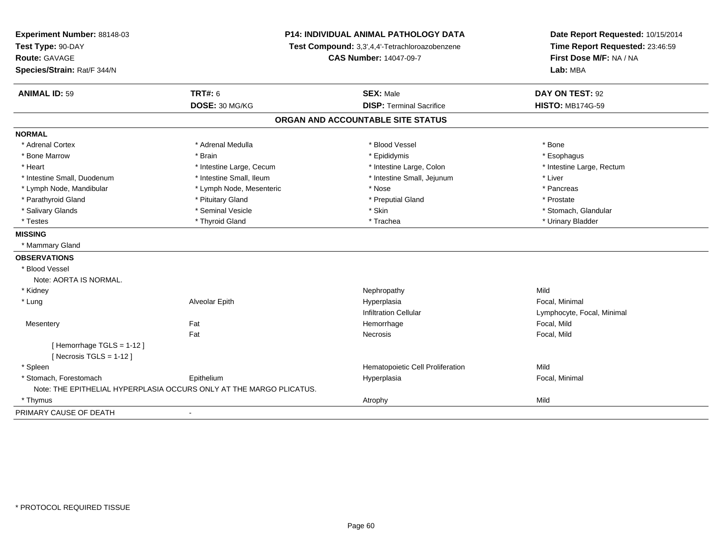| Experiment Number: 88148-03<br>Test Type: 90-DAY |                                                                     | <b>P14: INDIVIDUAL ANIMAL PATHOLOGY DATA</b><br>Test Compound: 3,3',4,4'-Tetrachloroazobenzene | Date Report Requested: 10/15/2014<br>Time Report Requested: 23:46:59 |
|--------------------------------------------------|---------------------------------------------------------------------|------------------------------------------------------------------------------------------------|----------------------------------------------------------------------|
| Route: GAVAGE                                    |                                                                     | <b>CAS Number: 14047-09-7</b>                                                                  | First Dose M/F: NA / NA                                              |
| Species/Strain: Rat/F 344/N                      |                                                                     |                                                                                                | Lab: MBA                                                             |
|                                                  |                                                                     |                                                                                                |                                                                      |
| <b>ANIMAL ID: 59</b>                             | <b>TRT#: 6</b>                                                      | <b>SEX: Male</b>                                                                               | DAY ON TEST: 92                                                      |
|                                                  | DOSE: 30 MG/KG                                                      | <b>DISP: Terminal Sacrifice</b>                                                                | <b>HISTO: MB174G-59</b>                                              |
|                                                  |                                                                     | ORGAN AND ACCOUNTABLE SITE STATUS                                                              |                                                                      |
| <b>NORMAL</b>                                    |                                                                     |                                                                                                |                                                                      |
| * Adrenal Cortex                                 | * Adrenal Medulla                                                   | * Blood Vessel                                                                                 | * Bone                                                               |
| * Bone Marrow                                    | * Brain                                                             | * Epididymis                                                                                   | * Esophagus                                                          |
| * Heart                                          | * Intestine Large, Cecum                                            | * Intestine Large, Colon                                                                       | * Intestine Large, Rectum                                            |
| * Intestine Small, Duodenum                      | * Intestine Small, Ileum                                            | * Intestine Small, Jejunum                                                                     | * Liver                                                              |
| * Lymph Node, Mandibular                         | * Lymph Node, Mesenteric                                            | * Nose                                                                                         | * Pancreas                                                           |
| * Parathyroid Gland                              | * Pituitary Gland                                                   | * Preputial Gland                                                                              | * Prostate                                                           |
| * Salivary Glands                                | * Seminal Vesicle                                                   | * Skin                                                                                         | * Stomach, Glandular                                                 |
| * Testes                                         | * Thyroid Gland                                                     | * Trachea                                                                                      | * Urinary Bladder                                                    |
| <b>MISSING</b>                                   |                                                                     |                                                                                                |                                                                      |
| * Mammary Gland                                  |                                                                     |                                                                                                |                                                                      |
| <b>OBSERVATIONS</b>                              |                                                                     |                                                                                                |                                                                      |
| * Blood Vessel                                   |                                                                     |                                                                                                |                                                                      |
| Note: AORTA IS NORMAL.                           |                                                                     |                                                                                                |                                                                      |
| * Kidney                                         |                                                                     | Nephropathy                                                                                    | Mild                                                                 |
| * Lung                                           | Alveolar Epith                                                      | Hyperplasia                                                                                    | Focal, Minimal                                                       |
|                                                  |                                                                     | <b>Infiltration Cellular</b>                                                                   | Lymphocyte, Focal, Minimal                                           |
| Mesentery                                        | Fat                                                                 | Hemorrhage                                                                                     | Focal, Mild                                                          |
|                                                  | Fat                                                                 | Necrosis                                                                                       | Focal, Mild                                                          |
| [Hemorrhage TGLS = 1-12]                         |                                                                     |                                                                                                |                                                                      |
| [Necrosis $TGLS = 1-12$ ]                        |                                                                     |                                                                                                |                                                                      |
| * Spleen                                         |                                                                     | Hematopoietic Cell Proliferation                                                               | Mild                                                                 |
| * Stomach, Forestomach                           | Epithelium                                                          | Hyperplasia                                                                                    | Focal, Minimal                                                       |
|                                                  | Note: THE EPITHELIAL HYPERPLASIA OCCURS ONLY AT THE MARGO PLICATUS. |                                                                                                |                                                                      |
| * Thymus                                         |                                                                     | Atrophy                                                                                        | Mild                                                                 |
| PRIMARY CAUSE OF DEATH                           |                                                                     |                                                                                                |                                                                      |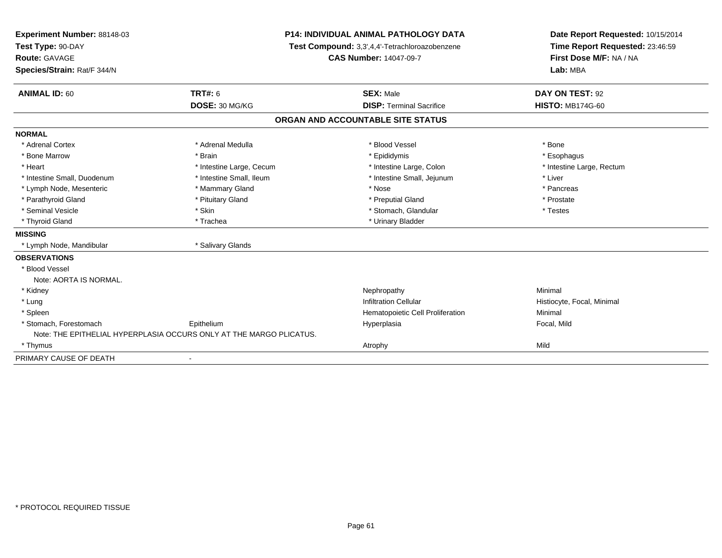| Experiment Number: 88148-03<br>Test Type: 90-DAY |                                                                     | <b>P14: INDIVIDUAL ANIMAL PATHOLOGY DATA</b>   | Date Report Requested: 10/15/2014 |  |
|--------------------------------------------------|---------------------------------------------------------------------|------------------------------------------------|-----------------------------------|--|
|                                                  |                                                                     | Test Compound: 3,3',4,4'-Tetrachloroazobenzene | Time Report Requested: 23:46:59   |  |
| <b>Route: GAVAGE</b>                             |                                                                     | <b>CAS Number: 14047-09-7</b>                  | First Dose M/F: NA / NA           |  |
| Species/Strain: Rat/F 344/N                      |                                                                     |                                                | Lab: MBA                          |  |
| <b>ANIMAL ID: 60</b>                             | <b>TRT#: 6</b>                                                      | <b>SEX: Male</b>                               | DAY ON TEST: 92                   |  |
|                                                  | DOSE: 30 MG/KG                                                      | <b>DISP: Terminal Sacrifice</b>                | <b>HISTO: MB174G-60</b>           |  |
|                                                  |                                                                     | ORGAN AND ACCOUNTABLE SITE STATUS              |                                   |  |
| <b>NORMAL</b>                                    |                                                                     |                                                |                                   |  |
| * Adrenal Cortex                                 | * Adrenal Medulla                                                   | * Blood Vessel                                 | * Bone                            |  |
| * Bone Marrow                                    | * Brain                                                             | * Epididymis                                   | * Esophagus                       |  |
| * Heart                                          | * Intestine Large, Cecum                                            | * Intestine Large, Colon                       | * Intestine Large, Rectum         |  |
| * Intestine Small, Duodenum                      | * Intestine Small, Ileum                                            | * Intestine Small, Jejunum                     | * Liver                           |  |
| * Lymph Node, Mesenteric                         | * Mammary Gland                                                     | * Nose                                         | * Pancreas                        |  |
| * Parathyroid Gland                              | * Pituitary Gland                                                   | * Preputial Gland                              | * Prostate                        |  |
| * Seminal Vesicle                                | * Skin                                                              | * Stomach, Glandular                           | * Testes                          |  |
| * Thyroid Gland                                  | * Trachea                                                           | * Urinary Bladder                              |                                   |  |
| <b>MISSING</b>                                   |                                                                     |                                                |                                   |  |
| * Lymph Node, Mandibular                         | * Salivary Glands                                                   |                                                |                                   |  |
| <b>OBSERVATIONS</b>                              |                                                                     |                                                |                                   |  |
| * Blood Vessel                                   |                                                                     |                                                |                                   |  |
| Note: AORTA IS NORMAL.                           |                                                                     |                                                |                                   |  |
| * Kidney                                         |                                                                     | Nephropathy                                    | Minimal                           |  |
| * Lung                                           |                                                                     | <b>Infiltration Cellular</b>                   | Histiocyte, Focal, Minimal        |  |
| * Spleen                                         |                                                                     | Hematopoietic Cell Proliferation               | Minimal                           |  |
| * Stomach, Forestomach                           | Epithelium                                                          | Hyperplasia                                    | Focal, Mild                       |  |
|                                                  | Note: THE EPITHELIAL HYPERPLASIA OCCURS ONLY AT THE MARGO PLICATUS. |                                                |                                   |  |
| * Thymus                                         |                                                                     | Atrophy                                        | Mild                              |  |
| PRIMARY CAUSE OF DEATH                           | $\blacksquare$                                                      |                                                |                                   |  |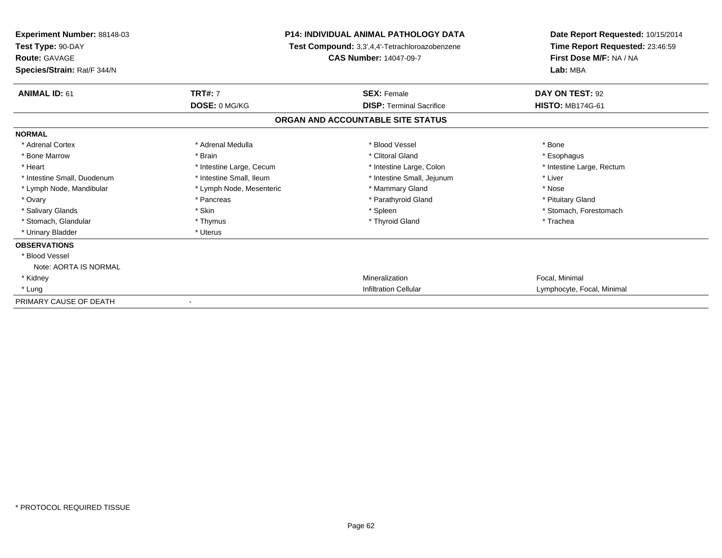| <b>Experiment Number: 88148-03</b><br>Test Type: 90-DAY<br><b>Route: GAVAGE</b><br>Species/Strain: Rat/F 344/N | <b>P14: INDIVIDUAL ANIMAL PATHOLOGY DATA</b><br>Test Compound: 3,3',4,4'-Tetrachloroazobenzene<br><b>CAS Number: 14047-09-7</b> |                                   | Date Report Requested: 10/15/2014<br>Time Report Requested: 23:46:59<br>First Dose M/F: NA / NA<br>Lab: MBA |
|----------------------------------------------------------------------------------------------------------------|---------------------------------------------------------------------------------------------------------------------------------|-----------------------------------|-------------------------------------------------------------------------------------------------------------|
|                                                                                                                |                                                                                                                                 |                                   |                                                                                                             |
| <b>ANIMAL ID: 61</b>                                                                                           | <b>TRT#: 7</b>                                                                                                                  | <b>SEX: Female</b>                | DAY ON TEST: 92                                                                                             |
|                                                                                                                | DOSE: 0 MG/KG                                                                                                                   | <b>DISP: Terminal Sacrifice</b>   | <b>HISTO: MB174G-61</b>                                                                                     |
|                                                                                                                |                                                                                                                                 | ORGAN AND ACCOUNTABLE SITE STATUS |                                                                                                             |
| <b>NORMAL</b>                                                                                                  |                                                                                                                                 |                                   |                                                                                                             |
| * Adrenal Cortex                                                                                               | * Adrenal Medulla                                                                                                               | * Blood Vessel                    | * Bone                                                                                                      |
| * Bone Marrow                                                                                                  | * Brain                                                                                                                         | * Clitoral Gland                  | * Esophagus                                                                                                 |
| * Heart                                                                                                        | * Intestine Large, Cecum                                                                                                        | * Intestine Large, Colon          | * Intestine Large, Rectum                                                                                   |
| * Intestine Small, Duodenum                                                                                    | * Intestine Small, Ileum                                                                                                        | * Intestine Small, Jejunum        | * Liver                                                                                                     |
| * Lymph Node, Mandibular                                                                                       | * Lymph Node, Mesenteric                                                                                                        | * Mammary Gland                   | * Nose                                                                                                      |
| * Ovary                                                                                                        | * Pancreas                                                                                                                      | * Parathyroid Gland               | * Pituitary Gland                                                                                           |
| * Salivary Glands                                                                                              | * Skin                                                                                                                          | * Spleen                          | * Stomach, Forestomach                                                                                      |
| * Stomach, Glandular                                                                                           | * Thymus                                                                                                                        | * Thyroid Gland                   | * Trachea                                                                                                   |
| * Urinary Bladder                                                                                              | * Uterus                                                                                                                        |                                   |                                                                                                             |
| <b>OBSERVATIONS</b>                                                                                            |                                                                                                                                 |                                   |                                                                                                             |
| * Blood Vessel                                                                                                 |                                                                                                                                 |                                   |                                                                                                             |
| Note: AORTA IS NORMAL                                                                                          |                                                                                                                                 |                                   |                                                                                                             |
| * Kidney                                                                                                       |                                                                                                                                 | Mineralization                    | Focal, Minimal                                                                                              |
| * Lung                                                                                                         |                                                                                                                                 | <b>Infiltration Cellular</b>      | Lymphocyte, Focal, Minimal                                                                                  |
| PRIMARY CAUSE OF DEATH                                                                                         |                                                                                                                                 |                                   |                                                                                                             |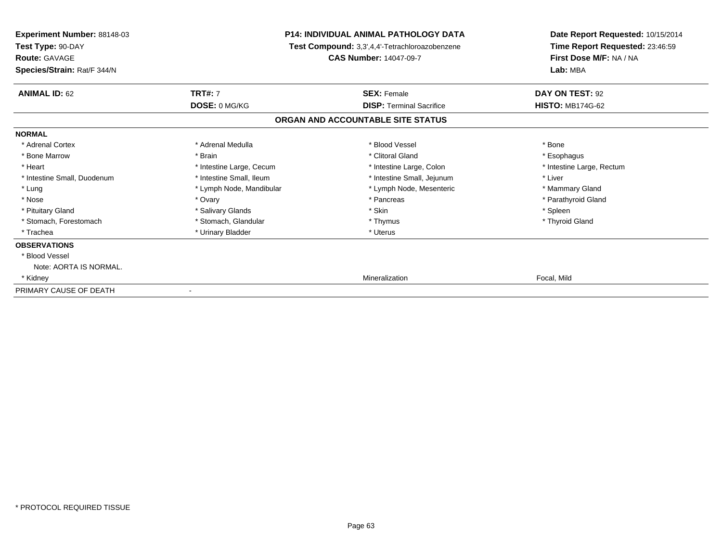| <b>Experiment Number: 88148-03</b><br>Test Type: 90-DAY<br><b>Route: GAVAGE</b><br>Species/Strain: Rat/F 344/N | <b>P14: INDIVIDUAL ANIMAL PATHOLOGY DATA</b><br>Test Compound: 3,3',4,4'-Tetrachloroazobenzene<br><b>CAS Number: 14047-09-7</b> |                                   | Date Report Requested: 10/15/2014<br>Time Report Requested: 23:46:59<br>First Dose M/F: NA / NA<br>Lab: MBA |  |
|----------------------------------------------------------------------------------------------------------------|---------------------------------------------------------------------------------------------------------------------------------|-----------------------------------|-------------------------------------------------------------------------------------------------------------|--|
| <b>ANIMAL ID: 62</b>                                                                                           | <b>TRT#: 7</b>                                                                                                                  | <b>SEX: Female</b>                | DAY ON TEST: 92                                                                                             |  |
|                                                                                                                | DOSE: 0 MG/KG                                                                                                                   | <b>DISP: Terminal Sacrifice</b>   | <b>HISTO: MB174G-62</b>                                                                                     |  |
|                                                                                                                |                                                                                                                                 | ORGAN AND ACCOUNTABLE SITE STATUS |                                                                                                             |  |
| <b>NORMAL</b>                                                                                                  |                                                                                                                                 |                                   |                                                                                                             |  |
| * Adrenal Cortex                                                                                               | * Adrenal Medulla                                                                                                               | * Blood Vessel                    | * Bone                                                                                                      |  |
| * Bone Marrow                                                                                                  | * Brain                                                                                                                         | * Clitoral Gland                  | * Esophagus                                                                                                 |  |
| * Heart                                                                                                        | * Intestine Large, Cecum                                                                                                        | * Intestine Large, Colon          | * Intestine Large, Rectum                                                                                   |  |
| * Intestine Small, Duodenum                                                                                    | * Intestine Small, Ileum                                                                                                        | * Intestine Small, Jejunum        | * Liver                                                                                                     |  |
| * Lung                                                                                                         | * Lymph Node, Mandibular                                                                                                        | * Lymph Node, Mesenteric          | * Mammary Gland                                                                                             |  |
| * Nose                                                                                                         | * Ovary                                                                                                                         | * Pancreas                        | * Parathyroid Gland                                                                                         |  |
| * Pituitary Gland                                                                                              | * Salivary Glands                                                                                                               | * Skin                            | * Spleen                                                                                                    |  |
| * Stomach, Forestomach                                                                                         | * Stomach, Glandular                                                                                                            | * Thymus                          | * Thyroid Gland                                                                                             |  |
| * Trachea                                                                                                      | * Urinary Bladder                                                                                                               | * Uterus                          |                                                                                                             |  |
| <b>OBSERVATIONS</b>                                                                                            |                                                                                                                                 |                                   |                                                                                                             |  |
| * Blood Vessel                                                                                                 |                                                                                                                                 |                                   |                                                                                                             |  |
| Note: AORTA IS NORMAL.                                                                                         |                                                                                                                                 |                                   |                                                                                                             |  |
| * Kidney                                                                                                       |                                                                                                                                 | Mineralization                    | Focal, Mild                                                                                                 |  |
| PRIMARY CAUSE OF DEATH                                                                                         |                                                                                                                                 |                                   |                                                                                                             |  |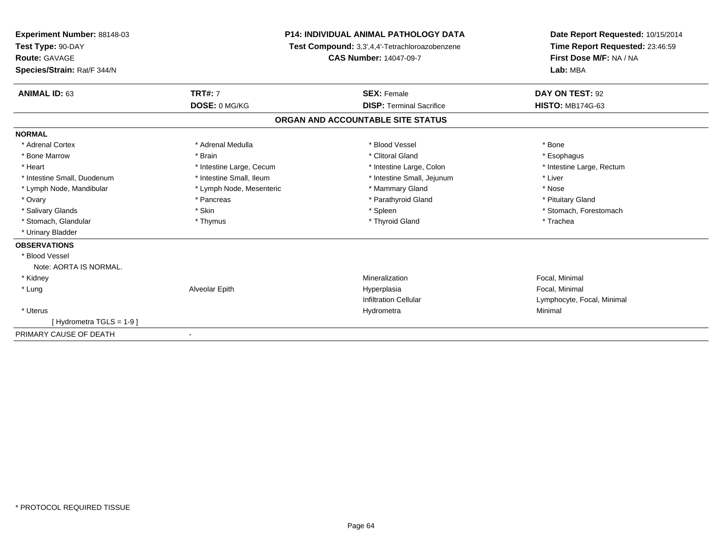| Experiment Number: 88148-03<br>Test Type: 90-DAY<br>Route: GAVAGE |                          | <b>P14: INDIVIDUAL ANIMAL PATHOLOGY DATA</b><br>Test Compound: 3,3',4,4'-Tetrachloroazobenzene<br><b>CAS Number: 14047-09-7</b> | Date Report Requested: 10/15/2014<br>Time Report Requested: 23:46:59<br>First Dose M/F: NA / NA |
|-------------------------------------------------------------------|--------------------------|---------------------------------------------------------------------------------------------------------------------------------|-------------------------------------------------------------------------------------------------|
| Species/Strain: Rat/F 344/N                                       |                          |                                                                                                                                 | Lab: MBA                                                                                        |
| <b>ANIMAL ID: 63</b>                                              | <b>TRT#: 7</b>           | <b>SEX: Female</b>                                                                                                              | DAY ON TEST: 92                                                                                 |
|                                                                   | DOSE: 0 MG/KG            | <b>DISP: Terminal Sacrifice</b>                                                                                                 | <b>HISTO: MB174G-63</b>                                                                         |
|                                                                   |                          | ORGAN AND ACCOUNTABLE SITE STATUS                                                                                               |                                                                                                 |
| <b>NORMAL</b>                                                     |                          |                                                                                                                                 |                                                                                                 |
| * Adrenal Cortex                                                  | * Adrenal Medulla        | * Blood Vessel                                                                                                                  | * Bone                                                                                          |
| * Bone Marrow                                                     | * Brain                  | * Clitoral Gland                                                                                                                | * Esophagus                                                                                     |
| * Heart                                                           | * Intestine Large, Cecum | * Intestine Large, Colon                                                                                                        | * Intestine Large, Rectum                                                                       |
| * Intestine Small, Duodenum                                       | * Intestine Small, Ileum | * Intestine Small, Jejunum                                                                                                      | * Liver                                                                                         |
| * Lymph Node, Mandibular                                          | * Lymph Node, Mesenteric | * Mammary Gland                                                                                                                 | * Nose                                                                                          |
| * Ovary                                                           | * Pancreas               | * Parathyroid Gland                                                                                                             | * Pituitary Gland                                                                               |
| * Salivary Glands                                                 | * Skin                   | * Spleen                                                                                                                        | * Stomach, Forestomach                                                                          |
| * Stomach, Glandular                                              | * Thymus                 | * Thyroid Gland                                                                                                                 | * Trachea                                                                                       |
| * Urinary Bladder                                                 |                          |                                                                                                                                 |                                                                                                 |
| <b>OBSERVATIONS</b>                                               |                          |                                                                                                                                 |                                                                                                 |
| * Blood Vessel                                                    |                          |                                                                                                                                 |                                                                                                 |
| Note: AORTA IS NORMAL.                                            |                          |                                                                                                                                 |                                                                                                 |
| * Kidney                                                          |                          | Mineralization                                                                                                                  | Focal, Minimal                                                                                  |
| * Lung                                                            | Alveolar Epith           | Hyperplasia                                                                                                                     | Focal, Minimal                                                                                  |
|                                                                   |                          | <b>Infiltration Cellular</b>                                                                                                    | Lymphocyte, Focal, Minimal                                                                      |
| * Uterus                                                          |                          | Hydrometra                                                                                                                      | Minimal                                                                                         |
| [Hydrometra TGLS = 1-9]                                           |                          |                                                                                                                                 |                                                                                                 |
| PRIMARY CAUSE OF DEATH                                            |                          |                                                                                                                                 |                                                                                                 |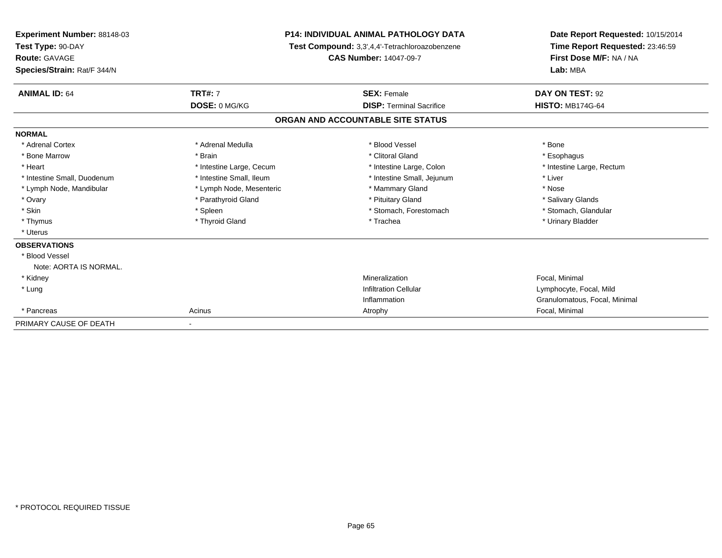| <b>Experiment Number: 88148-03</b><br>Test Type: 90-DAY<br><b>Route: GAVAGE</b><br>Species/Strain: Rat/F 344/N | <b>P14: INDIVIDUAL ANIMAL PATHOLOGY DATA</b><br>Test Compound: 3,3',4,4'-Tetrachloroazobenzene<br><b>CAS Number: 14047-09-7</b> |                                   | Date Report Requested: 10/15/2014<br>Time Report Requested: 23:46:59<br>First Dose M/F: NA / NA<br>Lab: MBA |
|----------------------------------------------------------------------------------------------------------------|---------------------------------------------------------------------------------------------------------------------------------|-----------------------------------|-------------------------------------------------------------------------------------------------------------|
| <b>ANIMAL ID: 64</b>                                                                                           | <b>TRT#: 7</b>                                                                                                                  | <b>SEX: Female</b>                | DAY ON TEST: 92                                                                                             |
|                                                                                                                | DOSE: 0 MG/KG                                                                                                                   | <b>DISP: Terminal Sacrifice</b>   | <b>HISTO: MB174G-64</b>                                                                                     |
|                                                                                                                |                                                                                                                                 | ORGAN AND ACCOUNTABLE SITE STATUS |                                                                                                             |
| <b>NORMAL</b>                                                                                                  |                                                                                                                                 |                                   |                                                                                                             |
| * Adrenal Cortex                                                                                               | * Adrenal Medulla                                                                                                               | * Blood Vessel                    | * Bone                                                                                                      |
| * Bone Marrow                                                                                                  | * Brain                                                                                                                         | * Clitoral Gland                  | * Esophagus                                                                                                 |
| * Heart                                                                                                        | * Intestine Large, Cecum                                                                                                        | * Intestine Large, Colon          | * Intestine Large, Rectum                                                                                   |
| * Intestine Small, Duodenum                                                                                    | * Intestine Small, Ileum                                                                                                        | * Intestine Small, Jejunum        | * Liver                                                                                                     |
| * Lymph Node, Mandibular                                                                                       | * Lymph Node, Mesenteric                                                                                                        | * Mammary Gland                   | * Nose                                                                                                      |
| * Ovary                                                                                                        | * Parathyroid Gland                                                                                                             | * Pituitary Gland                 | * Salivary Glands                                                                                           |
| * Skin                                                                                                         | * Spleen                                                                                                                        | * Stomach, Forestomach            | * Stomach, Glandular                                                                                        |
| * Thymus                                                                                                       | * Thyroid Gland                                                                                                                 | * Trachea                         | * Urinary Bladder                                                                                           |
| * Uterus                                                                                                       |                                                                                                                                 |                                   |                                                                                                             |
| <b>OBSERVATIONS</b>                                                                                            |                                                                                                                                 |                                   |                                                                                                             |
| * Blood Vessel                                                                                                 |                                                                                                                                 |                                   |                                                                                                             |
| Note: AORTA IS NORMAL.                                                                                         |                                                                                                                                 |                                   |                                                                                                             |
| * Kidney                                                                                                       |                                                                                                                                 | Mineralization                    | Focal, Minimal                                                                                              |
| * Lung                                                                                                         |                                                                                                                                 | <b>Infiltration Cellular</b>      | Lymphocyte, Focal, Mild                                                                                     |
|                                                                                                                |                                                                                                                                 | Inflammation                      | Granulomatous, Focal, Minimal                                                                               |
| * Pancreas                                                                                                     | Acinus                                                                                                                          | Atrophy                           | Focal, Minimal                                                                                              |
| PRIMARY CAUSE OF DEATH                                                                                         |                                                                                                                                 |                                   |                                                                                                             |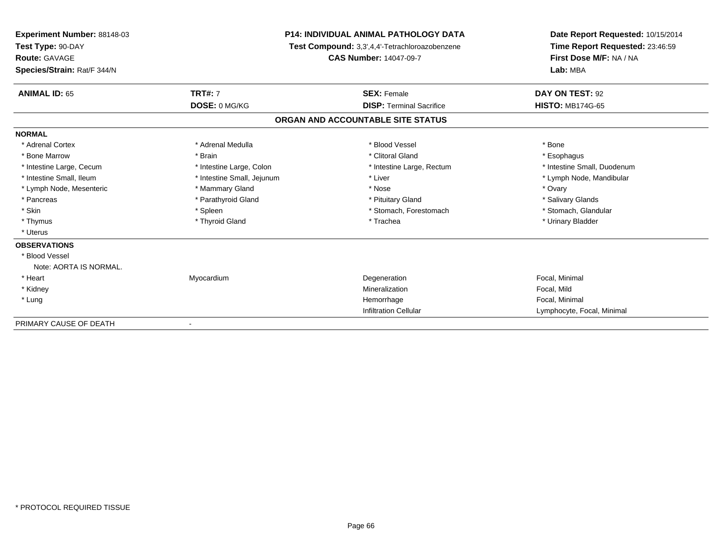| Experiment Number: 88148-03<br>Test Type: 90-DAY<br><b>Route: GAVAGE</b><br>Species/Strain: Rat/F 344/N | <b>P14: INDIVIDUAL ANIMAL PATHOLOGY DATA</b><br>Test Compound: 3,3',4,4'-Tetrachloroazobenzene<br><b>CAS Number: 14047-09-7</b> |                                   | Date Report Requested: 10/15/2014<br>Time Report Requested: 23:46:59<br>First Dose M/F: NA / NA<br>Lab: MBA |
|---------------------------------------------------------------------------------------------------------|---------------------------------------------------------------------------------------------------------------------------------|-----------------------------------|-------------------------------------------------------------------------------------------------------------|
| <b>ANIMAL ID: 65</b>                                                                                    | <b>TRT#: 7</b>                                                                                                                  | <b>SEX: Female</b>                | DAY ON TEST: 92                                                                                             |
|                                                                                                         | DOSE: 0 MG/KG                                                                                                                   | <b>DISP: Terminal Sacrifice</b>   | <b>HISTO: MB174G-65</b>                                                                                     |
|                                                                                                         |                                                                                                                                 | ORGAN AND ACCOUNTABLE SITE STATUS |                                                                                                             |
| <b>NORMAL</b>                                                                                           |                                                                                                                                 |                                   |                                                                                                             |
| * Adrenal Cortex                                                                                        | * Adrenal Medulla                                                                                                               | * Blood Vessel                    | * Bone                                                                                                      |
| * Bone Marrow                                                                                           | * Brain                                                                                                                         | * Clitoral Gland                  | * Esophagus                                                                                                 |
| * Intestine Large, Cecum                                                                                | * Intestine Large, Colon                                                                                                        | * Intestine Large, Rectum         | * Intestine Small, Duodenum                                                                                 |
| * Intestine Small, Ileum                                                                                | * Intestine Small, Jejunum                                                                                                      | * Liver                           | * Lymph Node, Mandibular                                                                                    |
| * Lymph Node, Mesenteric                                                                                | * Mammary Gland                                                                                                                 | * Nose                            | * Ovary                                                                                                     |
| * Pancreas                                                                                              | * Parathyroid Gland                                                                                                             | * Pituitary Gland                 | * Salivary Glands                                                                                           |
| * Skin                                                                                                  | * Spleen                                                                                                                        | * Stomach, Forestomach            | * Stomach, Glandular                                                                                        |
| * Thymus                                                                                                | * Thyroid Gland                                                                                                                 | * Trachea                         | * Urinary Bladder                                                                                           |
| * Uterus                                                                                                |                                                                                                                                 |                                   |                                                                                                             |
| <b>OBSERVATIONS</b>                                                                                     |                                                                                                                                 |                                   |                                                                                                             |
| * Blood Vessel                                                                                          |                                                                                                                                 |                                   |                                                                                                             |
| Note: AORTA IS NORMAL.                                                                                  |                                                                                                                                 |                                   |                                                                                                             |
| * Heart                                                                                                 | Myocardium                                                                                                                      | Degeneration                      | Focal, Minimal                                                                                              |
| * Kidney                                                                                                |                                                                                                                                 | Mineralization                    | Focal, Mild                                                                                                 |
| * Lung                                                                                                  |                                                                                                                                 | Hemorrhage                        | Focal, Minimal                                                                                              |
|                                                                                                         |                                                                                                                                 | <b>Infiltration Cellular</b>      | Lymphocyte, Focal, Minimal                                                                                  |
| PRIMARY CAUSE OF DEATH                                                                                  |                                                                                                                                 |                                   |                                                                                                             |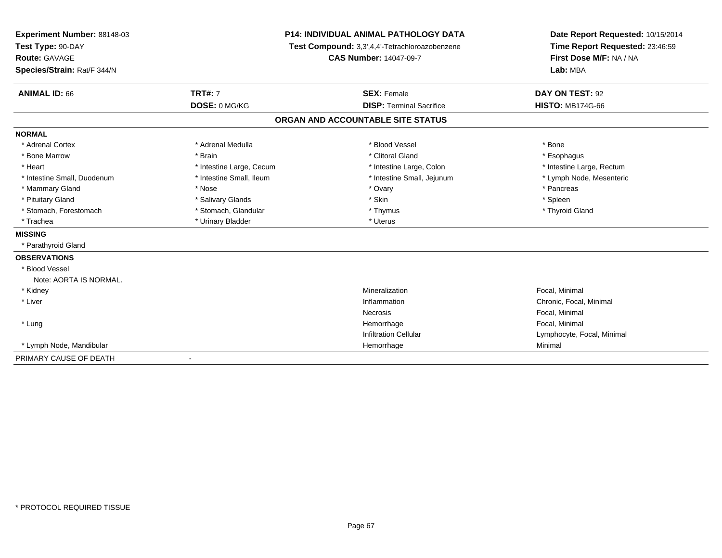| <b>Experiment Number: 88148-03</b><br>Test Type: 90-DAY<br><b>Route: GAVAGE</b><br>Species/Strain: Rat/F 344/N |                          | <b>P14: INDIVIDUAL ANIMAL PATHOLOGY DATA</b><br>Test Compound: 3,3',4,4'-Tetrachloroazobenzene<br><b>CAS Number: 14047-09-7</b> | Date Report Requested: 10/15/2014<br>Time Report Requested: 23:46:59<br>First Dose M/F: NA / NA<br>Lab: MBA |  |
|----------------------------------------------------------------------------------------------------------------|--------------------------|---------------------------------------------------------------------------------------------------------------------------------|-------------------------------------------------------------------------------------------------------------|--|
| <b>ANIMAL ID: 66</b>                                                                                           | <b>TRT#: 7</b>           | <b>SEX: Female</b>                                                                                                              | DAY ON TEST: 92                                                                                             |  |
|                                                                                                                | DOSE: 0 MG/KG            | <b>DISP: Terminal Sacrifice</b>                                                                                                 | <b>HISTO: MB174G-66</b>                                                                                     |  |
|                                                                                                                |                          | ORGAN AND ACCOUNTABLE SITE STATUS                                                                                               |                                                                                                             |  |
| <b>NORMAL</b>                                                                                                  |                          |                                                                                                                                 |                                                                                                             |  |
| * Adrenal Cortex                                                                                               | * Adrenal Medulla        | * Blood Vessel                                                                                                                  | * Bone                                                                                                      |  |
| * Bone Marrow                                                                                                  | * Brain                  | * Clitoral Gland                                                                                                                | * Esophagus                                                                                                 |  |
| * Heart                                                                                                        | * Intestine Large, Cecum | * Intestine Large, Colon                                                                                                        | * Intestine Large, Rectum                                                                                   |  |
| * Intestine Small, Duodenum                                                                                    | * Intestine Small, Ileum | * Intestine Small, Jejunum                                                                                                      | * Lymph Node, Mesenteric                                                                                    |  |
| * Mammary Gland                                                                                                | * Nose                   | * Ovary                                                                                                                         | * Pancreas                                                                                                  |  |
| * Pituitary Gland                                                                                              | * Salivary Glands        | * Skin                                                                                                                          | * Spleen                                                                                                    |  |
| * Stomach, Forestomach                                                                                         | * Stomach, Glandular     | * Thymus                                                                                                                        | * Thyroid Gland                                                                                             |  |
| * Trachea                                                                                                      | * Urinary Bladder        | * Uterus                                                                                                                        |                                                                                                             |  |
| <b>MISSING</b>                                                                                                 |                          |                                                                                                                                 |                                                                                                             |  |
| * Parathyroid Gland                                                                                            |                          |                                                                                                                                 |                                                                                                             |  |
| <b>OBSERVATIONS</b>                                                                                            |                          |                                                                                                                                 |                                                                                                             |  |
| * Blood Vessel                                                                                                 |                          |                                                                                                                                 |                                                                                                             |  |
| Note: AORTA IS NORMAL.                                                                                         |                          |                                                                                                                                 |                                                                                                             |  |
| * Kidney                                                                                                       |                          | Mineralization                                                                                                                  | Focal, Minimal                                                                                              |  |
| * Liver                                                                                                        |                          | Inflammation                                                                                                                    | Chronic, Focal, Minimal                                                                                     |  |
|                                                                                                                |                          | <b>Necrosis</b>                                                                                                                 | Focal, Minimal                                                                                              |  |
| * Lung                                                                                                         |                          | Hemorrhage                                                                                                                      | Focal, Minimal                                                                                              |  |
|                                                                                                                |                          | <b>Infiltration Cellular</b>                                                                                                    | Lymphocyte, Focal, Minimal                                                                                  |  |
| * Lymph Node, Mandibular                                                                                       |                          | Hemorrhage                                                                                                                      | Minimal                                                                                                     |  |
| PRIMARY CAUSE OF DEATH                                                                                         | $\blacksquare$           |                                                                                                                                 |                                                                                                             |  |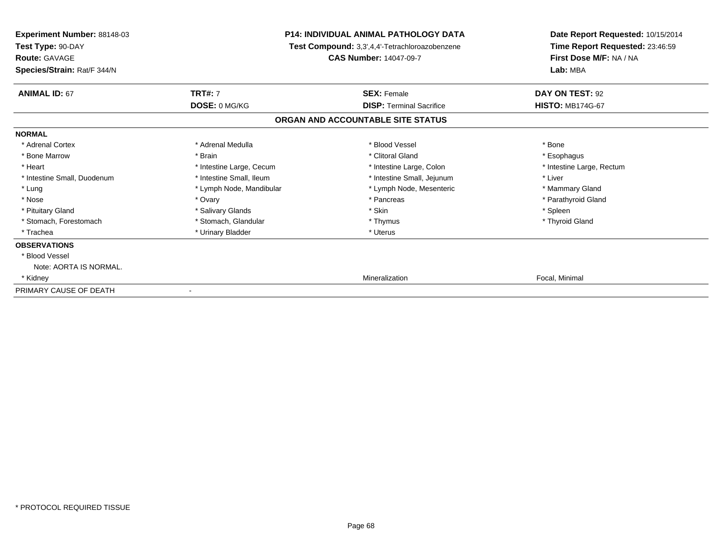| <b>Experiment Number: 88148-03</b><br>Test Type: 90-DAY<br><b>Route: GAVAGE</b><br>Species/Strain: Rat/F 344/N | <b>P14: INDIVIDUAL ANIMAL PATHOLOGY DATA</b><br>Test Compound: 3,3',4,4'-Tetrachloroazobenzene<br><b>CAS Number: 14047-09-7</b> |                                   | Date Report Requested: 10/15/2014<br>Time Report Requested: 23:46:59<br>First Dose M/F: NA / NA<br>Lab: MBA |  |
|----------------------------------------------------------------------------------------------------------------|---------------------------------------------------------------------------------------------------------------------------------|-----------------------------------|-------------------------------------------------------------------------------------------------------------|--|
| <b>ANIMAL ID: 67</b>                                                                                           | <b>TRT#: 7</b>                                                                                                                  | <b>SEX: Female</b>                | DAY ON TEST: 92                                                                                             |  |
|                                                                                                                | DOSE: 0 MG/KG                                                                                                                   | <b>DISP: Terminal Sacrifice</b>   | <b>HISTO: MB174G-67</b>                                                                                     |  |
|                                                                                                                |                                                                                                                                 | ORGAN AND ACCOUNTABLE SITE STATUS |                                                                                                             |  |
| <b>NORMAL</b>                                                                                                  |                                                                                                                                 |                                   |                                                                                                             |  |
| * Adrenal Cortex                                                                                               | * Adrenal Medulla                                                                                                               | * Blood Vessel                    | * Bone                                                                                                      |  |
| * Bone Marrow                                                                                                  | * Brain                                                                                                                         | * Clitoral Gland                  | * Esophagus                                                                                                 |  |
| * Heart                                                                                                        | * Intestine Large, Cecum                                                                                                        | * Intestine Large, Colon          | * Intestine Large, Rectum                                                                                   |  |
| * Intestine Small, Duodenum                                                                                    | * Intestine Small, Ileum                                                                                                        | * Intestine Small, Jejunum        | * Liver                                                                                                     |  |
| * Lung                                                                                                         | * Lymph Node, Mandibular                                                                                                        | * Lymph Node, Mesenteric          | * Mammary Gland                                                                                             |  |
| * Nose                                                                                                         | * Ovary                                                                                                                         | * Pancreas                        | * Parathyroid Gland                                                                                         |  |
| * Pituitary Gland                                                                                              | * Salivary Glands                                                                                                               | * Skin                            | * Spleen                                                                                                    |  |
| * Stomach, Forestomach                                                                                         | * Stomach, Glandular                                                                                                            | * Thymus                          | * Thyroid Gland                                                                                             |  |
| * Trachea                                                                                                      | * Urinary Bladder                                                                                                               | * Uterus                          |                                                                                                             |  |
| <b>OBSERVATIONS</b>                                                                                            |                                                                                                                                 |                                   |                                                                                                             |  |
| * Blood Vessel                                                                                                 |                                                                                                                                 |                                   |                                                                                                             |  |
| Note: AORTA IS NORMAL.                                                                                         |                                                                                                                                 |                                   |                                                                                                             |  |
| * Kidney                                                                                                       |                                                                                                                                 | Mineralization                    | Focal, Minimal                                                                                              |  |
| PRIMARY CAUSE OF DEATH                                                                                         |                                                                                                                                 |                                   |                                                                                                             |  |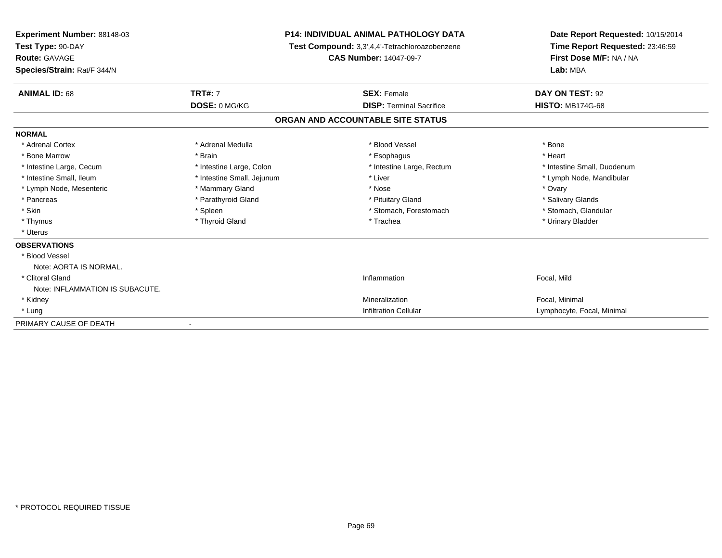| Experiment Number: 88148-03<br>Test Type: 90-DAY<br><b>Route: GAVAGE</b><br>Species/Strain: Rat/F 344/N | <b>P14: INDIVIDUAL ANIMAL PATHOLOGY DATA</b><br>Test Compound: 3,3',4,4'-Tetrachloroazobenzene<br><b>CAS Number: 14047-09-7</b> |                                   | Date Report Requested: 10/15/2014<br>Time Report Requested: 23:46:59<br>First Dose M/F: NA / NA<br>Lab: MBA |  |
|---------------------------------------------------------------------------------------------------------|---------------------------------------------------------------------------------------------------------------------------------|-----------------------------------|-------------------------------------------------------------------------------------------------------------|--|
| <b>ANIMAL ID: 68</b>                                                                                    | <b>TRT#: 7</b>                                                                                                                  | <b>SEX: Female</b>                | DAY ON TEST: 92                                                                                             |  |
|                                                                                                         | DOSE: 0 MG/KG                                                                                                                   | <b>DISP: Terminal Sacrifice</b>   | <b>HISTO: MB174G-68</b>                                                                                     |  |
|                                                                                                         |                                                                                                                                 | ORGAN AND ACCOUNTABLE SITE STATUS |                                                                                                             |  |
| <b>NORMAL</b>                                                                                           |                                                                                                                                 |                                   |                                                                                                             |  |
| * Adrenal Cortex                                                                                        | * Adrenal Medulla                                                                                                               | * Blood Vessel                    | * Bone                                                                                                      |  |
| * Bone Marrow                                                                                           | * Brain                                                                                                                         | * Esophagus                       | * Heart                                                                                                     |  |
| * Intestine Large, Cecum                                                                                | * Intestine Large, Colon                                                                                                        | * Intestine Large, Rectum         | * Intestine Small. Duodenum                                                                                 |  |
| * Intestine Small, Ileum                                                                                | * Intestine Small, Jejunum                                                                                                      | * Liver                           | * Lymph Node, Mandibular                                                                                    |  |
| * Lymph Node, Mesenteric                                                                                | * Mammary Gland                                                                                                                 | * Nose                            | * Ovary                                                                                                     |  |
| * Pancreas                                                                                              | * Parathyroid Gland                                                                                                             | * Pituitary Gland                 | * Salivary Glands                                                                                           |  |
| * Skin                                                                                                  | * Spleen                                                                                                                        | * Stomach, Forestomach            | * Stomach, Glandular                                                                                        |  |
| * Thymus                                                                                                | * Thyroid Gland                                                                                                                 | * Trachea                         | * Urinary Bladder                                                                                           |  |
| * Uterus                                                                                                |                                                                                                                                 |                                   |                                                                                                             |  |
| <b>OBSERVATIONS</b>                                                                                     |                                                                                                                                 |                                   |                                                                                                             |  |
| * Blood Vessel                                                                                          |                                                                                                                                 |                                   |                                                                                                             |  |
| Note: AORTA IS NORMAL.                                                                                  |                                                                                                                                 |                                   |                                                                                                             |  |
| * Clitoral Gland                                                                                        |                                                                                                                                 | Inflammation                      | Focal, Mild                                                                                                 |  |
| Note: INFLAMMATION IS SUBACUTE.                                                                         |                                                                                                                                 |                                   |                                                                                                             |  |
| * Kidney                                                                                                |                                                                                                                                 | Mineralization                    | Focal, Minimal                                                                                              |  |
| * Lung                                                                                                  |                                                                                                                                 | <b>Infiltration Cellular</b>      | Lymphocyte, Focal, Minimal                                                                                  |  |
| PRIMARY CAUSE OF DEATH                                                                                  |                                                                                                                                 |                                   |                                                                                                             |  |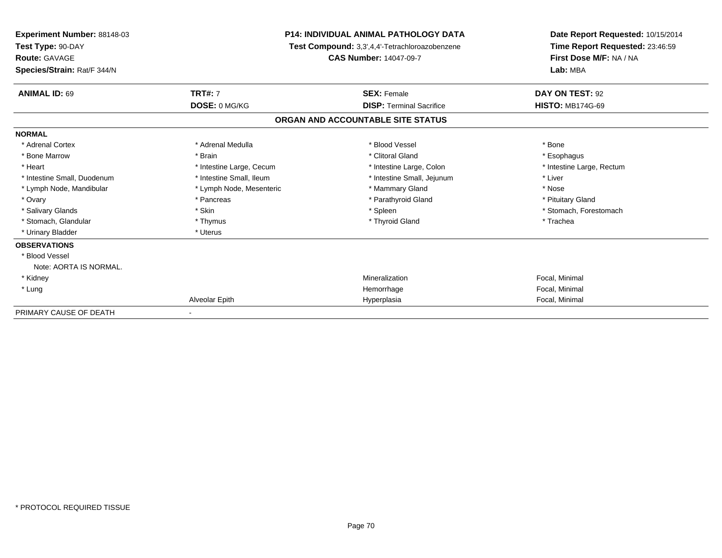| Experiment Number: 88148-03<br>Test Type: 90-DAY<br>Route: GAVAGE<br>Species/Strain: Rat/F 344/N | <b>P14: INDIVIDUAL ANIMAL PATHOLOGY DATA</b><br>Test Compound: 3,3',4,4'-Tetrachloroazobenzene<br><b>CAS Number: 14047-09-7</b> |                                   | Date Report Requested: 10/15/2014<br>Time Report Requested: 23:46:59<br>First Dose M/F: NA / NA<br>Lab: MBA |  |
|--------------------------------------------------------------------------------------------------|---------------------------------------------------------------------------------------------------------------------------------|-----------------------------------|-------------------------------------------------------------------------------------------------------------|--|
| <b>ANIMAL ID: 69</b>                                                                             | <b>TRT#: 7</b>                                                                                                                  | <b>SEX: Female</b>                | DAY ON TEST: 92                                                                                             |  |
|                                                                                                  | DOSE: 0 MG/KG                                                                                                                   | <b>DISP:</b> Terminal Sacrifice   | <b>HISTO: MB174G-69</b>                                                                                     |  |
|                                                                                                  |                                                                                                                                 | ORGAN AND ACCOUNTABLE SITE STATUS |                                                                                                             |  |
| <b>NORMAL</b>                                                                                    |                                                                                                                                 |                                   |                                                                                                             |  |
| * Adrenal Cortex                                                                                 | * Adrenal Medulla                                                                                                               | * Blood Vessel                    | * Bone                                                                                                      |  |
| * Bone Marrow                                                                                    | * Brain                                                                                                                         | * Clitoral Gland                  | * Esophagus                                                                                                 |  |
| * Heart                                                                                          | * Intestine Large, Cecum                                                                                                        | * Intestine Large, Colon          | * Intestine Large, Rectum                                                                                   |  |
| * Intestine Small, Duodenum                                                                      | * Intestine Small, Ileum                                                                                                        | * Intestine Small, Jejunum        | * Liver                                                                                                     |  |
| * Lymph Node, Mandibular                                                                         | * Lymph Node, Mesenteric                                                                                                        | * Mammary Gland                   | * Nose                                                                                                      |  |
| * Ovary                                                                                          | * Pancreas                                                                                                                      | * Parathyroid Gland               | * Pituitary Gland                                                                                           |  |
| * Salivary Glands                                                                                | * Skin                                                                                                                          | * Spleen                          | * Stomach, Forestomach                                                                                      |  |
| * Stomach, Glandular                                                                             | * Thymus                                                                                                                        | * Thyroid Gland                   | * Trachea                                                                                                   |  |
| * Urinary Bladder                                                                                | * Uterus                                                                                                                        |                                   |                                                                                                             |  |
| <b>OBSERVATIONS</b>                                                                              |                                                                                                                                 |                                   |                                                                                                             |  |
| * Blood Vessel                                                                                   |                                                                                                                                 |                                   |                                                                                                             |  |
| Note: AORTA IS NORMAL.                                                                           |                                                                                                                                 |                                   |                                                                                                             |  |
| * Kidney                                                                                         |                                                                                                                                 | Mineralization                    | Focal, Minimal                                                                                              |  |
| * Lung                                                                                           |                                                                                                                                 | Hemorrhage                        | Focal, Minimal                                                                                              |  |
|                                                                                                  | Alveolar Epith                                                                                                                  | Hyperplasia                       | Focal, Minimal                                                                                              |  |
| PRIMARY CAUSE OF DEATH                                                                           |                                                                                                                                 |                                   |                                                                                                             |  |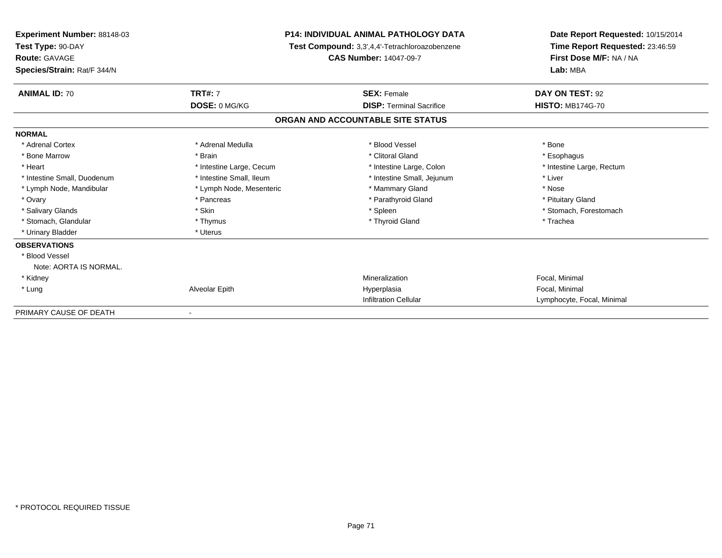| Experiment Number: 88148-03<br>Test Type: 90-DAY<br>Route: GAVAGE<br>Species/Strain: Rat/F 344/N | <b>P14: INDIVIDUAL ANIMAL PATHOLOGY DATA</b><br>Test Compound: 3,3',4,4'-Tetrachloroazobenzene<br><b>CAS Number: 14047-09-7</b> |                                   | Date Report Requested: 10/15/2014<br>Time Report Requested: 23:46:59<br>First Dose M/F: NA / NA<br>Lab: MBA |
|--------------------------------------------------------------------------------------------------|---------------------------------------------------------------------------------------------------------------------------------|-----------------------------------|-------------------------------------------------------------------------------------------------------------|
| <b>ANIMAL ID: 70</b>                                                                             | <b>TRT#: 7</b>                                                                                                                  | <b>SEX: Female</b>                | DAY ON TEST: 92                                                                                             |
|                                                                                                  | DOSE: 0 MG/KG                                                                                                                   | <b>DISP:</b> Terminal Sacrifice   | <b>HISTO: MB174G-70</b>                                                                                     |
|                                                                                                  |                                                                                                                                 | ORGAN AND ACCOUNTABLE SITE STATUS |                                                                                                             |
| <b>NORMAL</b>                                                                                    |                                                                                                                                 |                                   |                                                                                                             |
| * Adrenal Cortex                                                                                 | * Adrenal Medulla                                                                                                               | * Blood Vessel                    | * Bone                                                                                                      |
| * Bone Marrow                                                                                    | * Brain                                                                                                                         | * Clitoral Gland                  | * Esophagus                                                                                                 |
| * Heart                                                                                          | * Intestine Large, Cecum                                                                                                        | * Intestine Large, Colon          | * Intestine Large, Rectum                                                                                   |
| * Intestine Small, Duodenum                                                                      | * Intestine Small, Ileum                                                                                                        | * Intestine Small, Jejunum        | * Liver                                                                                                     |
| * Lymph Node, Mandibular                                                                         | * Lymph Node, Mesenteric                                                                                                        | * Mammary Gland                   | * Nose                                                                                                      |
| * Ovary                                                                                          | * Pancreas                                                                                                                      | * Parathyroid Gland               | * Pituitary Gland                                                                                           |
| * Salivary Glands                                                                                | * Skin                                                                                                                          | * Spleen                          | * Stomach, Forestomach                                                                                      |
| * Stomach, Glandular                                                                             | * Thymus                                                                                                                        | * Thyroid Gland                   | * Trachea                                                                                                   |
| * Urinary Bladder                                                                                | * Uterus                                                                                                                        |                                   |                                                                                                             |
| <b>OBSERVATIONS</b>                                                                              |                                                                                                                                 |                                   |                                                                                                             |
| * Blood Vessel                                                                                   |                                                                                                                                 |                                   |                                                                                                             |
| Note: AORTA IS NORMAL.                                                                           |                                                                                                                                 |                                   |                                                                                                             |
| * Kidney                                                                                         |                                                                                                                                 | Mineralization                    | Focal, Minimal                                                                                              |
| * Lung                                                                                           | Alveolar Epith                                                                                                                  | Hyperplasia                       | Focal, Minimal                                                                                              |
|                                                                                                  |                                                                                                                                 | <b>Infiltration Cellular</b>      | Lymphocyte, Focal, Minimal                                                                                  |
| PRIMARY CAUSE OF DEATH                                                                           |                                                                                                                                 |                                   |                                                                                                             |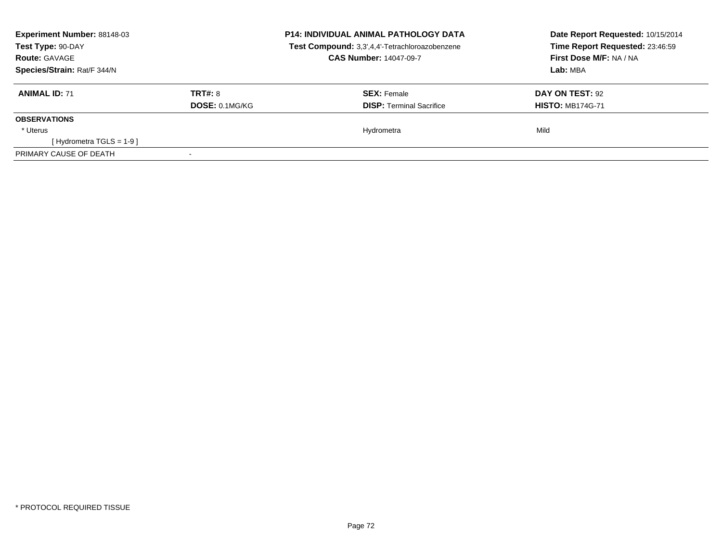| <b>Experiment Number: 88148-03</b><br>Test Type: 90-DAY<br><b>Route: GAVAGE</b><br>Species/Strain: Rat/F 344/N |                                  | <b>P14: INDIVIDUAL ANIMAL PATHOLOGY DATA</b><br>Test Compound: 3,3',4,4'-Tetrachloroazobenzene<br><b>CAS Number: 14047-09-7</b> | Date Report Requested: 10/15/2014<br>Time Report Requested: 23:46:59<br>First Dose M/F: NA / NA<br>Lab: MBA |
|----------------------------------------------------------------------------------------------------------------|----------------------------------|---------------------------------------------------------------------------------------------------------------------------------|-------------------------------------------------------------------------------------------------------------|
| <b>ANIMAL ID: 71</b>                                                                                           | <b>TRT#: 8</b><br>DOSE: 0.1MG/KG | <b>SEX: Female</b><br><b>DISP:</b> Terminal Sacrifice                                                                           | DAY ON TEST: 92<br><b>HISTO: MB174G-71</b>                                                                  |
| <b>OBSERVATIONS</b>                                                                                            |                                  |                                                                                                                                 |                                                                                                             |
| * Uterus                                                                                                       |                                  | Hydrometra                                                                                                                      | Mild                                                                                                        |
| [Hydrometra TGLS = $1-9$ ]                                                                                     |                                  |                                                                                                                                 |                                                                                                             |
| PRIMARY CAUSE OF DEATH                                                                                         |                                  |                                                                                                                                 |                                                                                                             |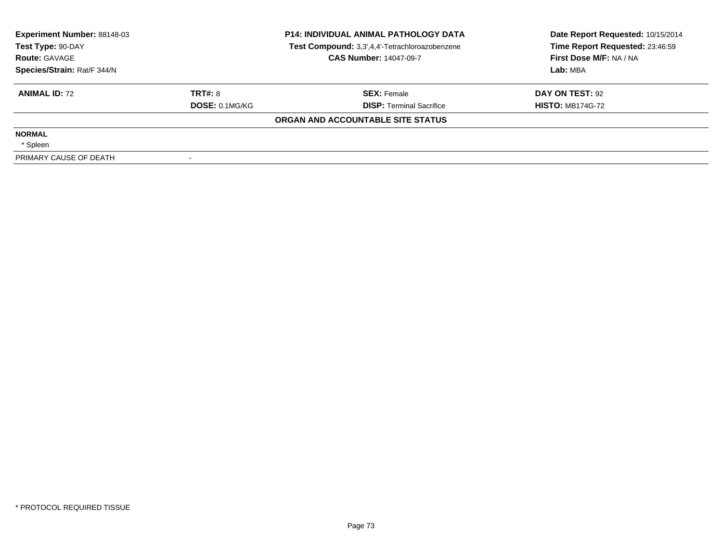| <b>Experiment Number: 88148-03</b><br>Test Type: 90-DAY |                | <b>P14: INDIVIDUAL ANIMAL PATHOLOGY DATA</b><br>Test Compound: 3,3',4,4'-Tetrachloroazobenzene | Date Report Requested: 10/15/2014<br>Time Report Requested: 23:46:59 |
|---------------------------------------------------------|----------------|------------------------------------------------------------------------------------------------|----------------------------------------------------------------------|
| <b>Route: GAVAGE</b>                                    |                | <b>CAS Number: 14047-09-7</b>                                                                  | First Dose M/F: NA / NA                                              |
| Species/Strain: Rat/F 344/N                             |                |                                                                                                | Lab: MBA                                                             |
| <b>ANIMAL ID: 72</b>                                    | TRT#: 8        | <b>SEX: Female</b>                                                                             | DAY ON TEST: 92                                                      |
|                                                         | DOSE: 0.1MG/KG | <b>DISP: Terminal Sacrifice</b>                                                                | <b>HISTO: MB174G-72</b>                                              |
|                                                         |                | ORGAN AND ACCOUNTABLE SITE STATUS                                                              |                                                                      |
| <b>NORMAL</b>                                           |                |                                                                                                |                                                                      |
| * Spleen                                                |                |                                                                                                |                                                                      |
| PRIMARY CAUSE OF DEATH                                  |                |                                                                                                |                                                                      |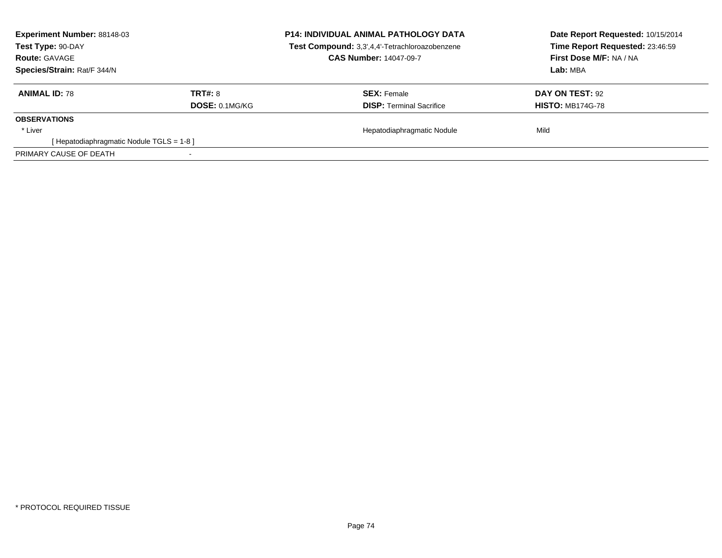| <b>Experiment Number: 88148-03</b><br>Test Type: 90-DAY<br><b>Route: GAVAGE</b><br>Species/Strain: Rat/F 344/N |                                         | <b>P14: INDIVIDUAL ANIMAL PATHOLOGY DATA</b><br>Test Compound: 3,3',4,4'-Tetrachloroazobenzene<br><b>CAS Number: 14047-09-7</b> | Date Report Requested: 10/15/2014<br>Time Report Requested: 23:46:59<br>First Dose M/F: NA / NA<br>Lab: MBA |
|----------------------------------------------------------------------------------------------------------------|-----------------------------------------|---------------------------------------------------------------------------------------------------------------------------------|-------------------------------------------------------------------------------------------------------------|
| <b>ANIMAL ID: 78</b>                                                                                           | <b>TRT#: 8</b><br><b>DOSE: 0.1MG/KG</b> | <b>SEX: Female</b><br><b>DISP:</b> Terminal Sacrifice                                                                           | <b>DAY ON TEST: 92</b><br><b>HISTO: MB174G-78</b>                                                           |
| <b>OBSERVATIONS</b>                                                                                            |                                         |                                                                                                                                 |                                                                                                             |
| * Liver<br>[Hepatodiaphragmatic Nodule TGLS = 1-8]                                                             |                                         | Hepatodiaphragmatic Nodule                                                                                                      | Mild                                                                                                        |
| PRIMARY CAUSE OF DEATH                                                                                         |                                         |                                                                                                                                 |                                                                                                             |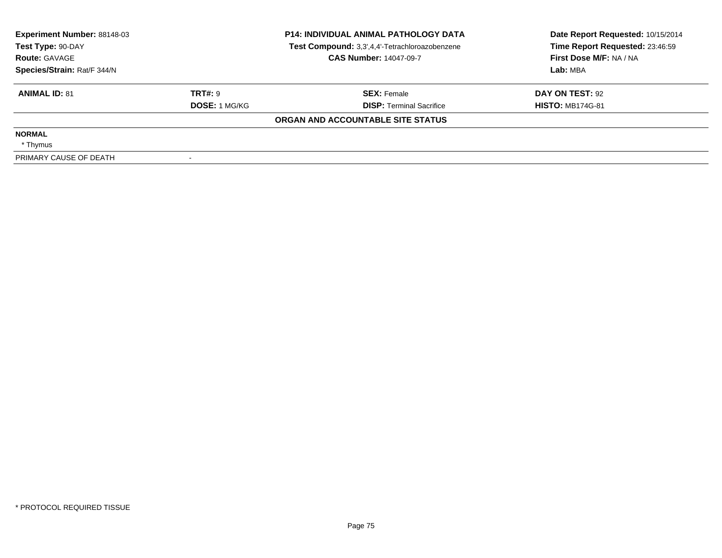| <b>Experiment Number: 88148-03</b> |                      | <b>P14: INDIVIDUAL ANIMAL PATHOLOGY DATA</b>   | Date Report Requested: 10/15/2014 |
|------------------------------------|----------------------|------------------------------------------------|-----------------------------------|
| Test Type: 90-DAY                  |                      | Test Compound: 3,3',4,4'-Tetrachloroazobenzene | Time Report Requested: 23:46:59   |
| <b>Route: GAVAGE</b>               |                      | <b>CAS Number: 14047-09-7</b>                  | First Dose M/F: NA / NA           |
| Species/Strain: Rat/F 344/N        |                      |                                                | Lab: MBA                          |
| <b>ANIMAL ID: 81</b>               | TRT#: 9              | <b>SEX: Female</b>                             | DAY ON TEST: 92                   |
|                                    | <b>DOSE: 1 MG/KG</b> | <b>DISP:</b> Terminal Sacrifice                | <b>HISTO: MB174G-81</b>           |
|                                    |                      | ORGAN AND ACCOUNTABLE SITE STATUS              |                                   |
| <b>NORMAL</b>                      |                      |                                                |                                   |
| * Thymus                           |                      |                                                |                                   |
| PRIMARY CAUSE OF DEATH             |                      |                                                |                                   |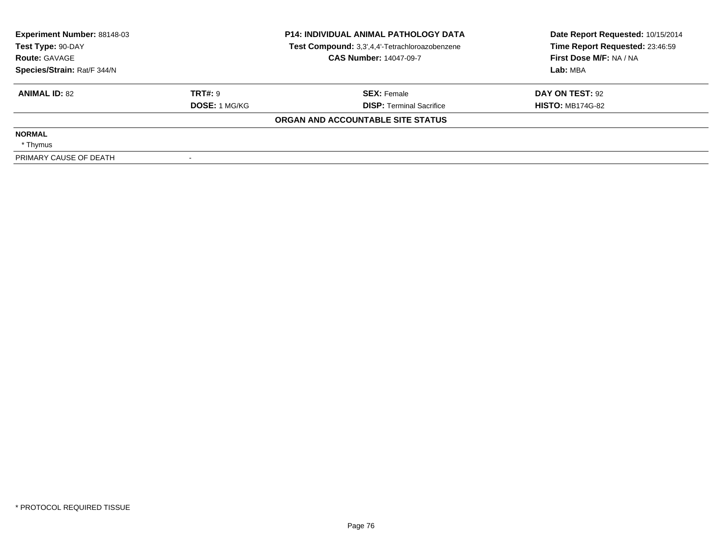| Experiment Number: 88148-03<br>Test Type: 90-DAY |                      | <b>P14: INDIVIDUAL ANIMAL PATHOLOGY DATA</b><br>Test Compound: 3,3',4,4'-Tetrachloroazobenzene | Date Report Requested: 10/15/2014<br>Time Report Requested: 23:46:59 |
|--------------------------------------------------|----------------------|------------------------------------------------------------------------------------------------|----------------------------------------------------------------------|
| <b>Route: GAVAGE</b>                             |                      | <b>CAS Number: 14047-09-7</b>                                                                  | First Dose M/F: NA / NA                                              |
| Species/Strain: Rat/F 344/N                      |                      |                                                                                                | Lab: MBA                                                             |
| <b>ANIMAL ID: 82</b>                             | <b>TRT#: 9</b>       | <b>SEX: Female</b>                                                                             | DAY ON TEST: 92                                                      |
|                                                  | <b>DOSE: 1 MG/KG</b> | <b>DISP: Terminal Sacrifice</b>                                                                | <b>HISTO: MB174G-82</b>                                              |
|                                                  |                      | ORGAN AND ACCOUNTABLE SITE STATUS                                                              |                                                                      |
| <b>NORMAL</b>                                    |                      |                                                                                                |                                                                      |
| * Thymus                                         |                      |                                                                                                |                                                                      |
| PRIMARY CAUSE OF DEATH                           |                      |                                                                                                |                                                                      |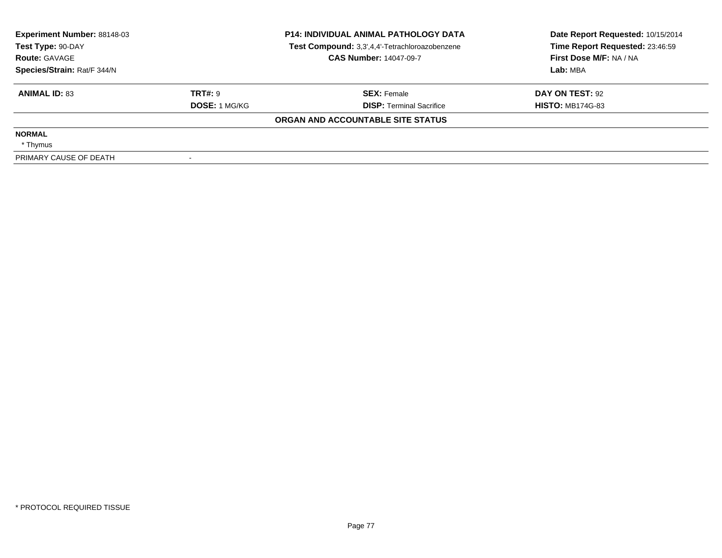| <b>Experiment Number: 88148-03</b> |                      | <b>P14: INDIVIDUAL ANIMAL PATHOLOGY DATA</b>   | Date Report Requested: 10/15/2014 |
|------------------------------------|----------------------|------------------------------------------------|-----------------------------------|
| Test Type: 90-DAY                  |                      | Test Compound: 3,3',4,4'-Tetrachloroazobenzene | Time Report Requested: 23:46:59   |
| <b>Route: GAVAGE</b>               |                      | <b>CAS Number: 14047-09-7</b>                  | First Dose M/F: NA / NA           |
| Species/Strain: Rat/F 344/N        |                      |                                                | Lab: MBA                          |
| <b>ANIMAL ID: 83</b>               | TRT#: 9              | <b>SEX: Female</b>                             | DAY ON TEST: 92                   |
|                                    | <b>DOSE: 1 MG/KG</b> | <b>DISP: Terminal Sacrifice</b>                | <b>HISTO: MB174G-83</b>           |
|                                    |                      | ORGAN AND ACCOUNTABLE SITE STATUS              |                                   |
| <b>NORMAL</b>                      |                      |                                                |                                   |
| * Thymus                           |                      |                                                |                                   |
| PRIMARY CAUSE OF DEATH             |                      |                                                |                                   |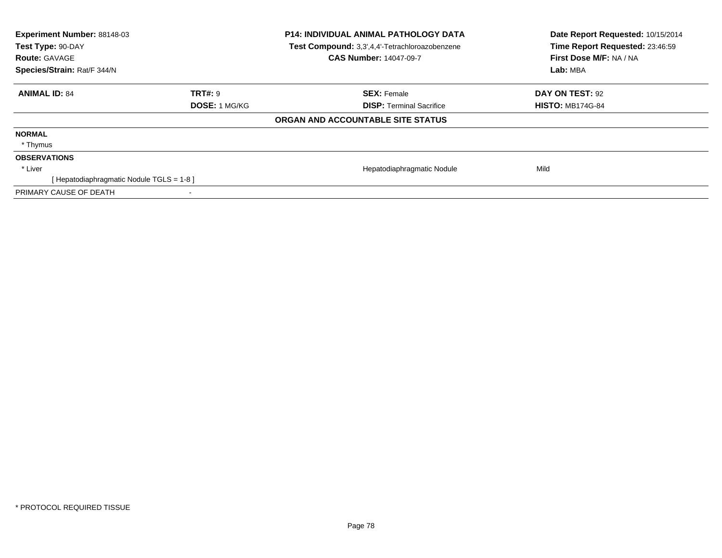| Experiment Number: 88148-03<br>Test Type: 90-DAY<br><b>Route: GAVAGE</b><br>Species/Strain: Rat/F 344/N |                      | <b>P14: INDIVIDUAL ANIMAL PATHOLOGY DATA</b><br>Test Compound: 3,3',4,4'-Tetrachloroazobenzene<br><b>CAS Number: 14047-09-7</b> | Date Report Requested: 10/15/2014<br>Time Report Requested: 23:46:59<br>First Dose M/F: NA / NA<br>Lab: MBA |
|---------------------------------------------------------------------------------------------------------|----------------------|---------------------------------------------------------------------------------------------------------------------------------|-------------------------------------------------------------------------------------------------------------|
| <b>ANIMAL ID: 84</b>                                                                                    | TRT#: 9              | <b>SEX: Female</b>                                                                                                              | DAY ON TEST: 92                                                                                             |
|                                                                                                         | <b>DOSE: 1 MG/KG</b> | <b>DISP:</b> Terminal Sacrifice                                                                                                 | <b>HISTO: MB174G-84</b>                                                                                     |
|                                                                                                         |                      | ORGAN AND ACCOUNTABLE SITE STATUS                                                                                               |                                                                                                             |
| <b>NORMAL</b>                                                                                           |                      |                                                                                                                                 |                                                                                                             |
| * Thymus                                                                                                |                      |                                                                                                                                 |                                                                                                             |
| <b>OBSERVATIONS</b>                                                                                     |                      |                                                                                                                                 |                                                                                                             |
| * Liver                                                                                                 |                      | Hepatodiaphragmatic Nodule                                                                                                      | Mild                                                                                                        |
| [Hepatodiaphragmatic Nodule TGLS = 1-8]                                                                 |                      |                                                                                                                                 |                                                                                                             |
| PRIMARY CAUSE OF DEATH                                                                                  | ۰                    |                                                                                                                                 |                                                                                                             |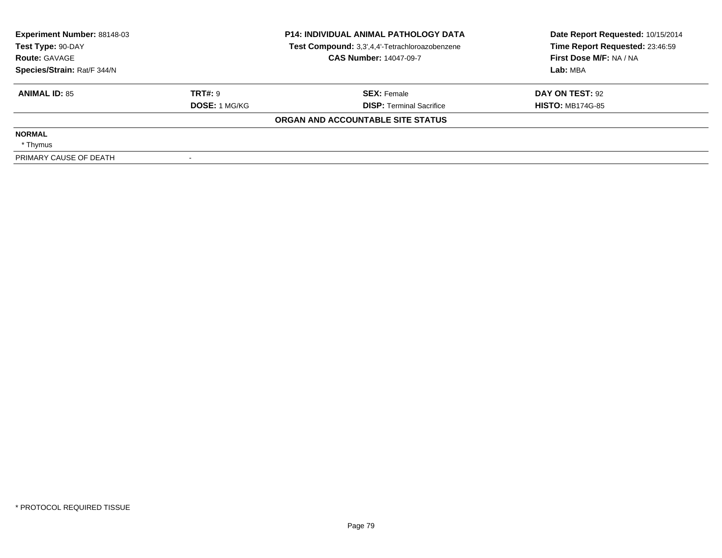| Experiment Number: 88148-03<br>Test Type: 90-DAY |                      | <b>P14: INDIVIDUAL ANIMAL PATHOLOGY DATA</b><br>Test Compound: 3,3',4,4'-Tetrachloroazobenzene | Date Report Requested: 10/15/2014<br>Time Report Requested: 23:46:59 |
|--------------------------------------------------|----------------------|------------------------------------------------------------------------------------------------|----------------------------------------------------------------------|
| <b>Route: GAVAGE</b>                             |                      | <b>CAS Number: 14047-09-7</b>                                                                  | First Dose M/F: NA / NA                                              |
| Species/Strain: Rat/F 344/N                      |                      |                                                                                                | Lab: MBA                                                             |
| <b>ANIMAL ID: 85</b>                             | <b>TRT#: 9</b>       | <b>SEX: Female</b>                                                                             | DAY ON TEST: 92                                                      |
|                                                  | <b>DOSE: 1 MG/KG</b> | <b>DISP: Terminal Sacrifice</b>                                                                | <b>HISTO: MB174G-85</b>                                              |
|                                                  |                      | ORGAN AND ACCOUNTABLE SITE STATUS                                                              |                                                                      |
| <b>NORMAL</b>                                    |                      |                                                                                                |                                                                      |
| * Thymus                                         |                      |                                                                                                |                                                                      |
| PRIMARY CAUSE OF DEATH                           |                      |                                                                                                |                                                                      |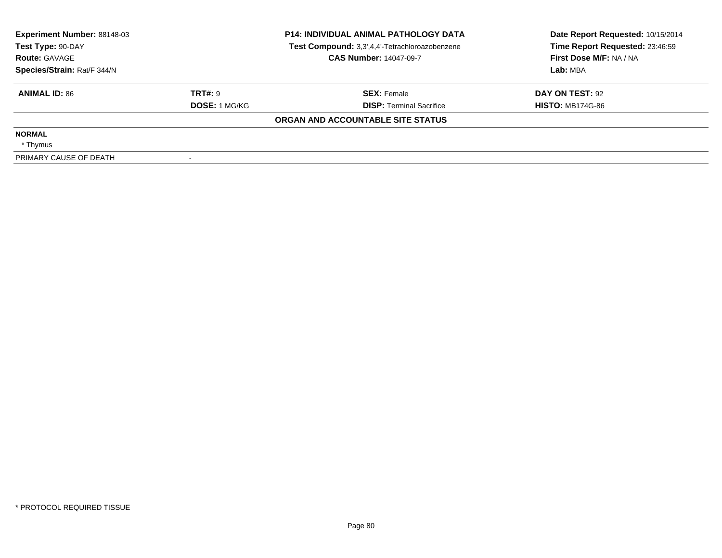| Experiment Number: 88148-03<br>Test Type: 90-DAY |                      | <b>P14: INDIVIDUAL ANIMAL PATHOLOGY DATA</b><br>Test Compound: 3,3',4,4'-Tetrachloroazobenzene | Date Report Requested: 10/15/2014<br>Time Report Requested: 23:46:59 |
|--------------------------------------------------|----------------------|------------------------------------------------------------------------------------------------|----------------------------------------------------------------------|
| <b>Route: GAVAGE</b>                             |                      | <b>CAS Number: 14047-09-7</b>                                                                  | First Dose M/F: NA / NA                                              |
| Species/Strain: Rat/F 344/N                      |                      |                                                                                                | Lab: MBA                                                             |
| <b>ANIMAL ID: 86</b>                             | <b>TRT#: 9</b>       | <b>SEX: Female</b>                                                                             | DAY ON TEST: 92                                                      |
|                                                  | <b>DOSE: 1 MG/KG</b> | <b>DISP: Terminal Sacrifice</b>                                                                | <b>HISTO: MB174G-86</b>                                              |
|                                                  |                      | ORGAN AND ACCOUNTABLE SITE STATUS                                                              |                                                                      |
| <b>NORMAL</b>                                    |                      |                                                                                                |                                                                      |
| * Thymus                                         |                      |                                                                                                |                                                                      |
| PRIMARY CAUSE OF DEATH                           |                      |                                                                                                |                                                                      |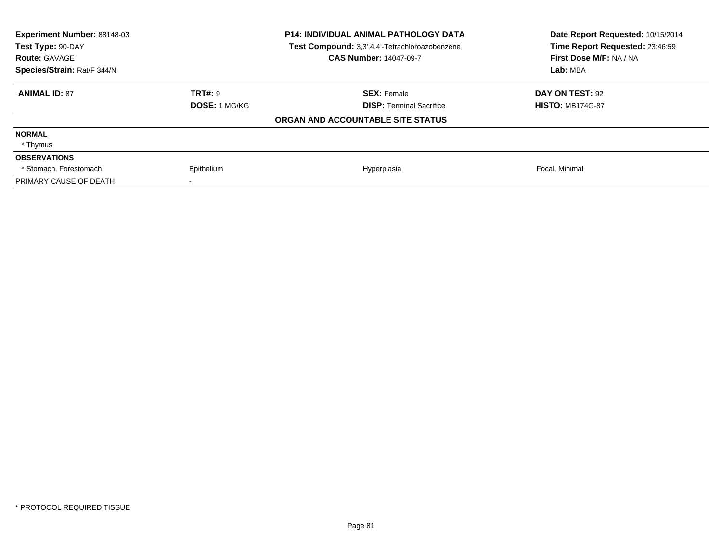| Experiment Number: 88148-03 | <b>P14: INDIVIDUAL ANIMAL PATHOLOGY DATA</b> |                                                | Date Report Requested: 10/15/2014 |
|-----------------------------|----------------------------------------------|------------------------------------------------|-----------------------------------|
| Test Type: 90-DAY           |                                              | Test Compound: 3,3',4,4'-Tetrachloroazobenzene | Time Report Requested: 23:46:59   |
| <b>Route: GAVAGE</b>        |                                              | <b>CAS Number: 14047-09-7</b>                  | First Dose M/F: NA / NA           |
| Species/Strain: Rat/F 344/N |                                              |                                                | Lab: MBA                          |
| <b>ANIMAL ID: 87</b>        | <b>TRT#: 9</b>                               | <b>SEX: Female</b>                             | DAY ON TEST: 92                   |
|                             | DOSE: 1 MG/KG                                | <b>DISP: Terminal Sacrifice</b>                | <b>HISTO: MB174G-87</b>           |
|                             |                                              | ORGAN AND ACCOUNTABLE SITE STATUS              |                                   |
| <b>NORMAL</b>               |                                              |                                                |                                   |
| * Thymus                    |                                              |                                                |                                   |
| <b>OBSERVATIONS</b>         |                                              |                                                |                                   |
| * Stomach, Forestomach      | Epithelium                                   | Hyperplasia                                    | Focal, Minimal                    |
| PRIMARY CAUSE OF DEATH      |                                              |                                                |                                   |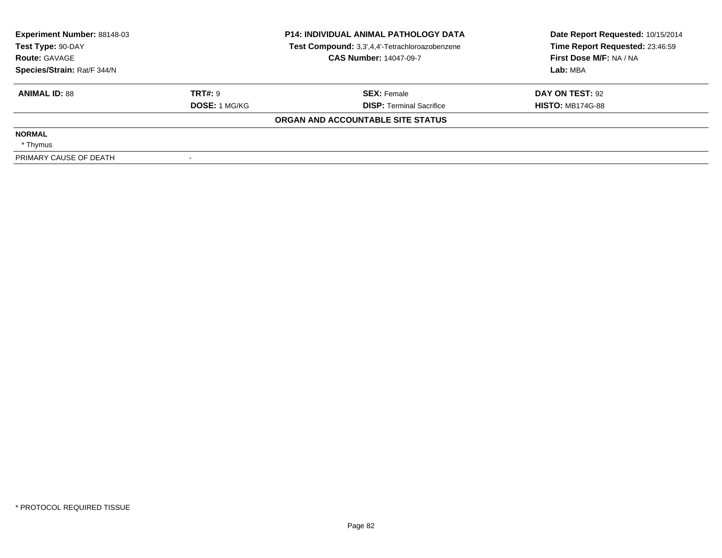| <b>Experiment Number: 88148-03</b> |                      | <b>P14: INDIVIDUAL ANIMAL PATHOLOGY DATA</b>   | Date Report Requested: 10/15/2014 |
|------------------------------------|----------------------|------------------------------------------------|-----------------------------------|
| Test Type: 90-DAY                  |                      | Test Compound: 3,3',4,4'-Tetrachloroazobenzene | Time Report Requested: 23:46:59   |
| <b>Route: GAVAGE</b>               |                      | <b>CAS Number: 14047-09-7</b>                  | First Dose M/F: NA / NA           |
| Species/Strain: Rat/F 344/N        |                      |                                                | Lab: MBA                          |
| <b>ANIMAL ID: 88</b>               | TRT#: 9              | <b>SEX: Female</b>                             | DAY ON TEST: 92                   |
|                                    | <b>DOSE: 1 MG/KG</b> | <b>DISP: Terminal Sacrifice</b>                | <b>HISTO: MB174G-88</b>           |
|                                    |                      | ORGAN AND ACCOUNTABLE SITE STATUS              |                                   |
| <b>NORMAL</b>                      |                      |                                                |                                   |
| * Thymus                           |                      |                                                |                                   |
| PRIMARY CAUSE OF DEATH             |                      |                                                |                                   |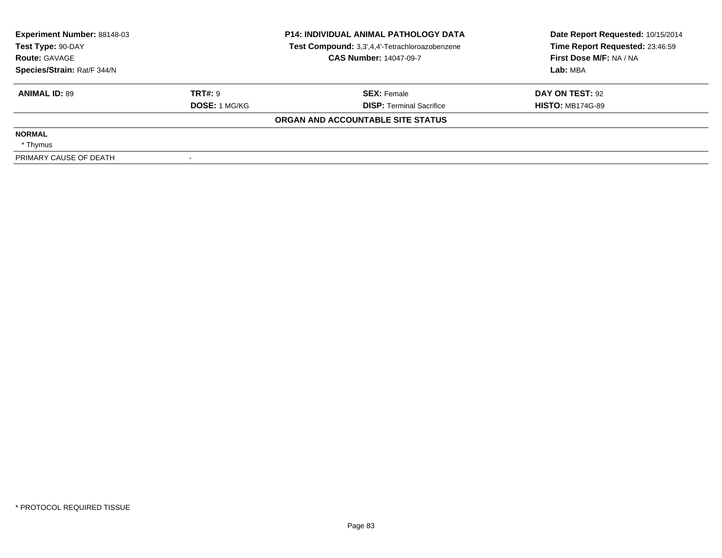| <b>Experiment Number: 88148-03</b> |                      | <b>P14: INDIVIDUAL ANIMAL PATHOLOGY DATA</b>   | Date Report Requested: 10/15/2014 |
|------------------------------------|----------------------|------------------------------------------------|-----------------------------------|
| Test Type: 90-DAY                  |                      | Test Compound: 3,3',4,4'-Tetrachloroazobenzene | Time Report Requested: 23:46:59   |
| <b>Route: GAVAGE</b>               |                      | <b>CAS Number: 14047-09-7</b>                  | First Dose M/F: NA / NA           |
| Species/Strain: Rat/F 344/N        |                      |                                                | Lab: MBA                          |
| <b>ANIMAL ID: 89</b>               | TRT#: 9              | <b>SEX: Female</b>                             | DAY ON TEST: 92                   |
|                                    | <b>DOSE: 1 MG/KG</b> | <b>DISP: Terminal Sacrifice</b>                | <b>HISTO: MB174G-89</b>           |
|                                    |                      | ORGAN AND ACCOUNTABLE SITE STATUS              |                                   |
| <b>NORMAL</b>                      |                      |                                                |                                   |
| * Thymus                           |                      |                                                |                                   |
| PRIMARY CAUSE OF DEATH             |                      |                                                |                                   |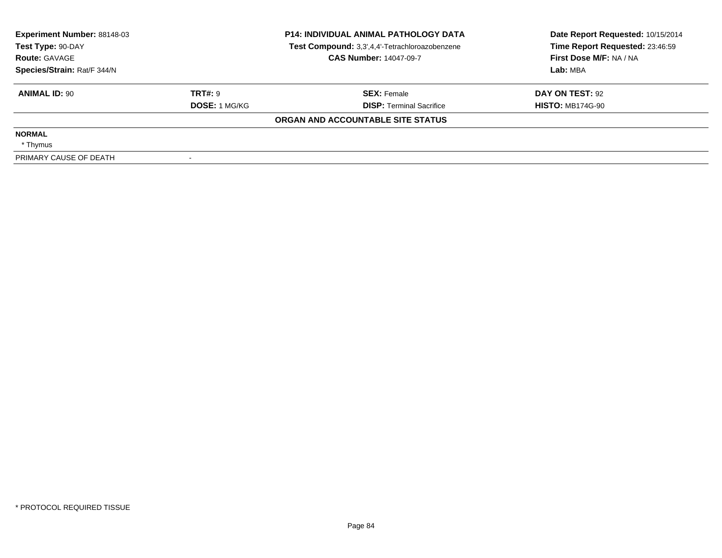| <b>Experiment Number: 88148-03</b> |                      | <b>P14: INDIVIDUAL ANIMAL PATHOLOGY DATA</b>   | Date Report Requested: 10/15/2014 |
|------------------------------------|----------------------|------------------------------------------------|-----------------------------------|
| Test Type: 90-DAY                  |                      | Test Compound: 3,3',4,4'-Tetrachloroazobenzene | Time Report Requested: 23:46:59   |
| <b>Route: GAVAGE</b>               |                      | <b>CAS Number: 14047-09-7</b>                  | First Dose M/F: NA / NA           |
| Species/Strain: Rat/F 344/N        |                      |                                                | Lab: MBA                          |
| <b>ANIMAL ID: 90</b>               | TRT#: 9              | <b>SEX: Female</b>                             | DAY ON TEST: 92                   |
|                                    | <b>DOSE: 1 MG/KG</b> | <b>DISP: Terminal Sacrifice</b>                | <b>HISTO: MB174G-90</b>           |
|                                    |                      | ORGAN AND ACCOUNTABLE SITE STATUS              |                                   |
| <b>NORMAL</b>                      |                      |                                                |                                   |
| * Thymus                           |                      |                                                |                                   |
| PRIMARY CAUSE OF DEATH             |                      |                                                |                                   |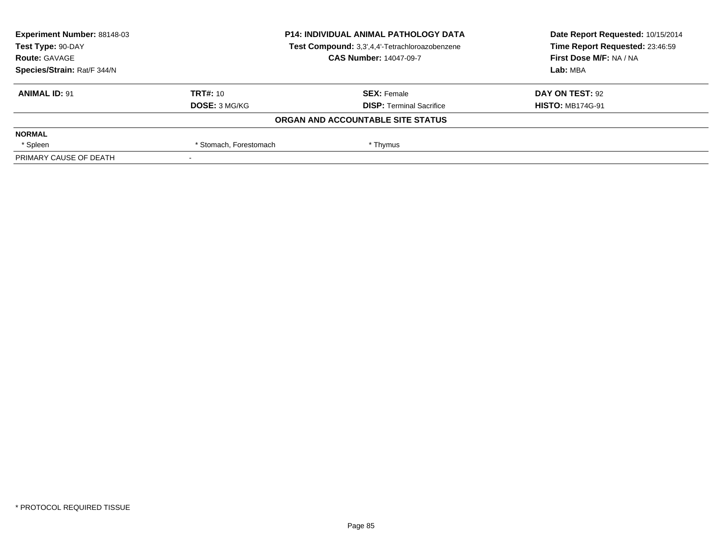| Experiment Number: 88148-03<br><b>P14: INDIVIDUAL ANIMAL PATHOLOGY DATA</b> |                        | Date Report Requested: 10/15/2014              |                                 |
|-----------------------------------------------------------------------------|------------------------|------------------------------------------------|---------------------------------|
| Test Type: 90-DAY                                                           |                        | Test Compound: 3,3',4,4'-Tetrachloroazobenzene | Time Report Requested: 23:46:59 |
| <b>Route: GAVAGE</b>                                                        |                        | <b>CAS Number: 14047-09-7</b>                  | First Dose M/F: NA / NA         |
| Species/Strain: Rat/F 344/N                                                 |                        |                                                | Lab: MBA                        |
| <b>ANIMAL ID: 91</b>                                                        | TRT#: 10               | <b>SEX: Female</b>                             | DAY ON TEST: 92                 |
|                                                                             | <b>DOSE: 3 MG/KG</b>   | <b>DISP: Terminal Sacrifice</b>                | <b>HISTO: MB174G-91</b>         |
|                                                                             |                        | ORGAN AND ACCOUNTABLE SITE STATUS              |                                 |
| <b>NORMAL</b>                                                               |                        |                                                |                                 |
| * Spleen                                                                    | * Stomach, Forestomach | * Thymus                                       |                                 |
| PRIMARY CAUSE OF DEATH                                                      |                        |                                                |                                 |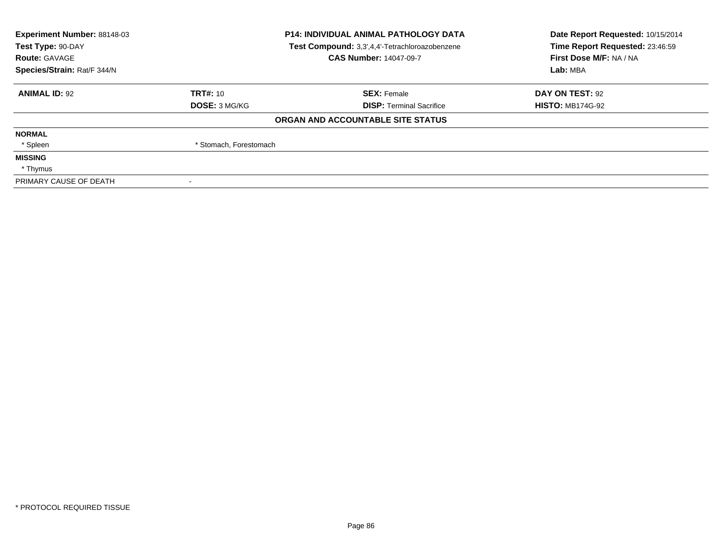| <b>Experiment Number: 88148-03</b> |                                                | <b>P14: INDIVIDUAL ANIMAL PATHOLOGY DATA</b> | Date Report Requested: 10/15/2014 |
|------------------------------------|------------------------------------------------|----------------------------------------------|-----------------------------------|
| Test Type: 90-DAY                  | Test Compound: 3,3',4,4'-Tetrachloroazobenzene |                                              | Time Report Requested: 23:46:59   |
| <b>Route: GAVAGE</b>               |                                                | <b>CAS Number: 14047-09-7</b>                | First Dose M/F: NA / NA           |
| Species/Strain: Rat/F 344/N        |                                                |                                              | Lab: MBA                          |
| <b>ANIMAL ID: 92</b>               | <b>TRT#: 10</b>                                | <b>SEX: Female</b>                           | DAY ON TEST: 92                   |
|                                    | <b>DOSE: 3 MG/KG</b>                           | <b>DISP: Terminal Sacrifice</b>              | <b>HISTO: MB174G-92</b>           |
|                                    |                                                | ORGAN AND ACCOUNTABLE SITE STATUS            |                                   |
| <b>NORMAL</b>                      |                                                |                                              |                                   |
| * Spleen                           | * Stomach, Forestomach                         |                                              |                                   |
| <b>MISSING</b>                     |                                                |                                              |                                   |
| * Thymus                           |                                                |                                              |                                   |
| PRIMARY CAUSE OF DEATH             |                                                |                                              |                                   |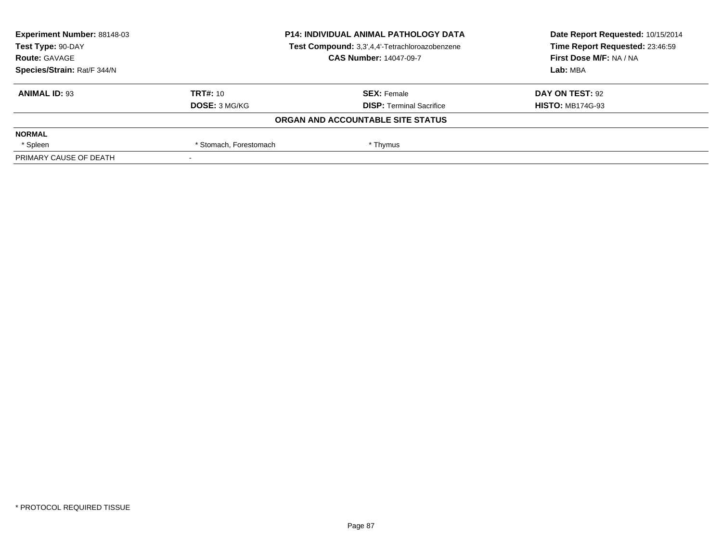| Experiment Number: 88148-03 | <b>P14: INDIVIDUAL ANIMAL PATHOLOGY DATA</b> |                                                | Date Report Requested: 10/15/2014 |
|-----------------------------|----------------------------------------------|------------------------------------------------|-----------------------------------|
| Test Type: 90-DAY           |                                              | Test Compound: 3,3',4,4'-Tetrachloroazobenzene | Time Report Requested: 23:46:59   |
| <b>Route: GAVAGE</b>        |                                              | <b>CAS Number: 14047-09-7</b>                  | First Dose M/F: NA / NA           |
| Species/Strain: Rat/F 344/N |                                              |                                                | Lab: MBA                          |
| <b>ANIMAL ID: 93</b>        | TRT#: 10                                     | <b>SEX: Female</b>                             | DAY ON TEST: 92                   |
|                             | <b>DOSE: 3 MG/KG</b>                         | <b>DISP: Terminal Sacrifice</b>                | <b>HISTO: MB174G-93</b>           |
|                             |                                              | ORGAN AND ACCOUNTABLE SITE STATUS              |                                   |
| <b>NORMAL</b>               |                                              |                                                |                                   |
| * Spleen                    | * Stomach, Forestomach                       | * Thymus                                       |                                   |
| PRIMARY CAUSE OF DEATH      |                                              |                                                |                                   |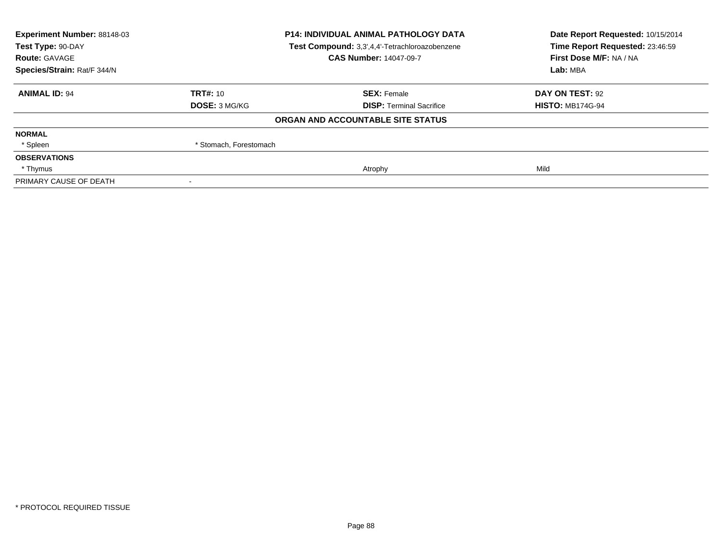| Experiment Number: 88148-03 | <b>P14: INDIVIDUAL ANIMAL PATHOLOGY DATA</b><br>Test Compound: 3,3',4,4'-Tetrachloroazobenzene |                                   | Date Report Requested: 10/15/2014<br>Time Report Requested: 23:46:59 |
|-----------------------------|------------------------------------------------------------------------------------------------|-----------------------------------|----------------------------------------------------------------------|
| Test Type: 90-DAY           |                                                                                                |                                   |                                                                      |
| <b>Route: GAVAGE</b>        |                                                                                                | <b>CAS Number: 14047-09-7</b>     | First Dose M/F: NA / NA                                              |
| Species/Strain: Rat/F 344/N |                                                                                                |                                   | Lab: MBA                                                             |
| <b>ANIMAL ID: 94</b>        | TRT#: 10                                                                                       | <b>SEX: Female</b>                | DAY ON TEST: 92                                                      |
|                             | <b>DOSE: 3 MG/KG</b>                                                                           | <b>DISP:</b> Terminal Sacrifice   | <b>HISTO: MB174G-94</b>                                              |
|                             |                                                                                                | ORGAN AND ACCOUNTABLE SITE STATUS |                                                                      |
| <b>NORMAL</b>               |                                                                                                |                                   |                                                                      |
| * Spleen                    | * Stomach, Forestomach                                                                         |                                   |                                                                      |
| <b>OBSERVATIONS</b>         |                                                                                                |                                   |                                                                      |
| * Thymus                    |                                                                                                | Atrophy                           | Mild                                                                 |
| PRIMARY CAUSE OF DEATH      |                                                                                                |                                   |                                                                      |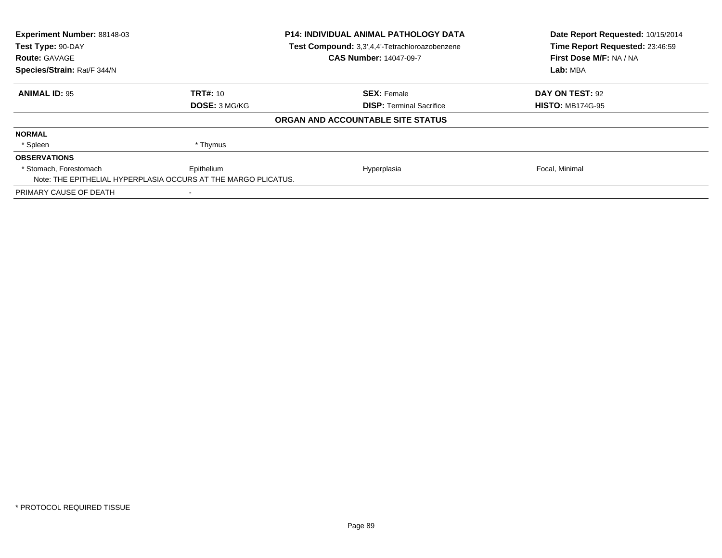| Experiment Number: 88148-03                                    |                      | <b>P14: INDIVIDUAL ANIMAL PATHOLOGY DATA</b>   | Date Report Requested: 10/15/2014 |
|----------------------------------------------------------------|----------------------|------------------------------------------------|-----------------------------------|
| Test Type: 90-DAY                                              |                      | Test Compound: 3,3',4,4'-Tetrachloroazobenzene | Time Report Requested: 23:46:59   |
| <b>Route: GAVAGE</b>                                           |                      | <b>CAS Number: 14047-09-7</b>                  | First Dose M/F: NA / NA           |
| Species/Strain: Rat/F 344/N                                    |                      | Lab: MBA                                       |                                   |
| <b>ANIMAL ID: 95</b>                                           | <b>TRT#: 10</b>      | <b>SEX: Female</b>                             | DAY ON TEST: 92                   |
|                                                                | <b>DOSE: 3 MG/KG</b> | <b>DISP:</b> Terminal Sacrifice                | <b>HISTO: MB174G-95</b>           |
|                                                                |                      | ORGAN AND ACCOUNTABLE SITE STATUS              |                                   |
| <b>NORMAL</b>                                                  |                      |                                                |                                   |
| * Spleen                                                       | * Thymus             |                                                |                                   |
| <b>OBSERVATIONS</b>                                            |                      |                                                |                                   |
| * Stomach, Forestomach                                         | Epithelium           | Hyperplasia                                    | Focal, Minimal                    |
| Note: THE EPITHELIAL HYPERPLASIA OCCURS AT THE MARGO PLICATUS. |                      |                                                |                                   |
| PRIMARY CAUSE OF DEATH                                         |                      |                                                |                                   |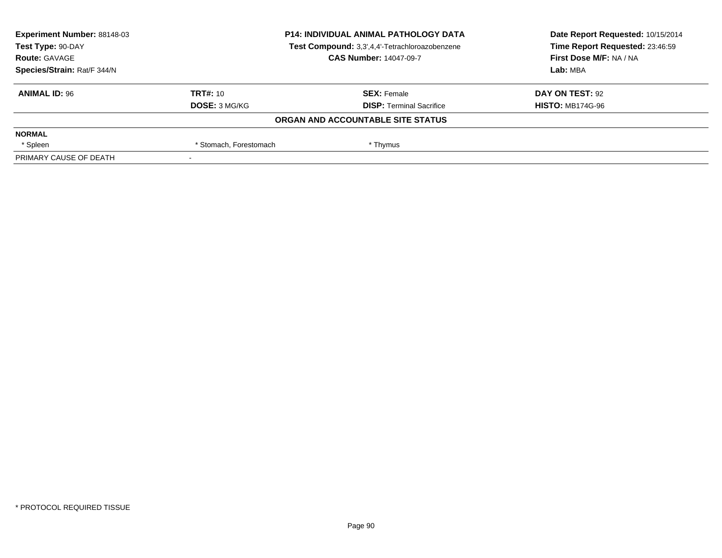| Experiment Number: 88148-03<br><b>P14: INDIVIDUAL ANIMAL PATHOLOGY DATA</b> |                        | Date Report Requested: 10/15/2014              |                                 |
|-----------------------------------------------------------------------------|------------------------|------------------------------------------------|---------------------------------|
| Test Type: 90-DAY                                                           |                        | Test Compound: 3,3',4,4'-Tetrachloroazobenzene | Time Report Requested: 23:46:59 |
| <b>Route: GAVAGE</b>                                                        |                        | <b>CAS Number: 14047-09-7</b>                  | First Dose M/F: NA / NA         |
| Species/Strain: Rat/F 344/N                                                 |                        |                                                | Lab: MBA                        |
| <b>ANIMAL ID: 96</b>                                                        | TRT#: 10               | <b>SEX: Female</b>                             | DAY ON TEST: 92                 |
|                                                                             | <b>DOSE: 3 MG/KG</b>   | <b>DISP: Terminal Sacrifice</b>                | <b>HISTO: MB174G-96</b>         |
|                                                                             |                        | ORGAN AND ACCOUNTABLE SITE STATUS              |                                 |
| <b>NORMAL</b>                                                               |                        |                                                |                                 |
| * Spleen                                                                    | * Stomach, Forestomach | * Thymus                                       |                                 |
| PRIMARY CAUSE OF DEATH                                                      |                        |                                                |                                 |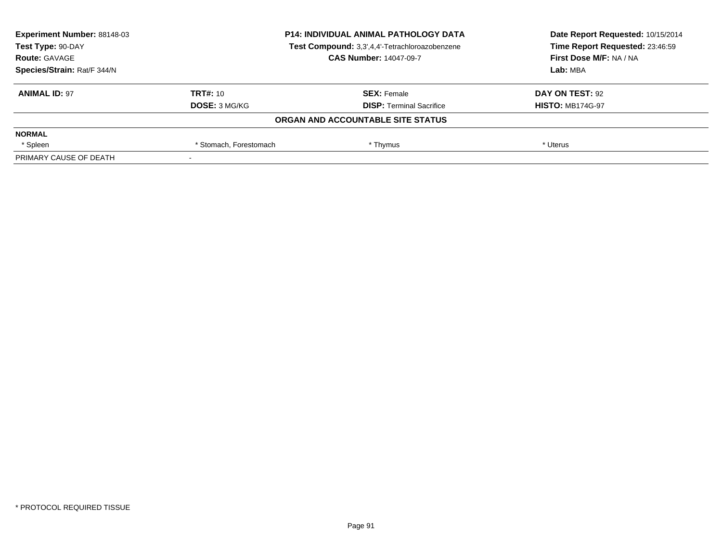| <b>Experiment Number: 88148-03</b> | <b>P14: INDIVIDUAL ANIMAL PATHOLOGY DATA</b><br>Test Compound: 3,3',4,4'-Tetrachloroazobenzene |                                   | Date Report Requested: 10/15/2014<br>Time Report Requested: 23:46:59 |
|------------------------------------|------------------------------------------------------------------------------------------------|-----------------------------------|----------------------------------------------------------------------|
| Test Type: 90-DAY                  |                                                                                                |                                   |                                                                      |
| <b>Route: GAVAGE</b>               |                                                                                                | <b>CAS Number: 14047-09-7</b>     | First Dose M/F: NA / NA                                              |
| Species/Strain: Rat/F 344/N        |                                                                                                |                                   | Lab: MBA                                                             |
| <b>ANIMAL ID: 97</b>               | TRT#: 10                                                                                       | <b>SEX:</b> Female                | DAY ON TEST: 92                                                      |
|                                    | <b>DOSE: 3 MG/KG</b>                                                                           | <b>DISP:</b> Terminal Sacrifice   | <b>HISTO: MB174G-97</b>                                              |
|                                    |                                                                                                | ORGAN AND ACCOUNTABLE SITE STATUS |                                                                      |
| <b>NORMAL</b>                      |                                                                                                |                                   |                                                                      |
| * Spleen                           | * Stomach, Forestomach                                                                         | * Thymus                          | * Uterus                                                             |
| PRIMARY CAUSE OF DEATH             |                                                                                                |                                   |                                                                      |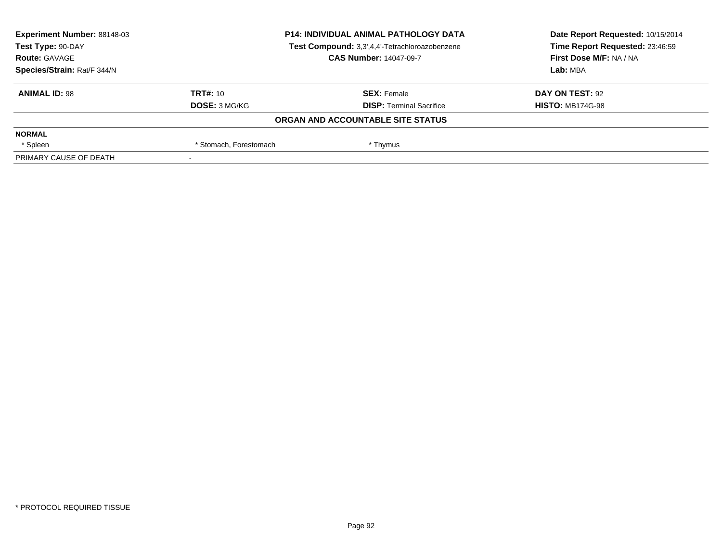| Experiment Number: 88148-03<br><b>P14: INDIVIDUAL ANIMAL PATHOLOGY DATA</b> |                        | Date Report Requested: 10/15/2014              |                                 |
|-----------------------------------------------------------------------------|------------------------|------------------------------------------------|---------------------------------|
| Test Type: 90-DAY                                                           |                        | Test Compound: 3,3',4,4'-Tetrachloroazobenzene | Time Report Requested: 23:46:59 |
| <b>Route: GAVAGE</b>                                                        |                        | <b>CAS Number: 14047-09-7</b>                  | First Dose M/F: NA / NA         |
| Species/Strain: Rat/F 344/N                                                 |                        |                                                | Lab: MBA                        |
| <b>ANIMAL ID: 98</b>                                                        | TRT#: 10               | <b>SEX: Female</b>                             | DAY ON TEST: 92                 |
|                                                                             | <b>DOSE: 3 MG/KG</b>   | <b>DISP: Terminal Sacrifice</b>                | <b>HISTO: MB174G-98</b>         |
|                                                                             |                        | ORGAN AND ACCOUNTABLE SITE STATUS              |                                 |
| <b>NORMAL</b>                                                               |                        |                                                |                                 |
| * Spleen                                                                    | * Stomach, Forestomach | * Thymus                                       |                                 |
| PRIMARY CAUSE OF DEATH                                                      |                        |                                                |                                 |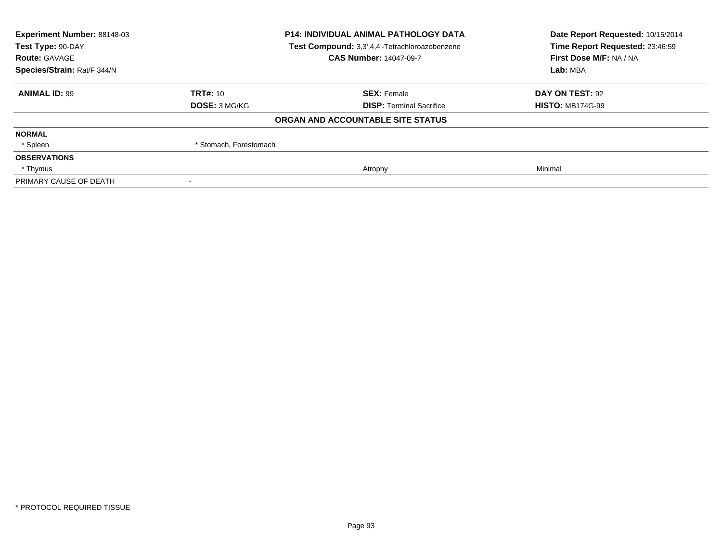| Experiment Number: 88148-03 |                                                | <b>P14: INDIVIDUAL ANIMAL PATHOLOGY DATA</b> | Date Report Requested: 10/15/2014<br>Time Report Requested: 23:46:59 |
|-----------------------------|------------------------------------------------|----------------------------------------------|----------------------------------------------------------------------|
| Test Type: 90-DAY           | Test Compound: 3,3',4,4'-Tetrachloroazobenzene |                                              |                                                                      |
| <b>Route: GAVAGE</b>        |                                                | <b>CAS Number: 14047-09-7</b>                | First Dose M/F: NA / NA                                              |
| Species/Strain: Rat/F 344/N |                                                |                                              | Lab: MBA                                                             |
| <b>ANIMAL ID: 99</b>        | <b>TRT#: 10</b>                                | <b>SEX: Female</b>                           | DAY ON TEST: 92                                                      |
|                             | DOSE: 3 MG/KG                                  | <b>DISP: Terminal Sacrifice</b>              | <b>HISTO: MB174G-99</b>                                              |
|                             |                                                | ORGAN AND ACCOUNTABLE SITE STATUS            |                                                                      |
| <b>NORMAL</b>               |                                                |                                              |                                                                      |
| * Spleen                    | * Stomach, Forestomach                         |                                              |                                                                      |
| <b>OBSERVATIONS</b>         |                                                |                                              |                                                                      |
| * Thymus                    |                                                | Atrophy                                      | Minimal                                                              |
| PRIMARY CAUSE OF DEATH      |                                                |                                              |                                                                      |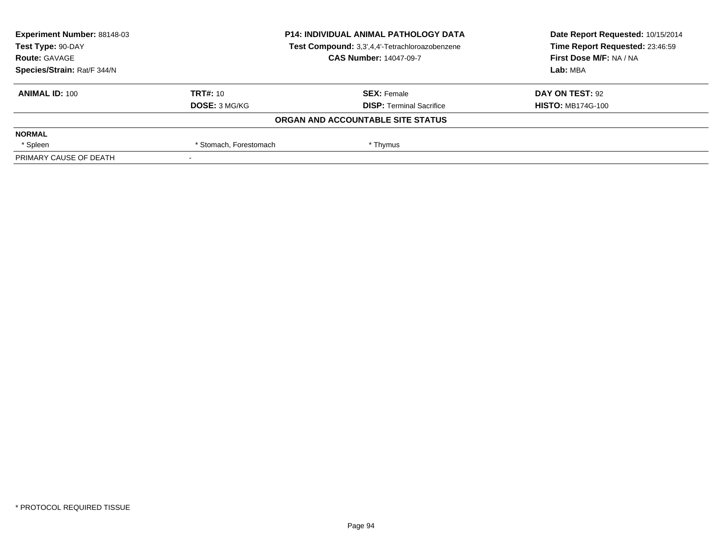| Experiment Number: 88148-03<br><b>P14: INDIVIDUAL ANIMAL PATHOLOGY DATA</b> |                        | Date Report Requested: 10/15/2014              |                                 |
|-----------------------------------------------------------------------------|------------------------|------------------------------------------------|---------------------------------|
| Test Type: 90-DAY                                                           |                        | Test Compound: 3,3',4,4'-Tetrachloroazobenzene | Time Report Requested: 23:46:59 |
| <b>Route: GAVAGE</b>                                                        |                        | <b>CAS Number: 14047-09-7</b>                  | First Dose M/F: NA / NA         |
| Species/Strain: Rat/F 344/N                                                 |                        |                                                | Lab: MBA                        |
| <b>ANIMAL ID: 100</b>                                                       | TRT#: 10               | <b>SEX: Female</b>                             | DAY ON TEST: 92                 |
|                                                                             | <b>DOSE: 3 MG/KG</b>   | <b>DISP: Terminal Sacrifice</b>                | <b>HISTO: MB174G-100</b>        |
|                                                                             |                        | ORGAN AND ACCOUNTABLE SITE STATUS              |                                 |
| <b>NORMAL</b>                                                               |                        |                                                |                                 |
| * Spleen                                                                    | * Stomach, Forestomach | * Thymus                                       |                                 |
| PRIMARY CAUSE OF DEATH                                                      |                        |                                                |                                 |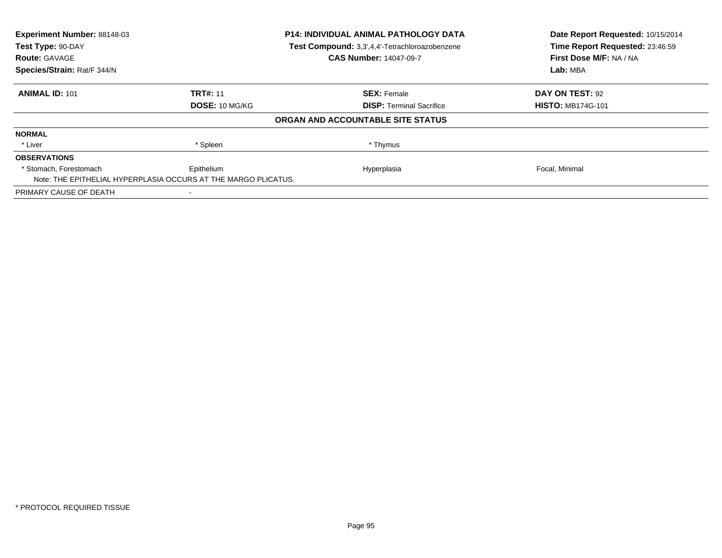| Experiment Number: 88148-03                                    |                 | <b>P14: INDIVIDUAL ANIMAL PATHOLOGY DATA</b>   | Date Report Requested: 10/15/2014 |
|----------------------------------------------------------------|-----------------|------------------------------------------------|-----------------------------------|
| Test Type: 90-DAY                                              |                 | Test Compound: 3,3',4,4'-Tetrachloroazobenzene | Time Report Requested: 23:46:59   |
| <b>Route: GAVAGE</b>                                           |                 | <b>CAS Number: 14047-09-7</b>                  | First Dose M/F: NA / NA           |
| Species/Strain: Rat/F 344/N                                    |                 |                                                | Lab: MBA                          |
| <b>ANIMAL ID: 101</b>                                          | <b>TRT#: 11</b> | <b>SEX: Female</b>                             | DAY ON TEST: 92                   |
|                                                                | DOSE: 10 MG/KG  | <b>DISP:</b> Terminal Sacrifice                | <b>HISTO: MB174G-101</b>          |
|                                                                |                 | ORGAN AND ACCOUNTABLE SITE STATUS              |                                   |
| <b>NORMAL</b>                                                  |                 |                                                |                                   |
| * Liver                                                        | * Spleen        | * Thymus                                       |                                   |
| <b>OBSERVATIONS</b>                                            |                 |                                                |                                   |
| * Stomach. Forestomach                                         | Epithelium      | Hyperplasia                                    | Focal, Minimal                    |
| Note: THE EPITHELIAL HYPERPLASIA OCCURS AT THE MARGO PLICATUS. |                 |                                                |                                   |
| PRIMARY CAUSE OF DEATH                                         |                 |                                                |                                   |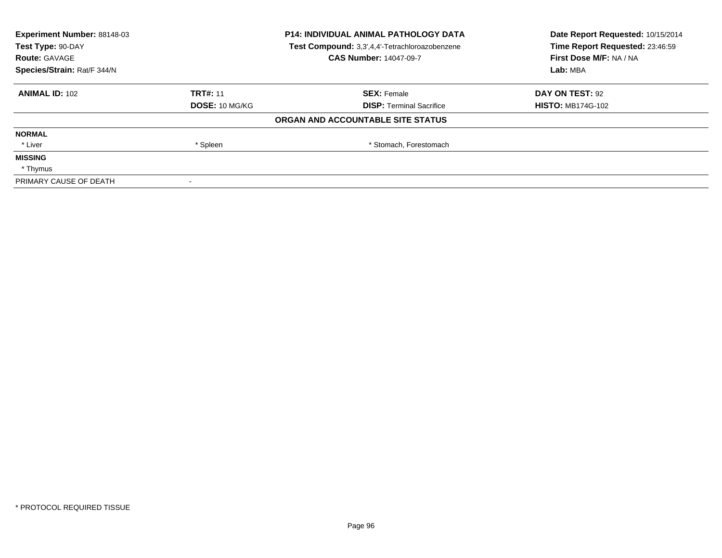| Experiment Number: 88148-03<br>Test Type: 90-DAY |                 | <b>P14: INDIVIDUAL ANIMAL PATHOLOGY DATA</b>   | Date Report Requested: 10/15/2014<br>Time Report Requested: 23:46:59 |
|--------------------------------------------------|-----------------|------------------------------------------------|----------------------------------------------------------------------|
|                                                  |                 | Test Compound: 3,3',4,4'-Tetrachloroazobenzene |                                                                      |
| <b>Route: GAVAGE</b>                             |                 | <b>CAS Number: 14047-09-7</b>                  | First Dose M/F: NA / NA                                              |
| Species/Strain: Rat/F 344/N                      |                 |                                                | Lab: MBA                                                             |
| <b>ANIMAL ID: 102</b>                            | <b>TRT#: 11</b> | <b>SEX: Female</b>                             | DAY ON TEST: 92                                                      |
|                                                  | DOSE: 10 MG/KG  | <b>DISP:</b> Terminal Sacrifice                | <b>HISTO: MB174G-102</b>                                             |
|                                                  |                 | ORGAN AND ACCOUNTABLE SITE STATUS              |                                                                      |
| <b>NORMAL</b>                                    |                 |                                                |                                                                      |
| * Liver                                          | * Spleen        | * Stomach, Forestomach                         |                                                                      |
| <b>MISSING</b>                                   |                 |                                                |                                                                      |
| * Thymus                                         |                 |                                                |                                                                      |
| PRIMARY CAUSE OF DEATH                           |                 |                                                |                                                                      |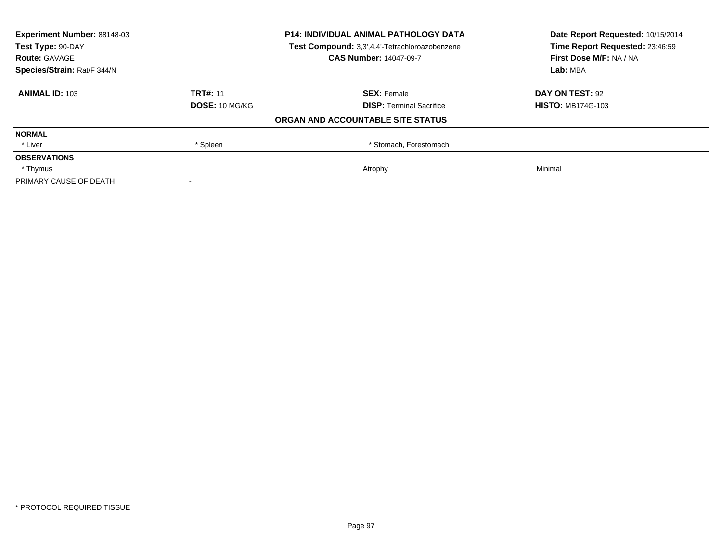| Experiment Number: 88148-03<br><b>P14: INDIVIDUAL ANIMAL PATHOLOGY DATA</b><br>Test Compound: 3,3',4,4'-Tetrachloroazobenzene<br>Test Type: 90-DAY |                 |                                   | Date Report Requested: 10/15/2014<br>Time Report Requested: 23:46:59 |  |
|----------------------------------------------------------------------------------------------------------------------------------------------------|-----------------|-----------------------------------|----------------------------------------------------------------------|--|
|                                                                                                                                                    |                 |                                   |                                                                      |  |
| <b>Route: GAVAGE</b>                                                                                                                               |                 | <b>CAS Number: 14047-09-7</b>     | First Dose M/F: NA / NA                                              |  |
| Species/Strain: Rat/F 344/N                                                                                                                        |                 |                                   | Lab: MBA                                                             |  |
| <b>ANIMAL ID: 103</b>                                                                                                                              | <b>TRT#: 11</b> | <b>SEX: Female</b>                | DAY ON TEST: 92                                                      |  |
|                                                                                                                                                    | DOSE: 10 MG/KG  | <b>DISP: Terminal Sacrifice</b>   | <b>HISTO: MB174G-103</b>                                             |  |
|                                                                                                                                                    |                 | ORGAN AND ACCOUNTABLE SITE STATUS |                                                                      |  |
| <b>NORMAL</b>                                                                                                                                      |                 |                                   |                                                                      |  |
| * Liver                                                                                                                                            | * Spleen        | * Stomach, Forestomach            |                                                                      |  |
| <b>OBSERVATIONS</b>                                                                                                                                |                 |                                   |                                                                      |  |
| * Thymus                                                                                                                                           |                 | Atrophy                           | Minimal                                                              |  |
| PRIMARY CAUSE OF DEATH                                                                                                                             |                 |                                   |                                                                      |  |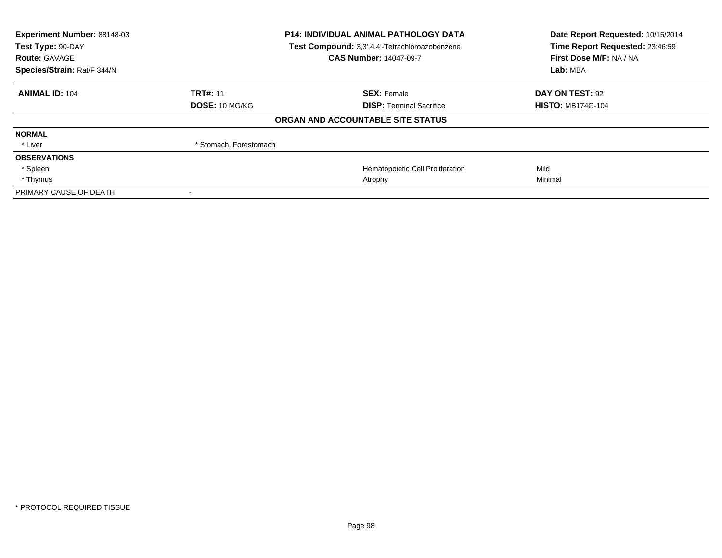| Experiment Number: 88148-03<br>Test Type: 90-DAY<br><b>Route: GAVAGE</b> | <b>P14: INDIVIDUAL ANIMAL PATHOLOGY DATA</b><br>Test Compound: 3,3',4,4'-Tetrachloroazobenzene<br><b>CAS Number: 14047-09-7</b> |                                   | Date Report Requested: 10/15/2014<br>Time Report Requested: 23:46:59<br>First Dose M/F: NA / NA<br>Lab: MBA |  |
|--------------------------------------------------------------------------|---------------------------------------------------------------------------------------------------------------------------------|-----------------------------------|-------------------------------------------------------------------------------------------------------------|--|
| Species/Strain: Rat/F 344/N                                              |                                                                                                                                 |                                   |                                                                                                             |  |
| <b>ANIMAL ID: 104</b>                                                    | <b>TRT#: 11</b>                                                                                                                 | <b>SEX: Female</b>                | <b>DAY ON TEST: 92</b>                                                                                      |  |
|                                                                          | <b>DOSE: 10 MG/KG</b>                                                                                                           | <b>DISP: Terminal Sacrifice</b>   | <b>HISTO: MB174G-104</b>                                                                                    |  |
|                                                                          |                                                                                                                                 | ORGAN AND ACCOUNTABLE SITE STATUS |                                                                                                             |  |
| <b>NORMAL</b>                                                            |                                                                                                                                 |                                   |                                                                                                             |  |
| * Liver                                                                  | * Stomach, Forestomach                                                                                                          |                                   |                                                                                                             |  |
| <b>OBSERVATIONS</b>                                                      |                                                                                                                                 |                                   |                                                                                                             |  |
| * Spleen                                                                 |                                                                                                                                 | Hematopoietic Cell Proliferation  | Mild                                                                                                        |  |
| * Thymus                                                                 |                                                                                                                                 | Atrophy                           | Minimal                                                                                                     |  |
| PRIMARY CAUSE OF DEATH                                                   |                                                                                                                                 |                                   |                                                                                                             |  |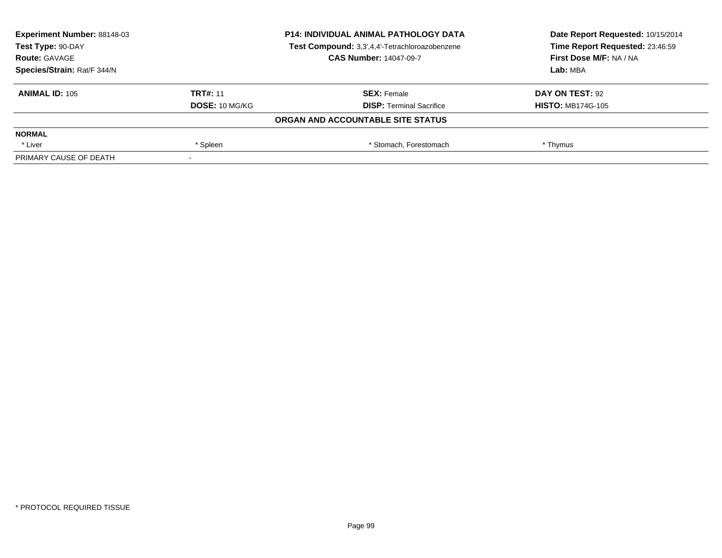|                 | <b>P14: INDIVIDUAL ANIMAL PATHOLOGY DATA</b>   | Date Report Requested: 10/15/2014<br>Time Report Requested: 23:46:59 |
|-----------------|------------------------------------------------|----------------------------------------------------------------------|
|                 | Test Compound: 3,3',4,4'-Tetrachloroazobenzene |                                                                      |
|                 | <b>CAS Number: 14047-09-7</b>                  | First Dose M/F: NA / NA                                              |
|                 |                                                | Lab: MBA                                                             |
| <b>TRT#: 11</b> | <b>SEX: Female</b>                             | DAY ON TEST: 92                                                      |
| DOSE: 10 MG/KG  | <b>DISP: Terminal Sacrifice</b>                | <b>HISTO: MB174G-105</b>                                             |
|                 |                                                |                                                                      |
|                 |                                                |                                                                      |
| * Spleen        | * Stomach, Forestomach                         | * Thymus                                                             |
|                 |                                                |                                                                      |
|                 |                                                | ORGAN AND ACCOUNTABLE SITE STATUS                                    |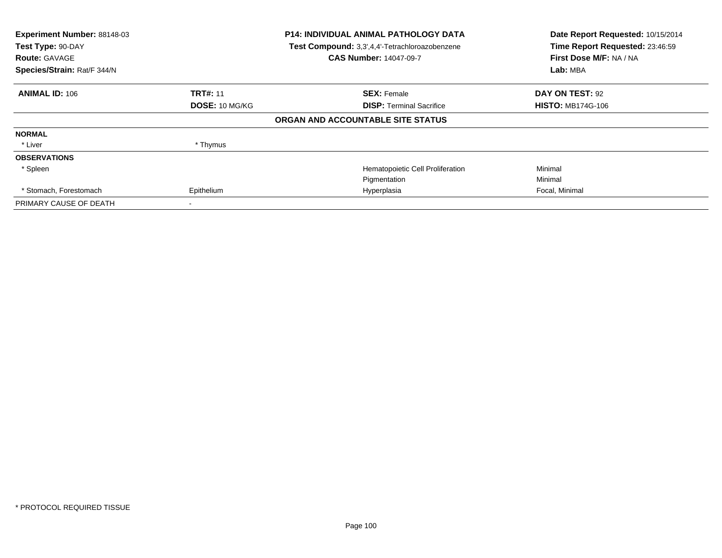| Experiment Number: 88148-03<br>Test Type: 90-DAY<br><b>Route: GAVAGE</b><br>Species/Strain: Rat/F 344/N | <b>P14: INDIVIDUAL ANIMAL PATHOLOGY DATA</b><br>Test Compound: 3,3',4,4'-Tetrachloroazobenzene<br><b>CAS Number: 14047-09-7</b> |                                   | Date Report Requested: 10/15/2014<br>Time Report Requested: 23:46:59<br>First Dose M/F: NA / NA<br>Lab: MBA |
|---------------------------------------------------------------------------------------------------------|---------------------------------------------------------------------------------------------------------------------------------|-----------------------------------|-------------------------------------------------------------------------------------------------------------|
| <b>ANIMAL ID: 106</b>                                                                                   | <b>TRT#: 11</b>                                                                                                                 | <b>SEX: Female</b>                | DAY ON TEST: 92                                                                                             |
|                                                                                                         | DOSE: 10 MG/KG                                                                                                                  | <b>DISP:</b> Terminal Sacrifice   | <b>HISTO: MB174G-106</b>                                                                                    |
|                                                                                                         |                                                                                                                                 | ORGAN AND ACCOUNTABLE SITE STATUS |                                                                                                             |
| <b>NORMAL</b>                                                                                           |                                                                                                                                 |                                   |                                                                                                             |
| * Liver                                                                                                 | * Thymus                                                                                                                        |                                   |                                                                                                             |
| <b>OBSERVATIONS</b>                                                                                     |                                                                                                                                 |                                   |                                                                                                             |
| * Spleen                                                                                                |                                                                                                                                 | Hematopoietic Cell Proliferation  | Minimal                                                                                                     |
|                                                                                                         |                                                                                                                                 | Pigmentation                      | Minimal                                                                                                     |
| * Stomach, Forestomach                                                                                  | Epithelium                                                                                                                      | Hyperplasia                       | Focal, Minimal                                                                                              |
| PRIMARY CAUSE OF DEATH                                                                                  |                                                                                                                                 |                                   |                                                                                                             |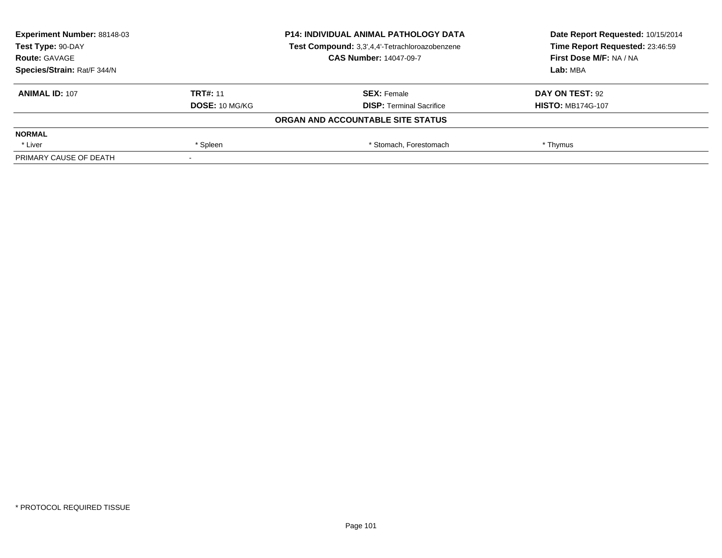| Experiment Number: 88148-03<br>Test Type: 90-DAY<br><b>Route: GAVAGE</b> |                 | <b>P14: INDIVIDUAL ANIMAL PATHOLOGY DATA</b>   | Date Report Requested: 10/15/2014<br>Time Report Requested: 23:46:59 |
|--------------------------------------------------------------------------|-----------------|------------------------------------------------|----------------------------------------------------------------------|
|                                                                          |                 | Test Compound: 3,3',4,4'-Tetrachloroazobenzene |                                                                      |
|                                                                          |                 | <b>CAS Number: 14047-09-7</b>                  | First Dose M/F: NA / NA                                              |
| Species/Strain: Rat/F 344/N                                              |                 |                                                | Lab: MBA                                                             |
| <b>ANIMAL ID: 107</b>                                                    | <b>TRT#: 11</b> | <b>SEX: Female</b>                             | DAY ON TEST: 92                                                      |
|                                                                          | DOSE: 10 MG/KG  | <b>DISP: Terminal Sacrifice</b>                | <b>HISTO: MB174G-107</b>                                             |
|                                                                          |                 | ORGAN AND ACCOUNTABLE SITE STATUS              |                                                                      |
| <b>NORMAL</b>                                                            |                 |                                                |                                                                      |
| * Liver                                                                  | * Spleen        | * Stomach, Forestomach                         | * Thymus                                                             |
| PRIMARY CAUSE OF DEATH                                                   |                 |                                                |                                                                      |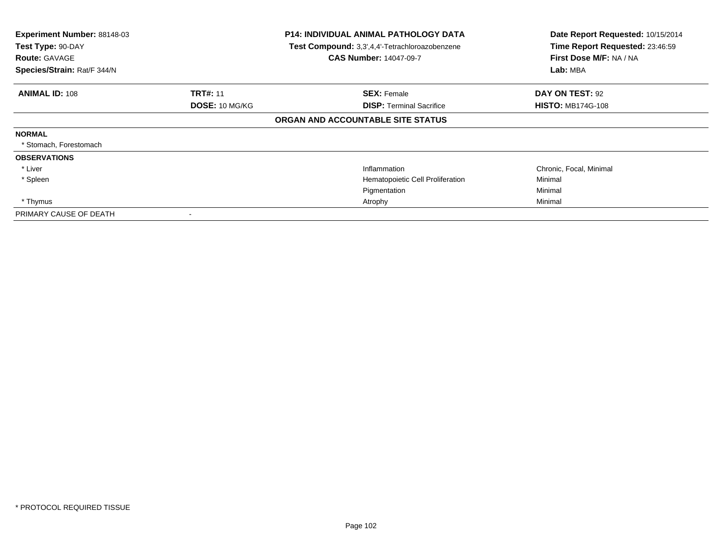| Experiment Number: 88148-03<br>Test Type: 90-DAY<br><b>Route: GAVAGE</b><br>Species/Strain: Rat/F 344/N | <b>P14: INDIVIDUAL ANIMAL PATHOLOGY DATA</b><br>Test Compound: 3,3',4,4'-Tetrachloroazobenzene<br><b>CAS Number: 14047-09-7</b> |                                   | Date Report Requested: 10/15/2014<br>Time Report Requested: 23:46:59<br>First Dose M/F: NA / NA<br>Lab: MBA |  |
|---------------------------------------------------------------------------------------------------------|---------------------------------------------------------------------------------------------------------------------------------|-----------------------------------|-------------------------------------------------------------------------------------------------------------|--|
| <b>ANIMAL ID: 108</b>                                                                                   | <b>TRT#: 11</b>                                                                                                                 | <b>SEX: Female</b>                | DAY ON TEST: 92                                                                                             |  |
|                                                                                                         | DOSE: 10 MG/KG                                                                                                                  | <b>DISP:</b> Terminal Sacrifice   | <b>HISTO: MB174G-108</b>                                                                                    |  |
|                                                                                                         |                                                                                                                                 | ORGAN AND ACCOUNTABLE SITE STATUS |                                                                                                             |  |
| <b>NORMAL</b>                                                                                           |                                                                                                                                 |                                   |                                                                                                             |  |
| * Stomach, Forestomach                                                                                  |                                                                                                                                 |                                   |                                                                                                             |  |
| <b>OBSERVATIONS</b>                                                                                     |                                                                                                                                 |                                   |                                                                                                             |  |
| * Liver                                                                                                 |                                                                                                                                 | Inflammation                      | Chronic, Focal, Minimal                                                                                     |  |
| * Spleen                                                                                                |                                                                                                                                 | Hematopoietic Cell Proliferation  | Minimal                                                                                                     |  |
|                                                                                                         |                                                                                                                                 | Pigmentation                      | Minimal                                                                                                     |  |
| * Thymus                                                                                                |                                                                                                                                 | Atrophy                           | Minimal                                                                                                     |  |
| PRIMARY CAUSE OF DEATH                                                                                  |                                                                                                                                 |                                   |                                                                                                             |  |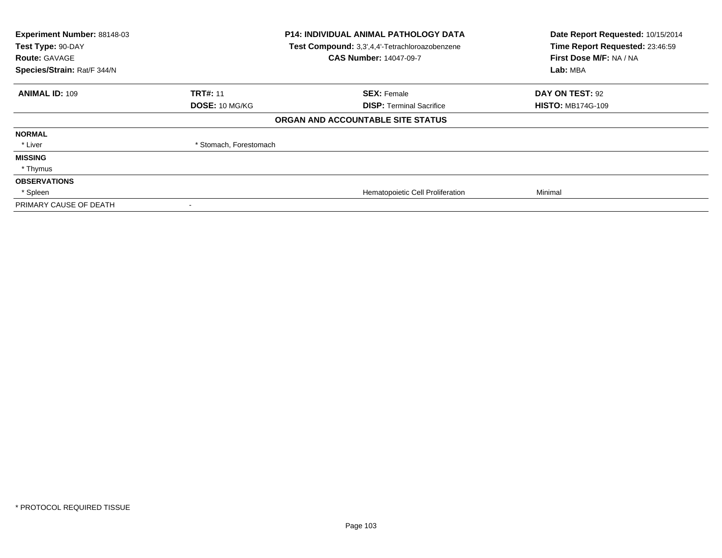| Experiment Number: 88148-03<br>Test Type: 90-DAY<br><b>Route: GAVAGE</b><br>Species/Strain: Rat/F 344/N | P14: INDIVIDUAL ANIMAL PATHOLOGY DATA<br>Test Compound: 3,3',4,4'-Tetrachloroazobenzene<br><b>CAS Number: 14047-09-7</b> |                                   | Lab: MBA                 | Date Report Requested: 10/15/2014<br>Time Report Requested: 23:46:59<br>First Dose M/F: NA / NA |
|---------------------------------------------------------------------------------------------------------|--------------------------------------------------------------------------------------------------------------------------|-----------------------------------|--------------------------|-------------------------------------------------------------------------------------------------|
| <b>ANIMAL ID: 109</b>                                                                                   | <b>TRT#: 11</b>                                                                                                          | <b>SEX: Female</b>                | DAY ON TEST: 92          |                                                                                                 |
|                                                                                                         | <b>DOSE: 10 MG/KG</b>                                                                                                    | <b>DISP: Terminal Sacrifice</b>   | <b>HISTO: MB174G-109</b> |                                                                                                 |
|                                                                                                         |                                                                                                                          | ORGAN AND ACCOUNTABLE SITE STATUS |                          |                                                                                                 |
| <b>NORMAL</b>                                                                                           |                                                                                                                          |                                   |                          |                                                                                                 |
| * Liver                                                                                                 | * Stomach, Forestomach                                                                                                   |                                   |                          |                                                                                                 |
| <b>MISSING</b>                                                                                          |                                                                                                                          |                                   |                          |                                                                                                 |
| * Thymus                                                                                                |                                                                                                                          |                                   |                          |                                                                                                 |
| <b>OBSERVATIONS</b>                                                                                     |                                                                                                                          |                                   |                          |                                                                                                 |
| * Spleen                                                                                                |                                                                                                                          | Hematopoietic Cell Proliferation  | Minimal                  |                                                                                                 |
| PRIMARY CAUSE OF DEATH                                                                                  |                                                                                                                          |                                   |                          |                                                                                                 |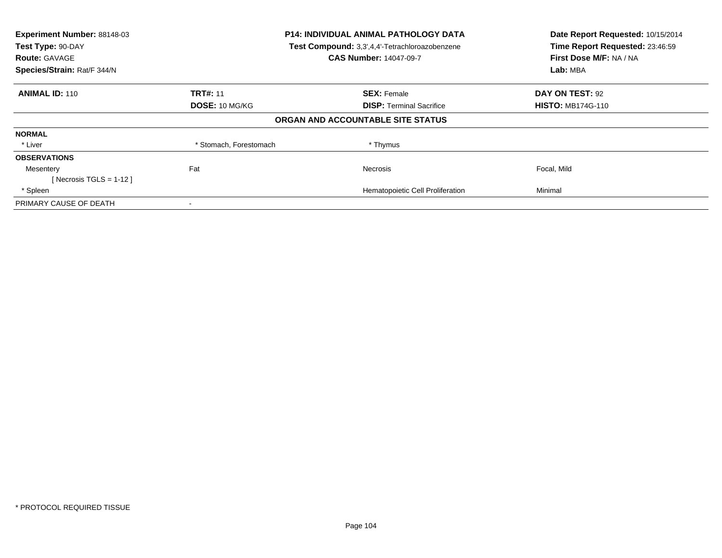| Experiment Number: 88148-03<br>Test Type: 90-DAY<br><b>Route: GAVAGE</b><br>Species/Strain: Rat/F 344/N | <b>P14: INDIVIDUAL ANIMAL PATHOLOGY DATA</b><br>Test Compound: 3,3',4,4'-Tetrachloroazobenzene<br><b>CAS Number: 14047-09-7</b> |                                   | Date Report Requested: 10/15/2014<br>Time Report Requested: 23:46:59<br>First Dose M/F: NA / NA<br>Lab: MBA |
|---------------------------------------------------------------------------------------------------------|---------------------------------------------------------------------------------------------------------------------------------|-----------------------------------|-------------------------------------------------------------------------------------------------------------|
| <b>ANIMAL ID: 110</b>                                                                                   | <b>TRT#: 11</b>                                                                                                                 | <b>SEX: Female</b>                | <b>DAY ON TEST: 92</b>                                                                                      |
|                                                                                                         | DOSE: 10 MG/KG                                                                                                                  | <b>DISP:</b> Terminal Sacrifice   | <b>HISTO: MB174G-110</b>                                                                                    |
|                                                                                                         |                                                                                                                                 | ORGAN AND ACCOUNTABLE SITE STATUS |                                                                                                             |
| <b>NORMAL</b>                                                                                           |                                                                                                                                 |                                   |                                                                                                             |
| * Liver                                                                                                 | * Stomach, Forestomach                                                                                                          | * Thymus                          |                                                                                                             |
| <b>OBSERVATIONS</b>                                                                                     |                                                                                                                                 |                                   |                                                                                                             |
| Mesentery                                                                                               | Fat                                                                                                                             | <b>Necrosis</b>                   | Focal, Mild                                                                                                 |
| [ Necrosis TGLS = $1-12$ ]                                                                              |                                                                                                                                 |                                   |                                                                                                             |
| * Spleen                                                                                                |                                                                                                                                 | Hematopoietic Cell Proliferation  | Minimal                                                                                                     |
| PRIMARY CAUSE OF DEATH                                                                                  | $\,$                                                                                                                            |                                   |                                                                                                             |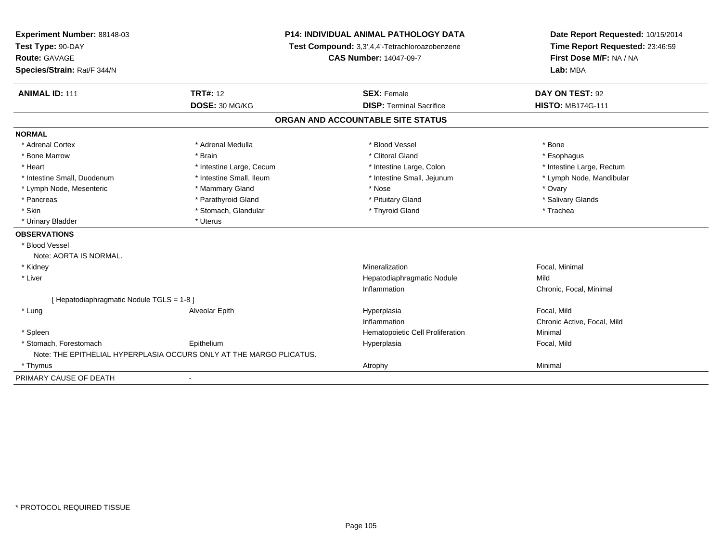| Experiment Number: 88148-03<br>Test Type: 90-DAY<br><b>Route: GAVAGE</b><br>Species/Strain: Rat/F 344/N |                                                                     | <b>P14: INDIVIDUAL ANIMAL PATHOLOGY DATA</b><br>Test Compound: 3,3',4,4'-Tetrachloroazobenzene<br><b>CAS Number: 14047-09-7</b> | Date Report Requested: 10/15/2014<br>Time Report Requested: 23:46:59<br>First Dose M/F: NA / NA<br>Lab: MBA |
|---------------------------------------------------------------------------------------------------------|---------------------------------------------------------------------|---------------------------------------------------------------------------------------------------------------------------------|-------------------------------------------------------------------------------------------------------------|
| <b>ANIMAL ID: 111</b>                                                                                   | <b>TRT#: 12</b>                                                     | <b>SEX: Female</b>                                                                                                              | DAY ON TEST: 92                                                                                             |
|                                                                                                         | DOSE: 30 MG/KG                                                      | <b>DISP: Terminal Sacrifice</b>                                                                                                 | <b>HISTO: MB174G-111</b>                                                                                    |
|                                                                                                         |                                                                     | ORGAN AND ACCOUNTABLE SITE STATUS                                                                                               |                                                                                                             |
| <b>NORMAL</b>                                                                                           |                                                                     |                                                                                                                                 |                                                                                                             |
| * Adrenal Cortex                                                                                        | * Adrenal Medulla                                                   | * Blood Vessel                                                                                                                  | * Bone                                                                                                      |
| * Bone Marrow                                                                                           | * Brain                                                             | * Clitoral Gland                                                                                                                | * Esophagus                                                                                                 |
| * Heart                                                                                                 | * Intestine Large, Cecum                                            | * Intestine Large, Colon                                                                                                        | * Intestine Large, Rectum                                                                                   |
| * Intestine Small, Duodenum                                                                             | * Intestine Small, Ileum                                            | * Intestine Small, Jejunum                                                                                                      | * Lymph Node, Mandibular                                                                                    |
| * Lymph Node, Mesenteric                                                                                | * Mammary Gland                                                     | * Nose                                                                                                                          | * Ovary                                                                                                     |
| * Pancreas                                                                                              | * Parathyroid Gland                                                 | * Pituitary Gland                                                                                                               | * Salivary Glands                                                                                           |
| * Skin                                                                                                  | * Stomach, Glandular                                                | * Thyroid Gland                                                                                                                 | * Trachea                                                                                                   |
| * Urinary Bladder                                                                                       | * Uterus                                                            |                                                                                                                                 |                                                                                                             |
| <b>OBSERVATIONS</b>                                                                                     |                                                                     |                                                                                                                                 |                                                                                                             |
| * Blood Vessel                                                                                          |                                                                     |                                                                                                                                 |                                                                                                             |
| Note: AORTA IS NORMAL.                                                                                  |                                                                     |                                                                                                                                 |                                                                                                             |
| * Kidney                                                                                                |                                                                     | Mineralization                                                                                                                  | Focal, Minimal                                                                                              |
| * Liver                                                                                                 |                                                                     | Hepatodiaphragmatic Nodule                                                                                                      | Mild                                                                                                        |
|                                                                                                         |                                                                     | Inflammation                                                                                                                    | Chronic, Focal, Minimal                                                                                     |
| [ Hepatodiaphragmatic Nodule TGLS = 1-8 ]                                                               |                                                                     |                                                                                                                                 |                                                                                                             |
| * Lung                                                                                                  | Alveolar Epith                                                      | Hyperplasia                                                                                                                     | Focal, Mild                                                                                                 |
|                                                                                                         |                                                                     | Inflammation                                                                                                                    | Chronic Active, Focal, Mild                                                                                 |
| * Spleen                                                                                                |                                                                     | Hematopoietic Cell Proliferation                                                                                                | Minimal                                                                                                     |
| * Stomach, Forestomach                                                                                  | Epithelium                                                          | Hyperplasia                                                                                                                     | Focal, Mild                                                                                                 |
|                                                                                                         | Note: THE EPITHELIAL HYPERPLASIA OCCURS ONLY AT THE MARGO PLICATUS. |                                                                                                                                 |                                                                                                             |
| * Thymus                                                                                                |                                                                     | Atrophy                                                                                                                         | Minimal                                                                                                     |
| PRIMARY CAUSE OF DEATH                                                                                  | $\blacksquare$                                                      |                                                                                                                                 |                                                                                                             |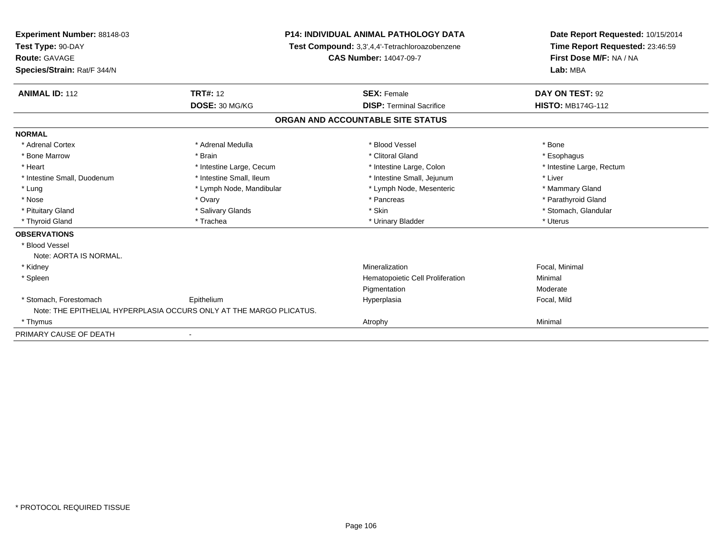| Experiment Number: 88148-03<br>Test Type: 90-DAY<br>Route: GAVAGE |                                                                     | <b>P14: INDIVIDUAL ANIMAL PATHOLOGY DATA</b>   | Date Report Requested: 10/15/2014<br>Time Report Requested: 23:46:59<br>First Dose M/F: NA / NA |  |
|-------------------------------------------------------------------|---------------------------------------------------------------------|------------------------------------------------|-------------------------------------------------------------------------------------------------|--|
|                                                                   |                                                                     | Test Compound: 3,3',4,4'-Tetrachloroazobenzene |                                                                                                 |  |
|                                                                   |                                                                     | <b>CAS Number: 14047-09-7</b>                  |                                                                                                 |  |
| Species/Strain: Rat/F 344/N                                       |                                                                     |                                                | Lab: MBA                                                                                        |  |
| <b>ANIMAL ID: 112</b>                                             | <b>TRT#: 12</b>                                                     | <b>SEX: Female</b>                             | DAY ON TEST: 92                                                                                 |  |
|                                                                   | DOSE: 30 MG/KG                                                      | <b>DISP: Terminal Sacrifice</b>                | <b>HISTO: MB174G-112</b>                                                                        |  |
|                                                                   |                                                                     | ORGAN AND ACCOUNTABLE SITE STATUS              |                                                                                                 |  |
| <b>NORMAL</b>                                                     |                                                                     |                                                |                                                                                                 |  |
| * Adrenal Cortex                                                  | * Adrenal Medulla                                                   | * Blood Vessel                                 | * Bone                                                                                          |  |
| * Bone Marrow                                                     | * Brain                                                             | * Clitoral Gland                               | * Esophagus                                                                                     |  |
| * Heart                                                           | * Intestine Large, Cecum                                            | * Intestine Large, Colon                       | * Intestine Large, Rectum                                                                       |  |
| * Intestine Small, Duodenum                                       | * Intestine Small, Ileum                                            | * Intestine Small, Jejunum                     | * Liver                                                                                         |  |
| * Lung                                                            | * Lymph Node, Mandibular                                            | * Lymph Node, Mesenteric                       | * Mammary Gland                                                                                 |  |
| * Nose                                                            | * Ovary                                                             | * Pancreas                                     | * Parathyroid Gland                                                                             |  |
| * Pituitary Gland                                                 | * Salivary Glands                                                   | * Skin                                         | * Stomach, Glandular                                                                            |  |
| * Thyroid Gland                                                   | * Trachea                                                           | * Urinary Bladder                              | * Uterus                                                                                        |  |
| <b>OBSERVATIONS</b>                                               |                                                                     |                                                |                                                                                                 |  |
| * Blood Vessel                                                    |                                                                     |                                                |                                                                                                 |  |
| Note: AORTA IS NORMAL.                                            |                                                                     |                                                |                                                                                                 |  |
| * Kidney                                                          |                                                                     | Mineralization                                 | Focal, Minimal                                                                                  |  |
| * Spleen                                                          |                                                                     | Hematopoietic Cell Proliferation               | Minimal                                                                                         |  |
|                                                                   |                                                                     | Pigmentation                                   | Moderate                                                                                        |  |
| * Stomach, Forestomach                                            | Epithelium                                                          | Hyperplasia                                    | Focal, Mild                                                                                     |  |
|                                                                   | Note: THE EPITHELIAL HYPERPLASIA OCCURS ONLY AT THE MARGO PLICATUS. |                                                |                                                                                                 |  |
| * Thymus                                                          |                                                                     | Atrophy                                        | Minimal                                                                                         |  |
| PRIMARY CAUSE OF DEATH                                            |                                                                     |                                                |                                                                                                 |  |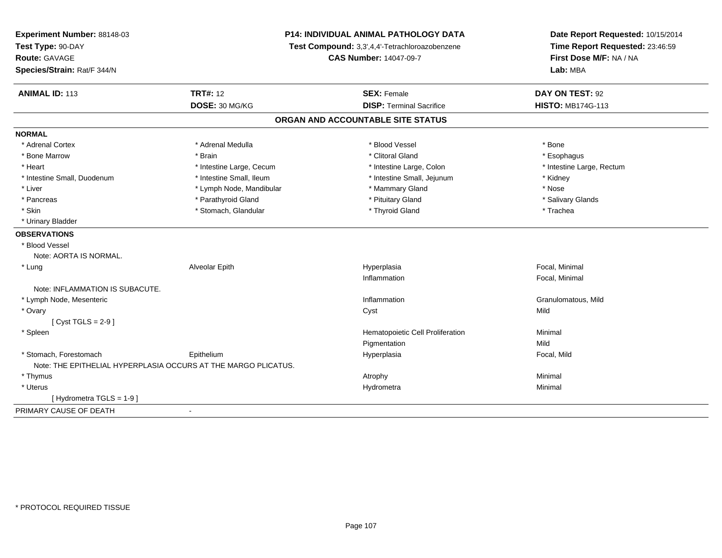| Experiment Number: 88148-03                                    | <b>P14: INDIVIDUAL ANIMAL PATHOLOGY DATA</b><br>Test Compound: 3,3',4,4'-Tetrachloroazobenzene |                                   | Date Report Requested: 10/15/2014<br>Time Report Requested: 23:46:59 |
|----------------------------------------------------------------|------------------------------------------------------------------------------------------------|-----------------------------------|----------------------------------------------------------------------|
| Test Type: 90-DAY                                              |                                                                                                |                                   |                                                                      |
| Route: GAVAGE                                                  |                                                                                                | <b>CAS Number: 14047-09-7</b>     | First Dose M/F: NA / NA                                              |
| Species/Strain: Rat/F 344/N                                    |                                                                                                |                                   | Lab: MBA                                                             |
| <b>ANIMAL ID: 113</b>                                          | <b>TRT#: 12</b>                                                                                | <b>SEX: Female</b>                | DAY ON TEST: 92                                                      |
|                                                                | DOSE: 30 MG/KG                                                                                 | <b>DISP: Terminal Sacrifice</b>   | <b>HISTO: MB174G-113</b>                                             |
|                                                                |                                                                                                | ORGAN AND ACCOUNTABLE SITE STATUS |                                                                      |
| <b>NORMAL</b>                                                  |                                                                                                |                                   |                                                                      |
| * Adrenal Cortex                                               | * Adrenal Medulla                                                                              | * Blood Vessel                    | * Bone                                                               |
| * Bone Marrow                                                  | * Brain                                                                                        | * Clitoral Gland                  | * Esophagus                                                          |
| * Heart                                                        | * Intestine Large, Cecum                                                                       | * Intestine Large, Colon          | * Intestine Large, Rectum                                            |
| * Intestine Small, Duodenum                                    | * Intestine Small, Ileum                                                                       | * Intestine Small, Jejunum        | * Kidney                                                             |
| * Liver                                                        | * Lymph Node, Mandibular                                                                       | * Mammary Gland                   | * Nose                                                               |
| * Pancreas                                                     | * Parathyroid Gland                                                                            | * Pituitary Gland                 | * Salivary Glands                                                    |
| * Skin                                                         | * Stomach, Glandular                                                                           | * Thyroid Gland                   | * Trachea                                                            |
| * Urinary Bladder                                              |                                                                                                |                                   |                                                                      |
| <b>OBSERVATIONS</b>                                            |                                                                                                |                                   |                                                                      |
| * Blood Vessel                                                 |                                                                                                |                                   |                                                                      |
| Note: AORTA IS NORMAL.                                         |                                                                                                |                                   |                                                                      |
| $*$ Lung                                                       | Alveolar Epith                                                                                 | Hyperplasia                       | Focal, Minimal                                                       |
|                                                                |                                                                                                | Inflammation                      | Focal, Minimal                                                       |
| Note: INFLAMMATION IS SUBACUTE.                                |                                                                                                |                                   |                                                                      |
| * Lymph Node, Mesenteric                                       |                                                                                                | Inflammation                      | Granulomatous, Mild                                                  |
| * Ovary                                                        |                                                                                                | Cyst                              | Mild                                                                 |
| [Cyst TGLS = $2-9$ ]                                           |                                                                                                |                                   |                                                                      |
| * Spleen                                                       |                                                                                                | Hematopoietic Cell Proliferation  | Minimal                                                              |
|                                                                |                                                                                                | Pigmentation                      | Mild                                                                 |
| * Stomach, Forestomach                                         | Epithelium                                                                                     | Hyperplasia                       | Focal, Mild                                                          |
| Note: THE EPITHELIAL HYPERPLASIA OCCURS AT THE MARGO PLICATUS. |                                                                                                |                                   |                                                                      |
| * Thymus                                                       |                                                                                                | Atrophy                           | Minimal                                                              |
| * Uterus                                                       |                                                                                                | Hydrometra                        | Minimal                                                              |
| [ Hydrometra TGLS = 1-9 ]                                      |                                                                                                |                                   |                                                                      |
| PRIMARY CAUSE OF DEATH                                         | $\sim$                                                                                         |                                   |                                                                      |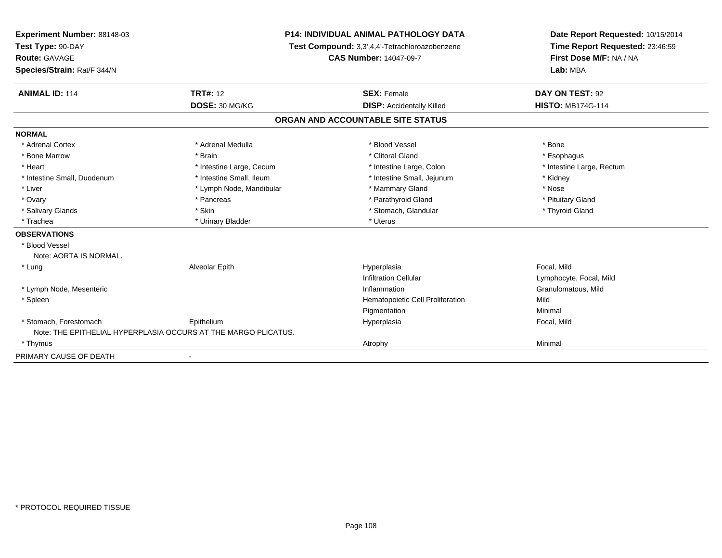| Experiment Number: 88148-03<br>Test Type: 90-DAY<br><b>Route: GAVAGE</b> |                                                                | <b>P14: INDIVIDUAL ANIMAL PATHOLOGY DATA</b><br>Test Compound: 3,3',4,4'-Tetrachloroazobenzene<br><b>CAS Number: 14047-09-7</b> | Date Report Requested: 10/15/2014<br>Time Report Requested: 23:46:59<br>First Dose M/F: NA / NA |
|--------------------------------------------------------------------------|----------------------------------------------------------------|---------------------------------------------------------------------------------------------------------------------------------|-------------------------------------------------------------------------------------------------|
| Species/Strain: Rat/F 344/N                                              |                                                                |                                                                                                                                 | Lab: MBA                                                                                        |
| <b>ANIMAL ID: 114</b>                                                    | <b>TRT#: 12</b>                                                | <b>SEX: Female</b>                                                                                                              | DAY ON TEST: 92                                                                                 |
|                                                                          | DOSE: 30 MG/KG                                                 | <b>DISP:</b> Accidentally Killed                                                                                                | <b>HISTO: MB174G-114</b>                                                                        |
|                                                                          |                                                                | ORGAN AND ACCOUNTABLE SITE STATUS                                                                                               |                                                                                                 |
| <b>NORMAL</b>                                                            |                                                                |                                                                                                                                 |                                                                                                 |
| * Adrenal Cortex                                                         | * Adrenal Medulla                                              | * Blood Vessel                                                                                                                  | * Bone                                                                                          |
| * Bone Marrow                                                            | * Brain                                                        | * Clitoral Gland                                                                                                                | * Esophagus                                                                                     |
| * Heart                                                                  | * Intestine Large, Cecum                                       | * Intestine Large, Colon                                                                                                        | * Intestine Large, Rectum                                                                       |
| * Intestine Small, Duodenum                                              | * Intestine Small, Ileum                                       | * Intestine Small, Jejunum                                                                                                      | * Kidney                                                                                        |
| * Liver                                                                  | * Lymph Node, Mandibular                                       | * Mammary Gland                                                                                                                 | * Nose                                                                                          |
| * Ovary                                                                  | * Pancreas                                                     | * Parathyroid Gland                                                                                                             | * Pituitary Gland                                                                               |
| * Salivary Glands                                                        | * Skin                                                         | * Stomach, Glandular                                                                                                            | * Thyroid Gland                                                                                 |
| * Trachea                                                                | * Urinary Bladder                                              | * Uterus                                                                                                                        |                                                                                                 |
| <b>OBSERVATIONS</b>                                                      |                                                                |                                                                                                                                 |                                                                                                 |
| * Blood Vessel                                                           |                                                                |                                                                                                                                 |                                                                                                 |
| Note: AORTA IS NORMAL.                                                   |                                                                |                                                                                                                                 |                                                                                                 |
| * Lung                                                                   | Alveolar Epith                                                 | Hyperplasia                                                                                                                     | Focal, Mild                                                                                     |
|                                                                          |                                                                | <b>Infiltration Cellular</b>                                                                                                    | Lymphocyte, Focal, Mild                                                                         |
| * Lymph Node, Mesenteric                                                 |                                                                | Inflammation                                                                                                                    | Granulomatous, Mild                                                                             |
| * Spleen                                                                 |                                                                | Hematopoietic Cell Proliferation                                                                                                | Mild                                                                                            |
|                                                                          |                                                                | Pigmentation                                                                                                                    | Minimal                                                                                         |
| * Stomach, Forestomach                                                   | Epithelium                                                     | Hyperplasia                                                                                                                     | Focal, Mild                                                                                     |
|                                                                          | Note: THE EPITHELIAL HYPERPLASIA OCCURS AT THE MARGO PLICATUS. |                                                                                                                                 |                                                                                                 |
| * Thymus                                                                 |                                                                | Atrophy                                                                                                                         | Minimal                                                                                         |
| PRIMARY CAUSE OF DEATH                                                   |                                                                |                                                                                                                                 |                                                                                                 |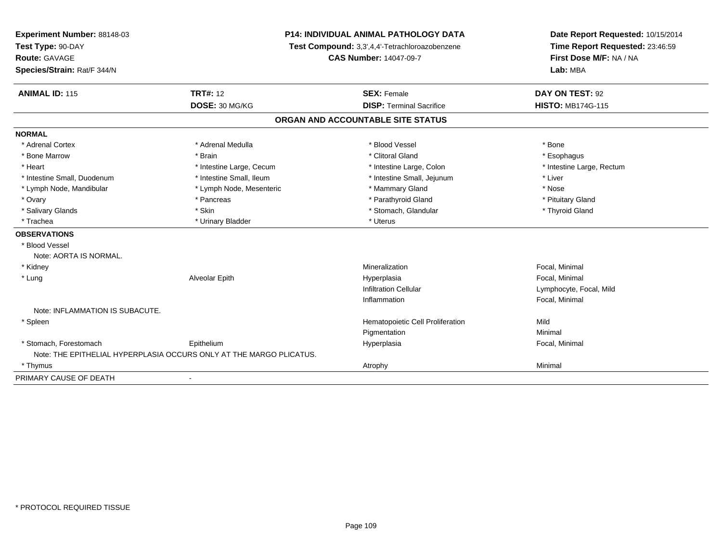| Experiment Number: 88148-03<br>Test Type: 90-DAY | P14: INDIVIDUAL ANIMAL PATHOLOGY DATA<br>Test Compound: 3,3',4,4'-Tetrachloroazobenzene |                                   | Date Report Requested: 10/15/2014<br>Time Report Requested: 23:46:59 |
|--------------------------------------------------|-----------------------------------------------------------------------------------------|-----------------------------------|----------------------------------------------------------------------|
| Route: GAVAGE<br>Species/Strain: Rat/F 344/N     |                                                                                         | <b>CAS Number: 14047-09-7</b>     | First Dose M/F: NA / NA<br>Lab: MBA                                  |
| <b>ANIMAL ID: 115</b>                            | <b>TRT#: 12</b>                                                                         | <b>SEX: Female</b>                | DAY ON TEST: 92                                                      |
|                                                  | DOSE: 30 MG/KG                                                                          | <b>DISP: Terminal Sacrifice</b>   | <b>HISTO: MB174G-115</b>                                             |
|                                                  |                                                                                         | ORGAN AND ACCOUNTABLE SITE STATUS |                                                                      |
| <b>NORMAL</b>                                    |                                                                                         |                                   |                                                                      |
| * Adrenal Cortex                                 | * Adrenal Medulla                                                                       | * Blood Vessel                    | * Bone                                                               |
| * Bone Marrow                                    | * Brain                                                                                 | * Clitoral Gland                  | * Esophagus                                                          |
| * Heart                                          | * Intestine Large, Cecum                                                                | * Intestine Large, Colon          | * Intestine Large, Rectum                                            |
| * Intestine Small, Duodenum                      | * Intestine Small, Ileum                                                                | * Intestine Small, Jejunum        | * Liver                                                              |
| * Lymph Node, Mandibular                         | * Lymph Node, Mesenteric                                                                | * Mammary Gland                   | * Nose                                                               |
| * Ovary                                          | * Pancreas                                                                              | * Parathyroid Gland               | * Pituitary Gland                                                    |
| * Salivary Glands                                | * Skin                                                                                  | * Stomach, Glandular              | * Thyroid Gland                                                      |
| * Trachea                                        | * Urinary Bladder                                                                       | * Uterus                          |                                                                      |
| <b>OBSERVATIONS</b>                              |                                                                                         |                                   |                                                                      |
| * Blood Vessel                                   |                                                                                         |                                   |                                                                      |
| Note: AORTA IS NORMAL.                           |                                                                                         |                                   |                                                                      |
| * Kidney                                         |                                                                                         | Mineralization                    | Focal, Minimal                                                       |
| * Lung                                           | Alveolar Epith                                                                          | Hyperplasia                       | Focal, Minimal                                                       |
|                                                  |                                                                                         | <b>Infiltration Cellular</b>      | Lymphocyte, Focal, Mild                                              |
|                                                  |                                                                                         | Inflammation                      | Focal, Minimal                                                       |
| Note: INFLAMMATION IS SUBACUTE.                  |                                                                                         |                                   |                                                                      |
| * Spleen                                         |                                                                                         | Hematopoietic Cell Proliferation  | Mild                                                                 |
|                                                  |                                                                                         | Pigmentation                      | Minimal                                                              |
| * Stomach, Forestomach                           | Epithelium                                                                              | Hyperplasia                       | Focal, Minimal                                                       |
|                                                  | Note: THE EPITHELIAL HYPERPLASIA OCCURS ONLY AT THE MARGO PLICATUS.                     |                                   |                                                                      |
| * Thymus                                         |                                                                                         | Atrophy                           | Minimal                                                              |
| PRIMARY CAUSE OF DEATH                           | $\blacksquare$                                                                          |                                   |                                                                      |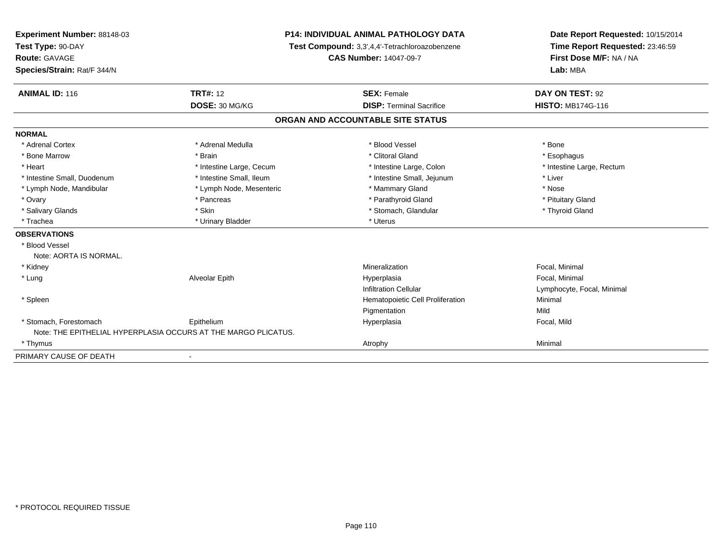| Experiment Number: 88148-03 |                                                                | <b>P14: INDIVIDUAL ANIMAL PATHOLOGY DATA</b>   | Date Report Requested: 10/15/2014                                      |
|-----------------------------|----------------------------------------------------------------|------------------------------------------------|------------------------------------------------------------------------|
| Test Type: 90-DAY           |                                                                | Test Compound: 3,3',4,4'-Tetrachloroazobenzene | Time Report Requested: 23:46:59<br>First Dose M/F: NA / NA<br>Lab: MBA |
| Route: GAVAGE               |                                                                | <b>CAS Number: 14047-09-7</b>                  |                                                                        |
| Species/Strain: Rat/F 344/N |                                                                |                                                |                                                                        |
| <b>ANIMAL ID: 116</b>       | <b>TRT#: 12</b>                                                | <b>SEX: Female</b>                             | DAY ON TEST: 92                                                        |
|                             | DOSE: 30 MG/KG                                                 | <b>DISP: Terminal Sacrifice</b>                | <b>HISTO: MB174G-116</b>                                               |
|                             |                                                                | ORGAN AND ACCOUNTABLE SITE STATUS              |                                                                        |
| <b>NORMAL</b>               |                                                                |                                                |                                                                        |
| * Adrenal Cortex            | * Adrenal Medulla                                              | * Blood Vessel                                 | * Bone                                                                 |
| * Bone Marrow               | * Brain                                                        | * Clitoral Gland                               | * Esophagus                                                            |
| * Heart                     | * Intestine Large, Cecum                                       | * Intestine Large, Colon                       | * Intestine Large, Rectum                                              |
| * Intestine Small, Duodenum | * Intestine Small, Ileum                                       | * Intestine Small, Jejunum                     | * Liver                                                                |
| * Lymph Node, Mandibular    | * Lymph Node, Mesenteric                                       | * Mammary Gland                                | * Nose                                                                 |
| * Ovary                     | * Pancreas                                                     | * Parathyroid Gland                            | * Pituitary Gland                                                      |
| * Salivary Glands           | * Skin                                                         | * Stomach, Glandular                           | * Thyroid Gland                                                        |
| * Trachea                   | * Urinary Bladder                                              | * Uterus                                       |                                                                        |
| <b>OBSERVATIONS</b>         |                                                                |                                                |                                                                        |
| * Blood Vessel              |                                                                |                                                |                                                                        |
| Note: AORTA IS NORMAL.      |                                                                |                                                |                                                                        |
| * Kidney                    |                                                                | Mineralization                                 | Focal, Minimal                                                         |
| * Lung                      | Alveolar Epith                                                 | Hyperplasia                                    | Focal, Minimal                                                         |
|                             |                                                                | <b>Infiltration Cellular</b>                   | Lymphocyte, Focal, Minimal                                             |
| * Spleen                    |                                                                | Hematopoietic Cell Proliferation               | Minimal                                                                |
|                             |                                                                | Pigmentation                                   | Mild                                                                   |
| * Stomach, Forestomach      | Epithelium                                                     | Hyperplasia                                    | Focal, Mild                                                            |
|                             | Note: THE EPITHELIAL HYPERPLASIA OCCURS AT THE MARGO PLICATUS. |                                                |                                                                        |
| * Thymus                    |                                                                | Atrophy                                        | Minimal                                                                |
| PRIMARY CAUSE OF DEATH      |                                                                |                                                |                                                                        |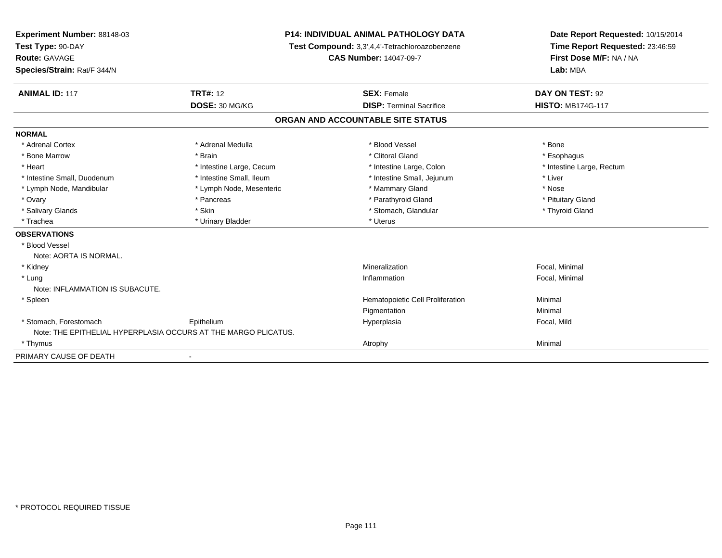| Experiment Number: 88148-03<br>Test Type: 90-DAY               |                          | <b>P14: INDIVIDUAL ANIMAL PATHOLOGY DATA</b>   | Date Report Requested: 10/15/2014<br>Time Report Requested: 23:46:59 |
|----------------------------------------------------------------|--------------------------|------------------------------------------------|----------------------------------------------------------------------|
|                                                                |                          | Test Compound: 3,3',4,4'-Tetrachloroazobenzene |                                                                      |
| Route: GAVAGE                                                  |                          | <b>CAS Number: 14047-09-7</b>                  | First Dose M/F: NA / NA<br>Lab: MBA                                  |
| Species/Strain: Rat/F 344/N                                    |                          |                                                |                                                                      |
| <b>ANIMAL ID: 117</b>                                          | <b>TRT#: 12</b>          | <b>SEX: Female</b>                             | DAY ON TEST: 92                                                      |
|                                                                | DOSE: 30 MG/KG           | <b>DISP: Terminal Sacrifice</b>                | <b>HISTO: MB174G-117</b>                                             |
|                                                                |                          | ORGAN AND ACCOUNTABLE SITE STATUS              |                                                                      |
| <b>NORMAL</b>                                                  |                          |                                                |                                                                      |
| * Adrenal Cortex                                               | * Adrenal Medulla        | * Blood Vessel                                 | * Bone                                                               |
| * Bone Marrow                                                  | * Brain                  | * Clitoral Gland                               | * Esophagus                                                          |
| * Heart                                                        | * Intestine Large, Cecum | * Intestine Large, Colon                       | * Intestine Large, Rectum                                            |
| * Intestine Small, Duodenum                                    | * Intestine Small, Ileum | * Intestine Small, Jejunum                     | * Liver                                                              |
| * Lymph Node, Mandibular                                       | * Lymph Node, Mesenteric | * Mammary Gland                                | * Nose                                                               |
| * Ovary                                                        | * Pancreas               | * Parathyroid Gland                            | * Pituitary Gland                                                    |
| * Salivary Glands                                              | * Skin                   | * Stomach, Glandular                           | * Thyroid Gland                                                      |
| * Trachea                                                      | * Urinary Bladder        | * Uterus                                       |                                                                      |
| <b>OBSERVATIONS</b>                                            |                          |                                                |                                                                      |
| * Blood Vessel                                                 |                          |                                                |                                                                      |
| Note: AORTA IS NORMAL.                                         |                          |                                                |                                                                      |
| * Kidney                                                       |                          | Mineralization                                 | Focal, Minimal                                                       |
| * Lung                                                         |                          | Inflammation                                   | Focal, Minimal                                                       |
| Note: INFLAMMATION IS SUBACUTE.                                |                          |                                                |                                                                      |
| * Spleen                                                       |                          | Hematopoietic Cell Proliferation               | Minimal                                                              |
|                                                                |                          | Pigmentation                                   | Minimal                                                              |
| * Stomach, Forestomach                                         | Epithelium               | Hyperplasia                                    | Focal, Mild                                                          |
| Note: THE EPITHELIAL HYPERPLASIA OCCURS AT THE MARGO PLICATUS. |                          |                                                |                                                                      |
| * Thymus                                                       |                          | Atrophy                                        | Minimal                                                              |
| PRIMARY CAUSE OF DEATH                                         |                          |                                                |                                                                      |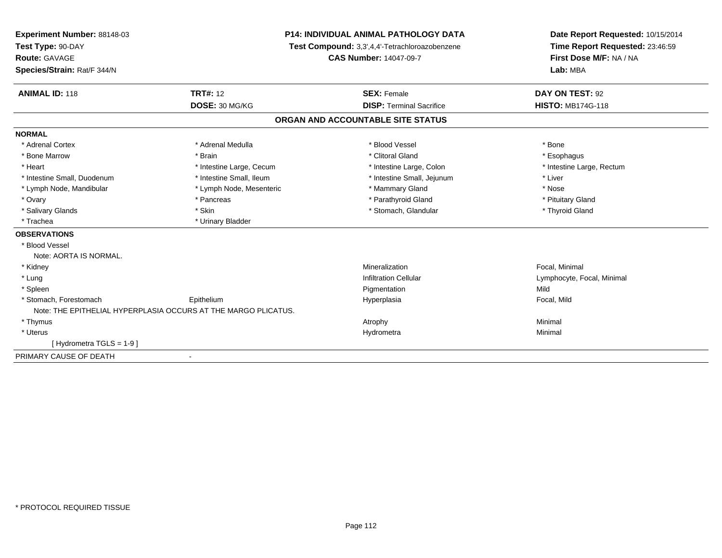| Experiment Number: 88148-03<br>Test Type: 90-DAY               | <b>P14: INDIVIDUAL ANIMAL PATHOLOGY DATA</b><br>Test Compound: 3,3',4,4'-Tetrachloroazobenzene |                                   | Date Report Requested: 10/15/2014<br>Time Report Requested: 23:46:59 |
|----------------------------------------------------------------|------------------------------------------------------------------------------------------------|-----------------------------------|----------------------------------------------------------------------|
| Route: GAVAGE                                                  |                                                                                                | <b>CAS Number: 14047-09-7</b>     | First Dose M/F: NA / NA<br>Lab: MBA                                  |
| Species/Strain: Rat/F 344/N                                    |                                                                                                |                                   |                                                                      |
| <b>ANIMAL ID: 118</b>                                          | <b>TRT#: 12</b>                                                                                | <b>SEX: Female</b>                | DAY ON TEST: 92                                                      |
|                                                                | DOSE: 30 MG/KG                                                                                 | <b>DISP: Terminal Sacrifice</b>   | <b>HISTO: MB174G-118</b>                                             |
|                                                                |                                                                                                | ORGAN AND ACCOUNTABLE SITE STATUS |                                                                      |
| <b>NORMAL</b>                                                  |                                                                                                |                                   |                                                                      |
| * Adrenal Cortex                                               | * Adrenal Medulla                                                                              | * Blood Vessel                    | * Bone                                                               |
| * Bone Marrow                                                  | * Brain                                                                                        | * Clitoral Gland                  | * Esophagus                                                          |
| * Heart                                                        | * Intestine Large, Cecum                                                                       | * Intestine Large, Colon          | * Intestine Large, Rectum                                            |
| * Intestine Small, Duodenum                                    | * Intestine Small, Ileum                                                                       | * Intestine Small, Jejunum        | * Liver                                                              |
| * Lymph Node, Mandibular                                       | * Lymph Node, Mesenteric                                                                       | * Mammary Gland                   | * Nose                                                               |
| * Ovary                                                        | * Pancreas                                                                                     | * Parathyroid Gland               | * Pituitary Gland                                                    |
| * Salivary Glands                                              | * Skin                                                                                         | * Stomach, Glandular              | * Thyroid Gland                                                      |
| * Trachea                                                      | * Urinary Bladder                                                                              |                                   |                                                                      |
| <b>OBSERVATIONS</b>                                            |                                                                                                |                                   |                                                                      |
| * Blood Vessel                                                 |                                                                                                |                                   |                                                                      |
| Note: AORTA IS NORMAL.                                         |                                                                                                |                                   |                                                                      |
| * Kidney                                                       |                                                                                                | Mineralization                    | Focal. Minimal                                                       |
| * Lung                                                         |                                                                                                | <b>Infiltration Cellular</b>      | Lymphocyte, Focal, Minimal                                           |
| * Spleen                                                       |                                                                                                | Pigmentation                      | Mild                                                                 |
| * Stomach. Forestomach                                         | Epithelium                                                                                     | Hyperplasia                       | Focal, Mild                                                          |
| Note: THE EPITHELIAL HYPERPLASIA OCCURS AT THE MARGO PLICATUS. |                                                                                                |                                   |                                                                      |
| * Thymus                                                       |                                                                                                | Atrophy                           | Minimal                                                              |
| * Uterus                                                       |                                                                                                | Hydrometra                        | Minimal                                                              |
| [Hydrometra TGLS = 1-9]                                        |                                                                                                |                                   |                                                                      |
| PRIMARY CAUSE OF DEATH                                         | $\blacksquare$                                                                                 |                                   |                                                                      |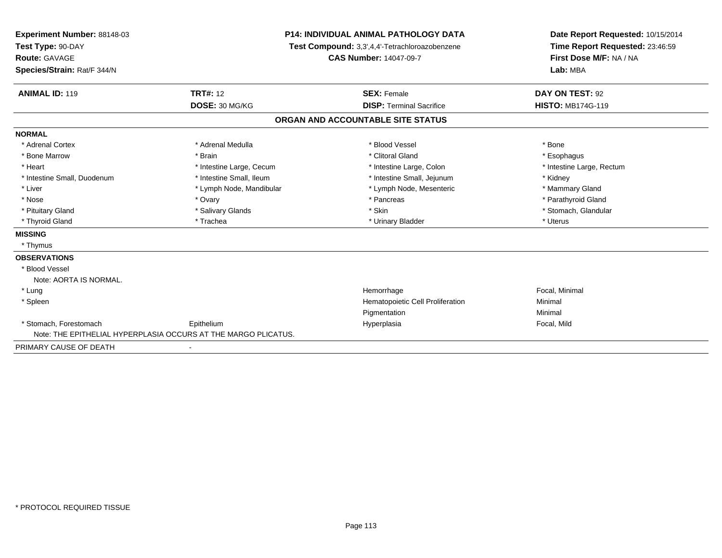| <b>Experiment Number: 88148-03</b> |                                                                | P14: INDIVIDUAL ANIMAL PATHOLOGY DATA          | Date Report Requested: 10/15/2014<br>Time Report Requested: 23:46:59<br>First Dose M/F: NA / NA<br>Lab: MBA |
|------------------------------------|----------------------------------------------------------------|------------------------------------------------|-------------------------------------------------------------------------------------------------------------|
| Test Type: 90-DAY                  |                                                                | Test Compound: 3,3',4,4'-Tetrachloroazobenzene |                                                                                                             |
| Route: GAVAGE                      |                                                                | <b>CAS Number: 14047-09-7</b>                  |                                                                                                             |
| Species/Strain: Rat/F 344/N        |                                                                |                                                |                                                                                                             |
| <b>ANIMAL ID: 119</b>              | <b>TRT#: 12</b>                                                | <b>SEX: Female</b>                             | DAY ON TEST: 92                                                                                             |
|                                    | DOSE: 30 MG/KG                                                 | <b>DISP: Terminal Sacrifice</b>                | <b>HISTO: MB174G-119</b>                                                                                    |
|                                    |                                                                | ORGAN AND ACCOUNTABLE SITE STATUS              |                                                                                                             |
| <b>NORMAL</b>                      |                                                                |                                                |                                                                                                             |
| * Adrenal Cortex                   | * Adrenal Medulla                                              | * Blood Vessel                                 | * Bone                                                                                                      |
| * Bone Marrow                      | * Brain                                                        | * Clitoral Gland                               | * Esophagus                                                                                                 |
| * Heart                            | * Intestine Large, Cecum                                       | * Intestine Large, Colon                       | * Intestine Large, Rectum                                                                                   |
| * Intestine Small, Duodenum        | * Intestine Small, Ileum                                       | * Intestine Small, Jejunum                     | * Kidney                                                                                                    |
| * Liver                            | * Lymph Node, Mandibular                                       | * Lymph Node, Mesenteric                       | * Mammary Gland                                                                                             |
| * Nose                             | * Ovary                                                        | * Pancreas                                     | * Parathyroid Gland                                                                                         |
| * Pituitary Gland                  | * Salivary Glands                                              | * Skin                                         | * Stomach, Glandular                                                                                        |
| * Thyroid Gland                    | * Trachea                                                      | * Urinary Bladder                              | * Uterus                                                                                                    |
| <b>MISSING</b>                     |                                                                |                                                |                                                                                                             |
| * Thymus                           |                                                                |                                                |                                                                                                             |
| <b>OBSERVATIONS</b>                |                                                                |                                                |                                                                                                             |
| * Blood Vessel                     |                                                                |                                                |                                                                                                             |
| Note: AORTA IS NORMAL.             |                                                                |                                                |                                                                                                             |
| * Lung                             |                                                                | Hemorrhage                                     | Focal, Minimal                                                                                              |
| * Spleen                           |                                                                | Hematopoietic Cell Proliferation               | Minimal                                                                                                     |
|                                    |                                                                | Pigmentation                                   | Minimal                                                                                                     |
| * Stomach, Forestomach             | Epithelium                                                     | Hyperplasia                                    | Focal, Mild                                                                                                 |
|                                    | Note: THE EPITHELIAL HYPERPLASIA OCCURS AT THE MARGO PLICATUS. |                                                |                                                                                                             |
| PRIMARY CAUSE OF DEATH             |                                                                |                                                |                                                                                                             |